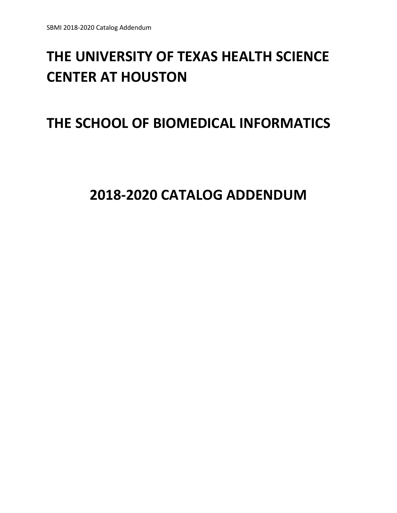# **THE UNIVERSITY OF TEXAS HEALTH SCIENCE CENTER AT HOUSTON**

# **THE SCHOOL OF BIOMEDICAL INFORMATICS**

# **2018-2020 CATALOG ADDENDUM**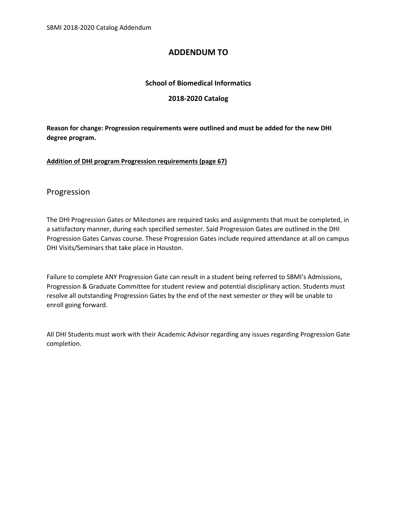# **ADDENDUM TO**

# **School of Biomedical Informatics**

#### **2018-2020 Catalog**

**Reason for change: Progression requirements were outlined and must be added for the new DHI degree program.**

**Addition of DHI program Progression requirements (page 67)**

# Progression

The DHI Progression Gates or Milestones are required tasks and assignments that must be completed, in a satisfactory manner, during each specified semester. Said Progression Gates are outlined in the DHI Progression Gates Canvas course. These Progression Gates include required attendance at all on campus DHI Visits/Seminars that take place in Houston.

Failure to complete ANY Progression Gate can result in a student being referred to SBMI's Admissions, Progression & Graduate Committee for student review and potential disciplinary action. Students must resolve all outstanding Progression Gates by the end of the next semester or they will be unable to enroll going forward.

All DHI Students must work with their Academic Advisor regarding any issues regarding Progression Gate completion.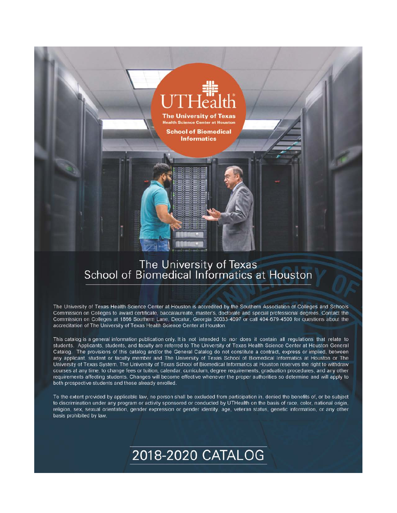

# The University of Texas<br>School of Biomedical Informatics at Houston

The University of Texas Health Science Center at Houston is accredited by the Southern Association of Colleges and Schools Commission on Colleges to award certificate, baccalaureate, master's, doctorate and special professional degrees. Contact the Commission on Colleges at 1866 Southern Lane, Decatur, Georgia 30033-4097 or call 404-679-4500 for questions about the accreditation of The University of Texas Health Science Center at Houston.

This catalog is a general information publication only. It is not intended to nor does it contain all regulations that relate to students. Applicants, students, and faculty are referred to The University of Texas Health Science Center at Houston General Catalog. The provisions of this catalog and/or the General Catalog do not constitute a contract, express or implied, between any applicant, student or faculty member and The University of Texas School of Biomedical Informatics at Houston or The University of Texas System. The University of Texas School of Biomedical Informatics at Houston reserves the right to withdraw courses at any time, to change fees or tuition, calendar, curriculum, degree requirements, graduation procedures, and any other requirements affecting students. Changes will become effective whenever the proper authorities so determine and will apply to both prospective students and those already enrolled.

To the extent provided by applicable law, no person shall be excluded from participation in, denied the benefits of, or be subject to discrimination under any program or activity sponsored or conducted by UTHealth on the basis of race, color, national origin, religion, sex, sexual orientation, gender expression or gender identity, age, veteran status, genetic information, or any other basis prohibited by law.

# 2018-2020 CATALOG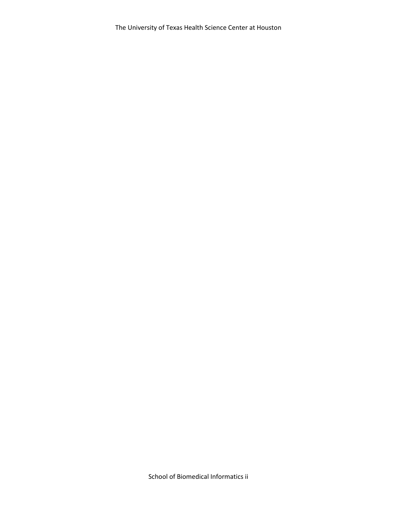School of Biomedical Informatics ii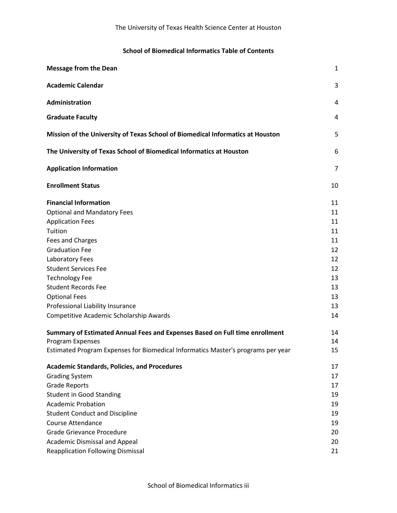# **School of Biomedical Informatics Table of Contents**

| <b>Message from the Dean</b>                                                     | $\mathbf{1}$ |
|----------------------------------------------------------------------------------|--------------|
| <b>Academic Calendar</b>                                                         | 3            |
| <b>Administration</b>                                                            | 4            |
| <b>Graduate Faculty</b>                                                          | 4            |
| Mission of the University of Texas School of Biomedical Informatics at Houston   | 5            |
| The University of Texas School of Biomedical Informatics at Houston              | 6            |
| <b>Application Information</b>                                                   | 7            |
| <b>Enrollment Status</b>                                                         | 10           |
| <b>Financial Information</b>                                                     | 11           |
| <b>Optional and Mandatory Fees</b>                                               | 11           |
| <b>Application Fees</b>                                                          | 11           |
| Tuition                                                                          | 11           |
| <b>Fees and Charges</b>                                                          | 11           |
| <b>Graduation Fee</b>                                                            | 12           |
| Laboratory Fees                                                                  | 12           |
| <b>Student Services Fee</b>                                                      | 12           |
| <b>Technology Fee</b>                                                            | 13           |
| <b>Student Records Fee</b>                                                       | 13           |
| <b>Optional Fees</b>                                                             | 13           |
| Professional Liability Insurance                                                 | 13           |
| Competitive Academic Scholarship Awards                                          | 14           |
| Summary of Estimated Annual Fees and Expenses Based on Full time enrollment      | 14           |
| Program Expenses                                                                 | 14           |
| Estimated Program Expenses for Biomedical Informatics Master's programs per year | 15           |
| <b>Academic Standards, Policies, and Procedures</b>                              | 17           |
| <b>Grading System</b>                                                            | 17           |
| <b>Grade Reports</b>                                                             | 17           |
| <b>Student in Good Standing</b>                                                  | 19           |
| <b>Academic Probation</b>                                                        | 19           |
| <b>Student Conduct and Discipline</b>                                            | 19           |
| <b>Course Attendance</b>                                                         | 19           |
| <b>Grade Grievance Procedure</b>                                                 | 20           |
| <b>Academic Dismissal and Appeal</b>                                             | 20           |
| <b>Reapplication Following Dismissal</b>                                         | 21           |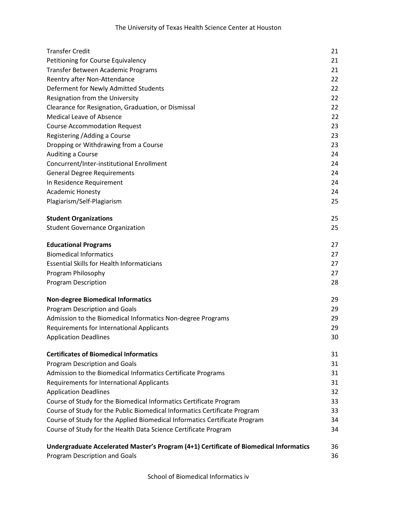| <b>Transfer Credit</b>                                                                 | 21 |
|----------------------------------------------------------------------------------------|----|
| Petitioning for Course Equivalency                                                     | 21 |
| Transfer Between Academic Programs                                                     | 21 |
| Reentry after Non-Attendance                                                           | 22 |
| Deferment for Newly Admitted Students                                                  | 22 |
| Resignation from the University                                                        | 22 |
| Clearance for Resignation, Graduation, or Dismissal                                    | 22 |
| <b>Medical Leave of Absence</b>                                                        | 22 |
| <b>Course Accommodation Request</b>                                                    |    |
|                                                                                        | 23 |
| Registering / Adding a Course                                                          | 23 |
| Dropping or Withdrawing from a Course                                                  | 23 |
| Auditing a Course                                                                      | 24 |
| Concurrent/Inter-institutional Enrollment                                              | 24 |
| <b>General Degree Requirements</b>                                                     | 24 |
| In Residence Requirement                                                               | 24 |
| <b>Academic Honesty</b>                                                                | 24 |
| Plagiarism/Self-Plagiarism                                                             | 25 |
| <b>Student Organizations</b>                                                           | 25 |
| <b>Student Governance Organization</b>                                                 | 25 |
| <b>Educational Programs</b>                                                            | 27 |
| <b>Biomedical Informatics</b>                                                          | 27 |
| <b>Essential Skills for Health Informaticians</b>                                      | 27 |
| Program Philosophy                                                                     | 27 |
| <b>Program Description</b>                                                             | 28 |
| <b>Non-degree Biomedical Informatics</b>                                               | 29 |
| Program Description and Goals                                                          | 29 |
| Admission to the Biomedical Informatics Non-degree Programs                            | 29 |
| Requirements for International Applicants                                              | 29 |
| <b>Application Deadlines</b>                                                           | 30 |
| <b>Certificates of Biomedical Informatics</b>                                          | 31 |
| Program Description and Goals                                                          | 31 |
| Admission to the Biomedical Informatics Certificate Programs                           | 31 |
| Requirements for International Applicants                                              | 31 |
| <b>Application Deadlines</b>                                                           | 32 |
| Course of Study for the Biomedical Informatics Certificate Program                     | 33 |
| Course of Study for the Public Biomedical Informatics Certificate Program              | 33 |
| Course of Study for the Applied Biomedical Informatics Certificate Program             | 34 |
| Course of Study for the Health Data Science Certificate Program                        | 34 |
| Undergraduate Accelerated Master's Program (4+1) Certificate of Biomedical Informatics | 36 |
| Program Description and Goals                                                          | 36 |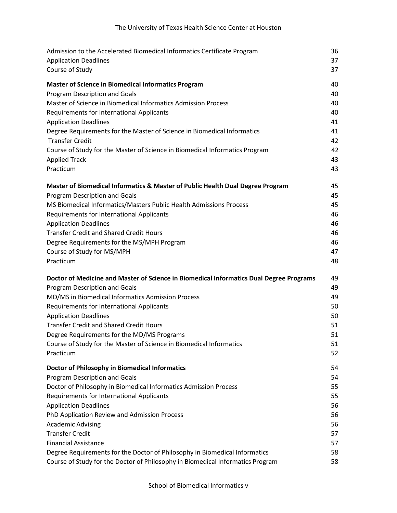| Admission to the Accelerated Biomedical Informatics Certificate Program<br><b>Application Deadlines</b><br>Course of Study | 36<br>37<br>37 |
|----------------------------------------------------------------------------------------------------------------------------|----------------|
| <b>Master of Science in Biomedical Informatics Program</b>                                                                 | 40             |
| <b>Program Description and Goals</b>                                                                                       | 40             |
| Master of Science in Biomedical Informatics Admission Process                                                              | 40             |
| Requirements for International Applicants                                                                                  | 40             |
| <b>Application Deadlines</b>                                                                                               | 41             |
| Degree Requirements for the Master of Science in Biomedical Informatics                                                    | 41             |
| <b>Transfer Credit</b>                                                                                                     | 42             |
| Course of Study for the Master of Science in Biomedical Informatics Program                                                | 42             |
| <b>Applied Track</b>                                                                                                       | 43             |
| Practicum                                                                                                                  | 43             |
| Master of Biomedical Informatics & Master of Public Health Dual Degree Program                                             | 45             |
| <b>Program Description and Goals</b>                                                                                       | 45             |
| MS Biomedical Informatics/Masters Public Health Admissions Process                                                         | 45             |
| Requirements for International Applicants                                                                                  | 46             |
| <b>Application Deadlines</b>                                                                                               | 46             |
| <b>Transfer Credit and Shared Credit Hours</b>                                                                             | 46             |
| Degree Requirements for the MS/MPH Program                                                                                 | 46             |
| Course of Study for MS/MPH                                                                                                 | 47             |
| Practicum                                                                                                                  | 48             |
| Doctor of Medicine and Master of Science in Biomedical Informatics Dual Degree Programs                                    | 49             |
| <b>Program Description and Goals</b>                                                                                       | 49             |
| MD/MS in Biomedical Informatics Admission Process                                                                          | 49             |
| <b>Requirements for International Applicants</b>                                                                           | 50             |
| <b>Application Deadlines</b>                                                                                               | 50             |
| <b>Transfer Credit and Shared Credit Hours</b>                                                                             | 51             |
| Degree Requirements for the MD/MS Programs                                                                                 | 51             |
| Course of Study for the Master of Science in Biomedical Informatics                                                        | 51             |
| Practicum                                                                                                                  | 52             |
| Doctor of Philosophy in Biomedical Informatics                                                                             | 54             |
| Program Description and Goals                                                                                              | 54             |
| Doctor of Philosophy in Biomedical Informatics Admission Process                                                           | 55             |
| Requirements for International Applicants                                                                                  | 55             |
| <b>Application Deadlines</b>                                                                                               | 56             |
| PhD Application Review and Admission Process                                                                               |                |
|                                                                                                                            |                |
|                                                                                                                            | 56<br>56       |
| <b>Academic Advising</b><br><b>Transfer Credit</b>                                                                         | 57             |
| <b>Financial Assistance</b>                                                                                                | 57             |
| Degree Requirements for the Doctor of Philosophy in Biomedical Informatics                                                 | 58             |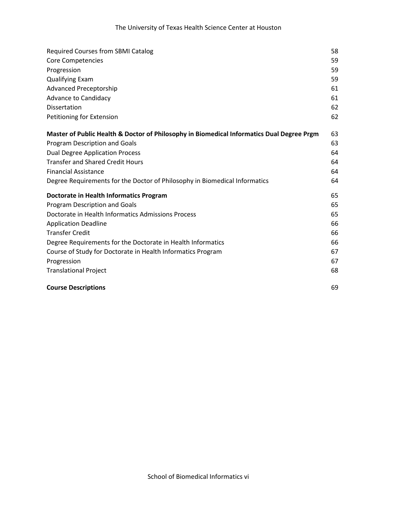| <b>Required Courses from SBMI Catalog</b>                                                 | 58 |
|-------------------------------------------------------------------------------------------|----|
| <b>Core Competencies</b>                                                                  | 59 |
| Progression                                                                               | 59 |
| <b>Qualifying Exam</b>                                                                    | 59 |
| <b>Advanced Preceptorship</b>                                                             | 61 |
| <b>Advance to Candidacy</b>                                                               | 61 |
| Dissertation                                                                              | 62 |
| Petitioning for Extension                                                                 | 62 |
| Master of Public Health & Doctor of Philosophy in Biomedical Informatics Dual Degree Prgm | 63 |
| <b>Program Description and Goals</b>                                                      | 63 |
| <b>Dual Degree Application Process</b>                                                    | 64 |
| <b>Transfer and Shared Credit Hours</b>                                                   | 64 |
| <b>Financial Assistance</b>                                                               | 64 |
| Degree Requirements for the Doctor of Philosophy in Biomedical Informatics                | 64 |
| Doctorate in Health Informatics Program                                                   | 65 |
| <b>Program Description and Goals</b>                                                      | 65 |
| Doctorate in Health Informatics Admissions Process                                        | 65 |
| <b>Application Deadline</b>                                                               | 66 |
| <b>Transfer Credit</b>                                                                    | 66 |
| Degree Requirements for the Doctorate in Health Informatics                               | 66 |
| Course of Study for Doctorate in Health Informatics Program                               | 67 |
| Progression                                                                               | 67 |
| <b>Translational Project</b>                                                              | 68 |
| <b>Course Descriptions</b>                                                                | 69 |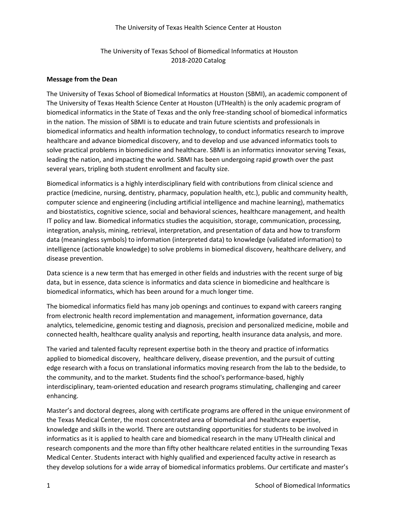# The University of Texas School of Biomedical Informatics at Houston 2018-2020 Catalog

#### **Message from the Dean**

The University of Texas School of Biomedical Informatics at Houston (SBMI), an academic component of The University of Texas Health Science Center at Houston (UTHealth) is the only academic program of biomedical informatics in the State of Texas and the only free-standing school of biomedical informatics in the nation. The mission of SBMI is to educate and train future scientists and professionals in biomedical informatics and health information technology, to conduct informatics research to improve healthcare and advance biomedical discovery, and to develop and use advanced informatics tools to solve practical problems in biomedicine and healthcare. SBMI is an informatics innovator serving Texas, leading the nation, and impacting the world. SBMI has been undergoing rapid growth over the past several years, tripling both student enrollment and faculty size.

Biomedical informatics is a highly interdisciplinary field with contributions from clinical science and practice (medicine, nursing, dentistry, pharmacy, population health, etc.), public and community health, computer science and engineering (including artificial intelligence and machine learning), mathematics and biostatistics, cognitive science, social and behavioral sciences, healthcare management, and health IT policy and law. Biomedical informatics studies the acquisition, storage, communication, processing, integration, analysis, mining, retrieval, interpretation, and presentation of data and how to transform data (meaningless symbols) to information (interpreted data) to knowledge (validated information) to intelligence (actionable knowledge) to solve problems in biomedical discovery, healthcare delivery, and disease prevention.

Data science is a new term that has emerged in other fields and industries with the recent surge of big data, but in essence, data science is informatics and data science in biomedicine and healthcare is biomedical informatics, which has been around for a much longer time.

The biomedical informatics field has many job openings and continues to expand with careers ranging from electronic health record implementation and management, information governance, data analytics, telemedicine, genomic testing and diagnosis, precision and personalized medicine, mobile and connected health, healthcare quality analysis and reporting, health insurance data analysis, and more.

The varied and talented faculty represent expertise both in the theory and practice of informatics applied to biomedical discovery, healthcare delivery, disease prevention, and the pursuit of cutting edge research with a focus on translational informatics moving research from the lab to the bedside, to the community, and to the market. Students find the school's performance-based, highly interdisciplinary, team-oriented education and research programs stimulating, challenging and career enhancing.

Master's and doctoral degrees, along with certificate programs are offered in the unique environment of the Texas Medical Center, the most concentrated area of biomedical and healthcare expertise, knowledge and skills in the world. There are outstanding opportunities for students to be involved in informatics as it is applied to health care and biomedical research in the many UTHealth clinical and research components and the more than fifty other healthcare related entities in the surrounding Texas Medical Center. Students interact with highly qualified and experienced faculty active in research as they develop solutions for a wide array of biomedical informatics problems. Our certificate and master's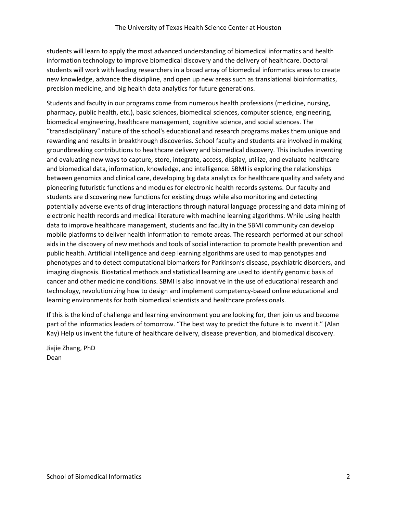students will learn to apply the most advanced understanding of biomedical informatics and health information technology to improve biomedical discovery and the delivery of healthcare. Doctoral students will work with leading researchers in a broad array of biomedical informatics areas to create new knowledge, advance the discipline, and open up new areas such as translational bioinformatics, precision medicine, and big health data analytics for future generations.

Students and faculty in our programs come from numerous health professions (medicine, nursing, pharmacy, public health, etc.), basic sciences, biomedical sciences, computer science, engineering, biomedical engineering, healthcare management, cognitive science, and social sciences. The "transdisciplinary" nature of the school's educational and research programs makes them unique and rewarding and results in breakthrough discoveries. School faculty and students are involved in making groundbreaking contributions to healthcare delivery and biomedical discovery. This includes inventing and evaluating new ways to capture, store, integrate, access, display, utilize, and evaluate healthcare and biomedical data, information, knowledge, and intelligence. SBMI is exploring the relationships between genomics and clinical care, developing big data analytics for healthcare quality and safety and pioneering futuristic functions and modules for electronic health records systems. Our faculty and students are discovering new functions for existing drugs while also monitoring and detecting potentially adverse events of drug interactions through natural language processing and data mining of electronic health records and medical literature with machine learning algorithms. While using health data to improve healthcare management, students and faculty in the SBMI community can develop mobile platforms to deliver health information to remote areas. The research performed at our school aids in the discovery of new methods and tools of social interaction to promote health prevention and public health. Artificial intelligence and deep learning algorithms are used to map genotypes and phenotypes and to detect computational biomarkers for Parkinson's disease, psychiatric disorders, and imaging diagnosis. Biostatical methods and statistical learning are used to identify genomic basis of cancer and other medicine conditions. SBMI is also innovative in the use of educational research and technology, revolutionizing how to design and implement competency-based online educational and learning environments for both biomedical scientists and healthcare professionals.

If this is the kind of challenge and learning environment you are looking for, then join us and become part of the informatics leaders of tomorrow. "The best way to predict the future is to invent it." (Alan Kay) Help us invent the future of healthcare delivery, disease prevention, and biomedical discovery.

Jiajie Zhang, PhD Dean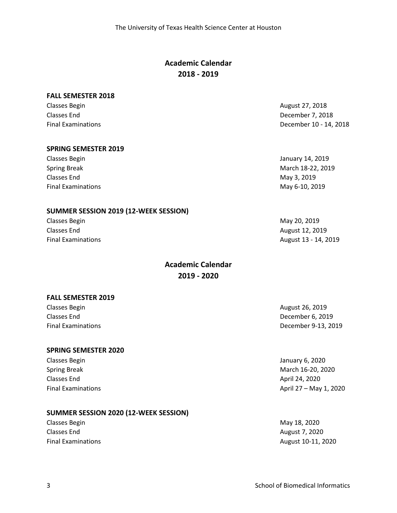# **Academic Calendar 2018 - 2019**

#### **FALL SEMESTER 2018**

Classes Begin **August 27, 2018** Classes Begin August 27, 2018

#### **SPRING SEMESTER 2019**

Classes Begin January 14, 2019 Classes End May 3, 2019 Final Examinations **May 6-10, 2019** 

#### **SUMMER SESSION 2019 (12-WEEK SESSION)**

Classes Begin **May 20, 2019** Classes Begin May 20, 2019 Classes End August 12, 2019

# **Academic Calendar 2019 - 2020**

#### **FALL SEMESTER 2019**

Classes Begin August 26, 2019

#### **SPRING SEMESTER 2020**

Classes Begin January 6, 2020 Classes End April 24, 2020

#### **SUMMER SESSION 2020 (12-WEEK SESSION)**

Classes Begin **May 18, 2020** Classes End August 7, 2020 Final Examinations **August 10-11, 2020** 

Classes End December 7, 2018 Final Examinations December 10 - 14, 2018

Spring Break March 18-22, 2019

Final Examinations **August 13 - 14, 2019** 

Classes End December 6, 2019 Final Examinations December 9-13, 2019

Spring Break March 16-20, 2020 Final Examinations **April 27** – May 1, 2020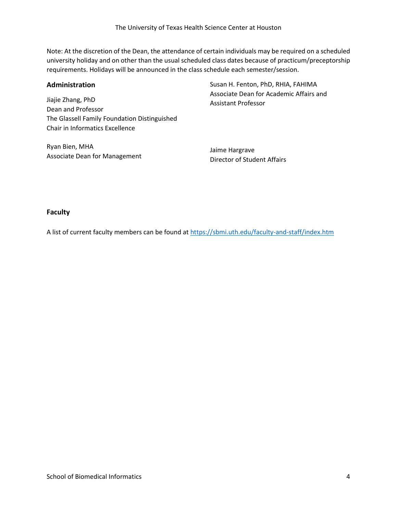Note: At the discretion of the Dean, the attendance of certain individuals may be required on a scheduled university holiday and on other than the usual scheduled class dates because of practicum/preceptorship requirements. Holidays will be announced in the class schedule each semester/session.

#### **Administration**

Jiajie Zhang, PhD Dean and Professor The Glassell Family Foundation Distinguished Chair in Informatics Excellence

Ryan Bien, MHA Associate Dean for Management Susan H. Fenton, PhD, RHIA, FAHIMA Associate Dean for Academic Affairs and Assistant Professor

Jaime Hargrave Director of Student Affairs

# **Faculty**

A list of current faculty members can be found a[t https://sbmi.uth.edu/faculty-and-staff/index.htm](https://sbmi.uth.edu/faculty-and-staff/index.htm)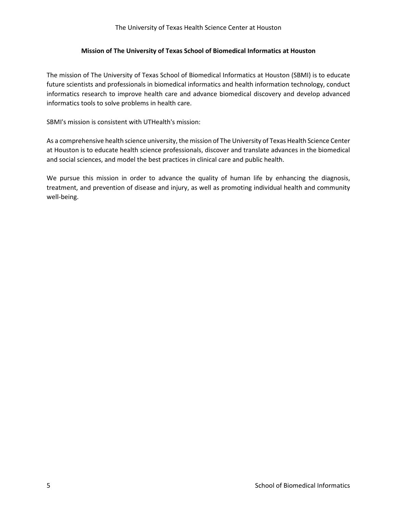#### **Mission of The University of Texas School of Biomedical Informatics at Houston**

The mission of The University of Texas School of Biomedical Informatics at Houston (SBMI) is to educate future scientists and professionals in biomedical informatics and health information technology, conduct informatics research to improve health care and advance biomedical discovery and develop advanced informatics tools to solve problems in health care.

SBMI's mission is consistent with UTHealth's mission:

As a comprehensive health science university, the mission of The University of Texas Health Science Center at Houston is to educate health science professionals, discover and translate advances in the biomedical and social sciences, and model the best practices in clinical care and public health.

We pursue this mission in order to advance the quality of human life by enhancing the diagnosis, treatment, and prevention of disease and injury, as well as promoting individual health and community well-being.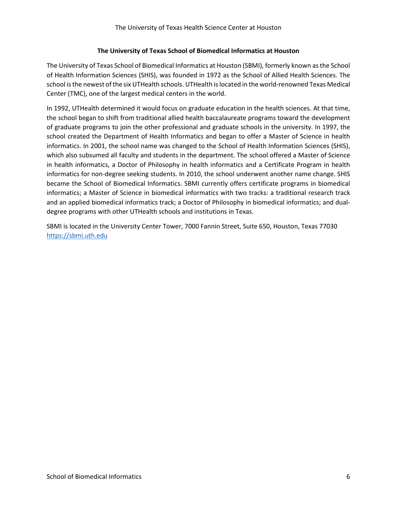#### **The University of Texas School of Biomedical Informatics at Houston**

The University of Texas School of Biomedical Informatics at Houston (SBMI), formerly known as the School of Health Information Sciences (SHIS), was founded in 1972 as the School of Allied Health Sciences. The school is the newest of the six UTHealth schools. UTHealth is located in the world-renowned Texas Medical Center (TMC), one of the largest medical centers in the world.

In 1992, UTHealth determined it would focus on graduate education in the health sciences. At that time, the school began to shift from traditional allied health baccalaureate programs toward the development of graduate programs to join the other professional and graduate schools in the university. In 1997, the school created the Department of Health Informatics and began to offer a Master of Science in health informatics. In 2001, the school name was changed to the School of Health Information Sciences (SHIS), which also subsumed all faculty and students in the department. The school offered a Master of Science in health informatics, a Doctor of Philosophy in health informatics and a Certificate Program in health informatics for non-degree seeking students. In 2010, the school underwent another name change. SHIS became the School of Biomedical Informatics. SBMI currently offers certificate programs in biomedical informatics; a Master of Science in biomedical informatics with two tracks: a traditional research track and an applied biomedical informatics track; a Doctor of Philosophy in biomedical informatics; and dualdegree programs with other UTHealth schools and institutions in Texas.

SBMI is located in the University Center Tower, 7000 Fannin Street, Suite 650, Houston, Texas 77030 [https://sbmi.uth.edu](https://sbmi.uth.edu/)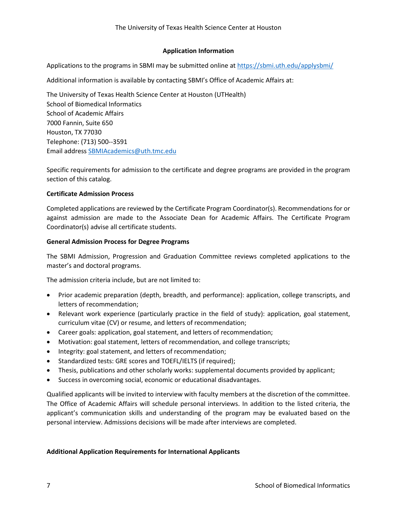#### **Application Information**

Applications to the programs in SBMI may be submitted online at<https://sbmi.uth.edu/applysbmi/>

Additional information is available by contacting SBMI's Office of Academic Affairs at:

The University of Texas Health Science Center at Houston (UTHealth) School of Biomedical Informatics School of Academic Affairs 7000 Fannin, Suite 650 Houston, TX 77030 Telephone: (713) 500-‐3591 Email address [SBMIAcademics@uth.tmc.edu](mailto:SBMIAcademics@uth.tmc.edu)

Specific requirements for admission to the certificate and degree programs are provided in the program section of this catalog.

#### **Certificate Admission Process**

Completed applications are reviewed by the Certificate Program Coordinator(s). Recommendations for or against admission are made to the Associate Dean for Academic Affairs. The Certificate Program Coordinator(s) advise all certificate students.

#### **General Admission Process for Degree Programs**

The SBMI Admission, Progression and Graduation Committee reviews completed applications to the master's and doctoral programs.

The admission criteria include, but are not limited to:

- Prior academic preparation (depth, breadth, and performance): application, college transcripts, and letters of recommendation;
- Relevant work experience (particularly practice in the field of study): application, goal statement, curriculum vitae (CV) or resume, and letters of recommendation;
- Career goals: application, goal statement, and letters of recommendation;
- Motivation: goal statement, letters of recommendation, and college transcripts;
- Integrity: goal statement, and letters of recommendation;
- Standardized tests: GRE scores and TOEFL/IELTS (if required);
- Thesis, publications and other scholarly works: supplemental documents provided by applicant;
- Success in overcoming social, economic or educational disadvantages.

Qualified applicants will be invited to interview with faculty members at the discretion of the committee. The Office of Academic Affairs will schedule personal interviews. In addition to the listed criteria, the applicant's communication skills and understanding of the program may be evaluated based on the personal interview. Admissions decisions will be made after interviews are completed.

#### **Additional Application Requirements for International Applicants**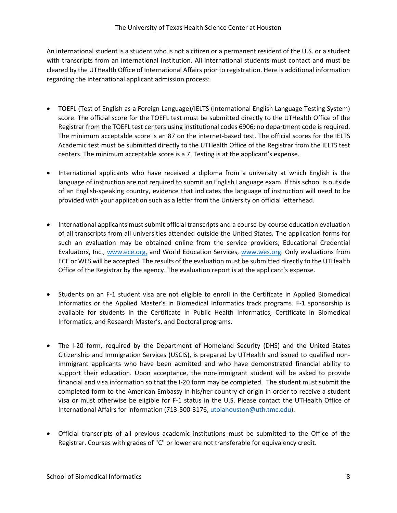An international student is a student who is not a citizen or a permanent resident of the U.S. or a student with transcripts from an international institution. All international students must contact and must be cleared by the UTHealth Office of International Affairs prior to registration. Here is additional information regarding the international applicant admission process:

- TOEFL (Test of English as a Foreign Language)/IELTS (International English Language Testing System) score. The official score for the TOEFL test must be submitted directly to the UTHealth Office of the Registrar from the TOEFL test centers using institutional codes 6906; no department code is required. The minimum acceptable score is an 87 on the internet-based test. The official scores for the IELTS Academic test must be submitted directly to the UTHealth Office of the Registrar from the IELTS test centers. The minimum acceptable score is a 7. Testing is at the applicant's expense.
- International applicants who have received a diploma from a university at which English is the language of instruction are not required to submit an English Language exam. If this school is outside of an English-speaking country, evidence that indicates the language of instruction will need to be provided with your application such as a letter from the University on official letterhead.
- International applicants must submit official transcripts and a course‐by‐course education evaluation of all transcripts from all universities attended outside the United States. The application forms for such an evaluation may be obtained online from the service providers, Educational Credential Evaluators, Inc., [www.ece.org,](http://www.ece.org/) and World Education Services, [www.wes.org.](http://www.wes.org/) Only evaluations from ECE or WES will be accepted. The results of the evaluation must be submitted directly to the UTHealth Office of the Registrar by the agency. The evaluation report is at the applicant's expense.
- Students on an F-1 student visa are not eligible to enroll in the Certificate in Applied Biomedical Informatics or the Applied Master's in Biomedical Informatics track programs. F-1 sponsorship is available for students in the Certificate in Public Health Informatics, Certificate in Biomedical Informatics, and Research Master's, and Doctoral programs.
- The I-20 form, required by the Department of Homeland Security (DHS) and the United States Citizenship and Immigration Services (USCIS), is prepared by UTHealth and issued to qualified nonimmigrant applicants who have been admitted and who have demonstrated financial ability to support their education. Upon acceptance, the non-immigrant student will be asked to provide financial and visa information so that the I‐20 form may be completed. The student must submit the completed form to the American Embassy in his/her country of origin in order to receive a student visa or must otherwise be eligible for F‐1 status in the U.S. Please contact the UTHealth Office of International Affairs for information (713-500-3176, [utoiahouston@uth.tmc.edu\)](mailto:utoiahouston@uth.tmc.edu).
- Official transcripts of all previous academic institutions must be submitted to the Office of the Registrar. Courses with grades of "C" or lower are not transferable for equivalency credit.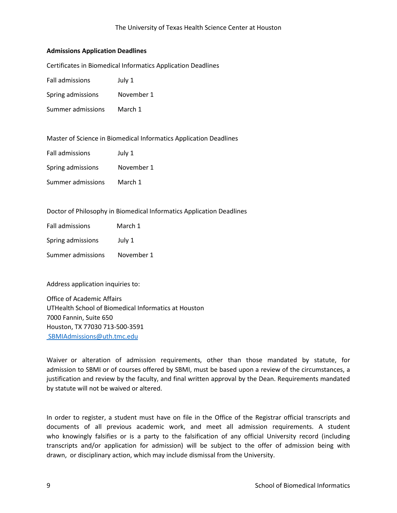#### **Admissions Application Deadlines**

Certificates in Biomedical Informatics Application Deadlines

Fall admissions July 1

Spring admissions November 1

Summer admissions March 1

Master of Science in Biomedical Informatics Application Deadlines

Fall admissions July 1

Spring admissions Movember 1

Summer admissions March 1

Doctor of Philosophy in Biomedical Informatics Application Deadlines

Fall admissions March 1

Spring admissions July 1

Summer admissions November 1

Address application inquiries to:

Office of Academic Affairs UTHealth School of Biomedical Informatics at Houston 7000 Fannin, Suite 650 Houston, TX 77030 713-500‐3591 SBMIAdmissions@uth.tmc.edu

Waiver or alteration of admission requirements, other than those mandated by statute, for admission to SBMI or of courses offered by SBMI, must be based upon a review of the circumstances, a justification and review by the faculty, and final written approval by the Dean. Requirements mandated by statute will not be waived or altered.

In order to register, a student must have on file in the Office of the Registrar official transcripts and documents of all previous academic work, and meet all admission requirements. A student who knowingly falsifies or is a party to the falsification of any official University record (including transcripts and/or application for admission) will be subject to the offer of admission being with drawn, or disciplinary action, which may include dismissal from the University.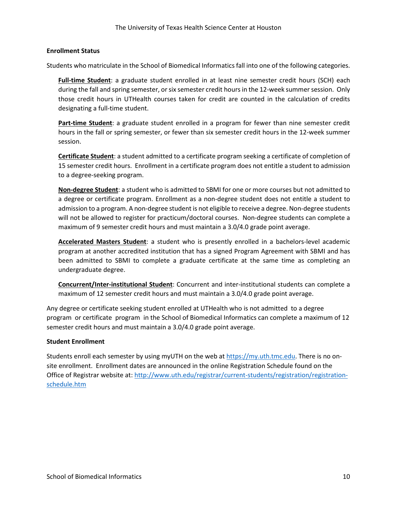#### **Enrollment Status**

Students who matriculate in the School of Biomedical Informatics fall into one of the following categories.

**Full-time Student**: a graduate student enrolled in at least nine semester credit hours (SCH) each during the fall and spring semester, or six semester credit hours in the 12‐week summer session. Only those credit hours in UTHealth courses taken for credit are counted in the calculation of credits designating a full‐time student.

**Part-time Student**: a graduate student enrolled in a program for fewer than nine semester credit hours in the fall or spring semester, or fewer than six semester credit hours in the 12‐week summer session.

**Certificate Student**: a student admitted to a certificate program seeking a certificate of completion of 15 semester credit hours. Enrollment in a certificate program does not entitle a student to admission to a degree-seeking program.

**Non-degree Student**: a student who is admitted to SBMI for one or more courses but not admitted to a degree or certificate program. Enrollment as a non‐degree student does not entitle a student to admission to a program. A non‐degree student is not eligible to receive a degree. Non-degree students will not be allowed to register for practicum/doctoral courses. Non-degree students can complete a maximum of 9 semester credit hours and must maintain a 3.0/4.0 grade point average.

**Accelerated Masters Student**: a student who is presently enrolled in a bachelors-level academic program at another accredited institution that has a signed Program Agreement with SBMI and has been admitted to SBMI to complete a graduate certificate at the same time as completing an undergraduate degree.

**Concurrent/Inter-institutional Student**: Concurrent and inter‐institutional students can complete a maximum of 12 semester credit hours and must maintain a 3.0/4.0 grade point average.

Any degree or certificate seeking student enrolled at UTHealth who is not admitted to a degree program or certificate program in the School of Biomedical Informatics can complete a maximum of 12 semester credit hours and must maintain a 3.0/4.0 grade point average.

# **Student Enrollment**

Students enroll each semester by using myUTH on the web at [https://my.uth.tmc.edu.](https://my.uth.tmc.edu/) There is no on‐ site enrollment. Enrollment dates are announced in the online Registration Schedule found on the Office of Registrar website at: [http://www.uth.edu/registrar/current-students/registration/registration](http://www.uth.edu/registrar/current-students/registration/registration-schedule.htm)[schedule.htm](http://www.uth.edu/registrar/current-students/registration/registration-schedule.htm)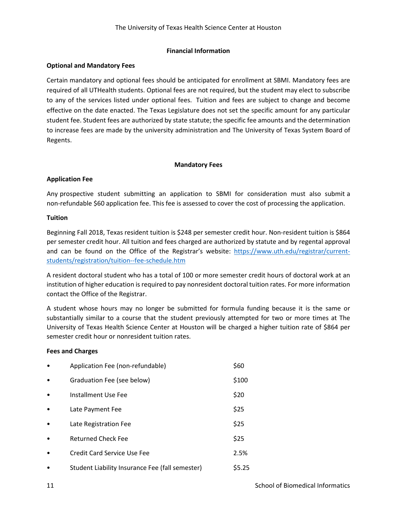#### **Financial Information**

#### **Optional and Mandatory Fees**

Certain mandatory and optional fees should be anticipated for enrollment at SBMI. Mandatory fees are required of all UTHealth students. Optional fees are not required, but the student may elect to subscribe to any of the services listed under optional fees. Tuition and fees are subject to change and become effective on the date enacted. The Texas Legislature does not set the specific amount for any particular student fee. Student fees are authorized by state statute; the specific fee amounts and the determination to increase fees are made by the university administration and The University of Texas System Board of Regents.

#### **Mandatory Fees**

#### **Application Fee**

Any prospective student submitting an application to SBMI for consideration must also submit a non-refundable \$60 application fee. This fee is assessed to cover the cost of processing the application.

#### **Tuition**

Beginning Fall 2018, Texas resident tuition is \$248 per semester credit hour. Non‐resident tuition is \$864 per semester credit hour. All tuition and fees charged are authorized by statute and by regental approval and can be found on the Office of the Registrar's website: [https://www.uth.edu/registrar/current](https://www.uth.edu/registrar/current-students/registration/tuition--fee-schedule.htm)[students/registration/tuition--fee-schedule.htm](https://www.uth.edu/registrar/current-students/registration/tuition--fee-schedule.htm)

A resident doctoral student who has a total of 100 or more semester credit hours of doctoral work at an institution of higher education is required to pay nonresident doctoral tuition rates. For more information contact the Office of the Registrar.

A student whose hours may no longer be submitted for formula funding because it is the same or substantially similar to a course that the student previously attempted for two or more times at The University of Texas Health Science Center at Houston will be charged a higher tuition rate of \$864 per semester credit hour or nonresident tuition rates.

#### **Fees and Charges**

| $\bullet$ | Application Fee (non-refundable)                | \$60   |
|-----------|-------------------------------------------------|--------|
| $\bullet$ | Graduation Fee (see below)                      | \$100  |
| $\bullet$ | Installment Use Fee                             | \$20   |
| $\bullet$ | Late Payment Fee                                | \$25   |
| $\bullet$ | Late Registration Fee                           | \$25   |
| $\bullet$ | <b>Returned Check Fee</b>                       | \$25   |
| $\bullet$ | Credit Card Service Use Fee                     | 2.5%   |
| $\bullet$ | Student Liability Insurance Fee (fall semester) | \$5.25 |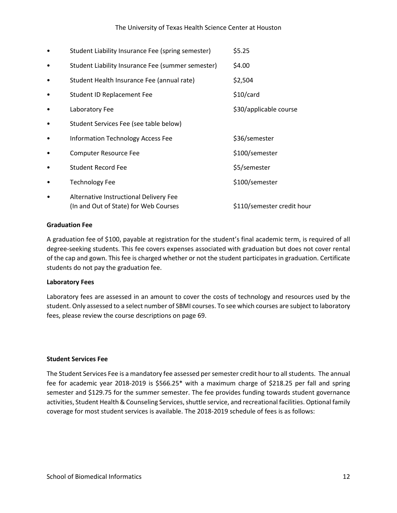|           | Student Liability Insurance Fee (spring semester)                               | \$5.25                     |
|-----------|---------------------------------------------------------------------------------|----------------------------|
| ٠         | Student Liability Insurance Fee (summer semester)                               | \$4.00                     |
| $\bullet$ | Student Health Insurance Fee (annual rate)                                      | \$2,504                    |
|           | Student ID Replacement Fee                                                      | \$10/card                  |
|           | Laboratory Fee                                                                  | \$30/applicable course     |
| ٠         | Student Services Fee (see table below)                                          |                            |
|           | <b>Information Technology Access Fee</b>                                        | \$36/semester              |
|           | <b>Computer Resource Fee</b>                                                    | \$100/semester             |
|           | <b>Student Record Fee</b>                                                       | \$5/semester               |
|           | <b>Technology Fee</b>                                                           | \$100/semester             |
|           | Alternative Instructional Delivery Fee<br>(In and Out of State) for Web Courses | \$110/semester credit hour |

#### **Graduation Fee**

A graduation fee of \$100, payable at registration for the student's final academic term, is required of all degree-seeking students. This fee covers expenses associated with graduation but does not cover rental of the cap and gown. This fee is charged whether or not the student participates in graduation. Certificate students do not pay the graduation fee.

#### **Laboratory Fees**

Laboratory fees are assessed in an amount to cover the costs of technology and resources used by the student. Only assessed to a select number of SBMI courses. To see which courses are subject to laboratory fees, please review the course descriptions on page 69.

#### **Student Services Fee**

The Student Services Fee is a mandatory fee assessed per semester credit hour to all students. The annual fee for academic year 2018-2019 is \$566.25\* with a maximum charge of \$218.25 per fall and spring semester and \$129.75 for the summer semester. The fee provides funding towards student governance activities, Student Health & Counseling Services, shuttle service, and recreational facilities. Optional family coverage for most student services is available. The 2018-2019 schedule of fees is as follows: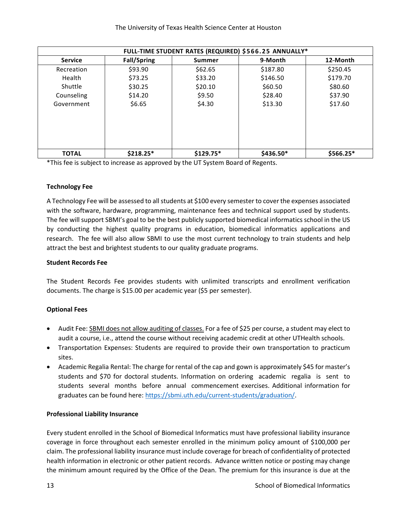| FULL-TIME STUDENT RATES (REQUIRED) \$566.25 ANNUALLY* |                    |               |           |            |
|-------------------------------------------------------|--------------------|---------------|-----------|------------|
| <b>Service</b>                                        | <b>Fall/Spring</b> | <b>Summer</b> | 9-Month   | 12-Month   |
| Recreation                                            | \$93.90            | \$62.65       | \$187.80  | \$250.45   |
| Health                                                | \$73.25            | \$33.20       | \$146.50  | \$179.70   |
| Shuttle                                               | \$30.25            | \$20.10       | \$60.50   | \$80.60    |
| Counseling                                            | \$14.20            | \$9.50        | \$28.40   | \$37.90    |
| Government                                            | \$6.65             | \$4.30        | \$13.30   | \$17.60    |
|                                                       |                    |               |           |            |
|                                                       |                    |               |           |            |
|                                                       |                    |               |           |            |
|                                                       |                    |               |           |            |
| <b>TOTAL</b>                                          | $$218.25*$         | $$129.75*$    | \$436.50* | $$566.25*$ |

\*This fee is subject to increase as approved by the UT System Board of Regents.

#### **Technology Fee**

A Technology Fee will be assessed to all students at \$100 every semester to cover the expenses associated with the software, hardware, programming, maintenance fees and technical support used by students. The fee will support SBMI's goal to be the best publicly supported biomedical informatics school in the US by conducting the highest quality programs in education, biomedical informatics applications and research. The fee will also allow SBMI to use the most current technology to train students and help attract the best and brightest students to our quality graduate programs.

#### **Student Records Fee**

The Student Records Fee provides students with unlimited transcripts and enrollment verification documents. The charge is \$15.00 per academic year (\$5 per semester).

# **Optional Fees**

- Audit Fee: SBMI does not allow auditing of classes. For a fee of \$25 per course, a student may elect to audit a course, i.e., attend the course without receiving academic credit at other UTHealth schools.
- Transportation Expenses: Students are required to provide their own transportation to practicum sites.
- Academic Regalia Rental: The charge for rental of the cap and gown is approximately \$45 for master's students and \$70 for doctoral students. Information on ordering academic regalia is sent to students several months before annual commencement exercises. Additional information for graduates can be found here: [https://sbmi.uth.edu/current-students/graduation/.](https://sbmi.uth.edu/current-students/graduation/)

#### **Professional Liability Insurance**

Every student enrolled in the School of Biomedical Informatics must have professional liability insurance coverage in force throughout each semester enrolled in the minimum policy amount of \$100,000 per claim. The professional liability insurance must include coverage for breach of confidentiality of protected health information in electronic or other patient records. Advance written notice or posting may change the minimum amount required by the Office of the Dean. The premium for this insurance is due at the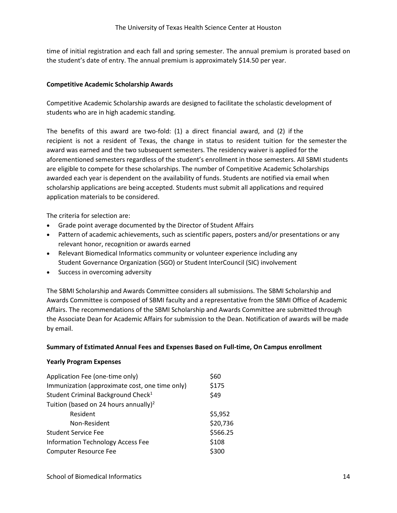time of initial registration and each fall and spring semester. The annual premium is prorated based on the student's date of entry. The annual premium is approximately \$14.50 per year.

#### **Competitive Academic Scholarship Awards**

Competitive Academic Scholarship awards are designed to facilitate the scholastic development of students who are in high academic standing.

The benefits of this award are two-fold:  $(1)$  a direct financial award, and  $(2)$  if the recipient is not a resident of Texas, the change in status to resident tuition for the semester the award was earned and the two subsequent semesters. The residency waiver is applied for the aforementioned semesters regardless of the student's enrollment in those semesters. All SBMI students are eligible to compete for these scholarships. The number of Competitive Academic Scholarships awarded each year is dependent on the availability of funds. Students are notified via email when scholarship applications are being accepted. Students must submit all applications and required application materials to be considered.

The criteria for selection are:

- Grade point average documented by the Director of Student Affairs
- Pattern of academic achievements, such as scientific papers, posters and/or presentations or any relevant honor, recognition or awards earned
- Relevant Biomedical Informatics community or volunteer experience including any Student Governance Organization (SGO) or Student InterCouncil (SIC) involvement
- Success in overcoming adversity

The SBMI Scholarship and Awards Committee considers all submissions. The SBMI Scholarship and Awards Committee is composed of SBMI faculty and a representative from the SBMI Office of Academic Affairs. The recommendations of the SBMI Scholarship and Awards Committee are submitted through the Associate Dean for Academic Affairs for submission to the Dean. Notification of awards will be made by email.

#### **Summary of Estimated Annual Fees and Expenses Based on Full-time, On Campus enrollment**

#### **Yearly Program Expenses**

| Application Fee (one-time only)                   | \$60     |
|---------------------------------------------------|----------|
| Immunization (approximate cost, one time only)    | \$175    |
| Student Criminal Background Check <sup>1</sup>    | \$49     |
| Tuition (based on 24 hours annually) <sup>2</sup> |          |
| Resident                                          | \$5,952  |
| Non-Resident                                      | \$20,736 |
| <b>Student Service Fee</b>                        | \$566.25 |
| Information Technology Access Fee                 | \$108    |
| <b>Computer Resource Fee</b>                      | \$300    |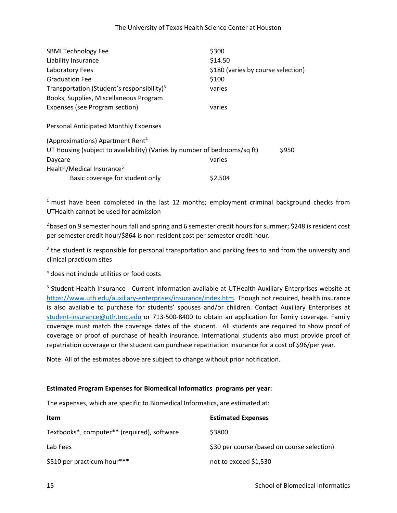| \$300                                                                              |
|------------------------------------------------------------------------------------|
| \$14.50                                                                            |
| \$180 (varies by course selection)                                                 |
| \$100                                                                              |
| varies                                                                             |
|                                                                                    |
| varies                                                                             |
|                                                                                    |
|                                                                                    |
| UT Housing (subject to availability) (Varies by number of bedrooms/sq ft)<br>\$950 |
| varies                                                                             |
|                                                                                    |
| \$2,504                                                                            |
|                                                                                    |

<sup>1</sup> must have been completed in the last 12 months; employment criminal background checks from UTHealth cannot be used for admission

<sup>2</sup> based on 9 semester hours fall and spring and 6 semester credit hours for summer; \$248 is resident cost per semester credit hour/\$864 is non‐resident cost per semester credit hour.

 $3$  the student is responsible for personal transportation and parking fees to and from the university and clinical practicum sites

<sup>4</sup> does not include utilities or food costs

<sup>5</sup> Student Health Insurance - Current information available at UTHealth Auxiliary Enterprises website at [https://www.uth.edu/auxiliary-enterprises/insurance/index.htm.](https://www.uth.edu/auxiliary-enterprises/insurance/index.htm) Though not required, health insurance is also available to purchase for students' spouses and/or children. Contact Auxiliary Enterprises at [student-insurance@uth.tmc.edu](mailto:student-insurance@uth.tmc.edu) or 713-500-8400 to obtain an application for family coverage. Family coverage must match the coverage dates of the student. All students are required to show proof of coverage or proof of purchase of health insurance. International students also must provide proof of repatriation coverage or the student can purchase repatriation insurance for a cost of \$96/per year.

Note: All of the estimates above are subject to change without prior notification.

#### **Estimated Program Expenses for Biomedical Informatics programs per year:**

The expenses, which are specific to Biomedical Informatics, are estimated at:

| <b>Item</b>                                 | <b>Estimated Expenses</b>                   |
|---------------------------------------------|---------------------------------------------|
| Textbooks*, computer** (required), software | \$3800                                      |
| Lab Fees                                    | \$30 per course (based on course selection) |
| \$510 per practicum hour***                 | not to exceed \$1,530                       |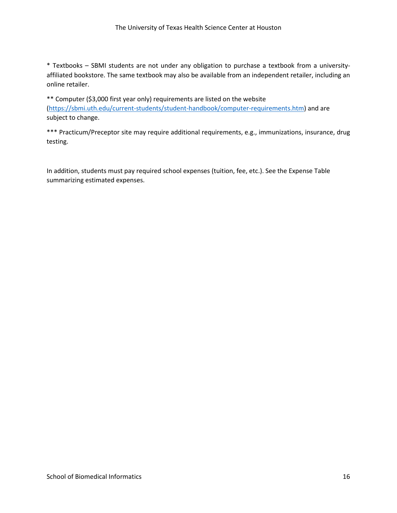\* Textbooks – SBMI students are not under any obligation to purchase a textbook from a university‐ affiliated bookstore. The same textbook may also be available from an independent retailer, including an online retailer.

\*\* Computer (\$3,000 first year only) requirements are listed on the website [\(https://sbmi.uth.edu/current-students/student-handbook/computer-requirements.htm\)](https://sbmi.uth.edu/current-students/student-handbook/computer-requirements.htm) and are subject to change.

\*\*\* Practicum/Preceptor site may require additional requirements, e.g., immunizations, insurance, drug testing.

In addition, students must pay required school expenses (tuition, fee, etc.). See the Expense Table summarizing estimated expenses.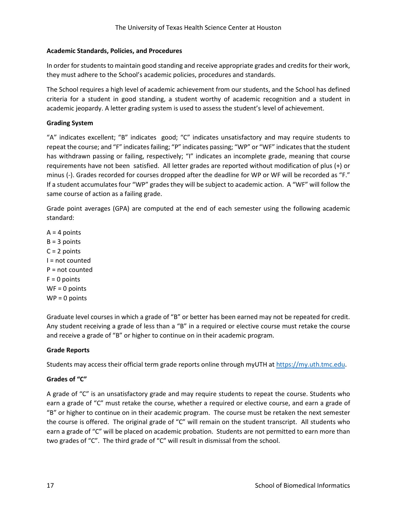#### **Academic Standards, Policies, and Procedures**

In order for students to maintain good standing and receive appropriate grades and credits for their work, they must adhere to the School's academic policies, procedures and standards.

The School requires a high level of academic achievement from our students, and the School has defined criteria for a student in good standing, a student worthy of academic recognition and a student in academic jeopardy. A letter grading system is used to assess the student's level of achievement.

#### **Grading System**

"A" indicates excellent; "B" indicates good; "C" indicates unsatisfactory and may require students to repeat the course; and "F" indicates failing; "P" indicates passing; "WP" or "WF" indicates that the student has withdrawn passing or failing, respectively; "I" indicates an incomplete grade, meaning that course requirements have not been satisfied. All letter grades are reported without modification of plus (+) or minus (-). Grades recorded for courses dropped after the deadline for WP or WF will be recorded as "F." If a student accumulates four "WP" grades they will be subject to academic action. A "WF" will follow the same course of action as a failing grade.

Grade point averages (GPA) are computed at the end of each semester using the following academic standard:

 $A = 4$  points  $B = 3$  points  $C = 2$  points I = not counted P = not counted  $F = 0$  points WF = 0 points  $WP = 0$  points

Graduate level courses in which a grade of "B" or better has been earned may not be repeated for credit. Any student receiving a grade of less than a "B" in a required or elective course must retake the course and receive a grade of "B" or higher to continue on in their academic program.

#### **Grade Reports**

Students may access their official term grade reports online through myUTH at [https://my.uth.tmc.edu.](https://my.uth.tmc.edu/)

# **Grades of "C"**

A grade of "C" is an unsatisfactory grade and may require students to repeat the course. Students who earn a grade of "C" must retake the course, whether a required or elective course, and earn a grade of "B" or higher to continue on in their academic program. The course must be retaken the next semester the course is offered. The original grade of "C" will remain on the student transcript. All students who earn a grade of "C" will be placed on academic probation. Students are not permitted to earn more than two grades of "C". The third grade of "C" will result in dismissal from the school.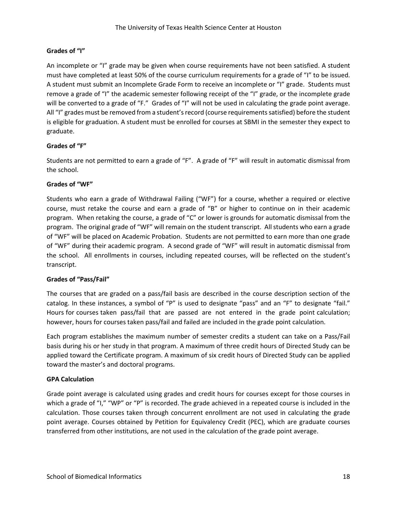#### **Grades of "I"**

An incomplete or "I" grade may be given when course requirements have not been satisfied. A student must have completed at least 50% of the course curriculum requirements for a grade of "I" to be issued. A student must submit an Incomplete Grade Form to receive an incomplete or "I" grade. Students must remove a grade of "I" the academic semester following receipt of the "I" grade, or the incomplete grade will be converted to a grade of "F." Grades of "I" will not be used in calculating the grade point average. All "I" grades must be removed from a student's record (course requirements satisfied) before the student is eligible for graduation. A student must be enrolled for courses at SBMI in the semester they expect to graduate.

#### **Grades of "F"**

Students are not permitted to earn a grade of "F". A grade of "F" will result in automatic dismissal from the school.

#### **Grades of "WF"**

Students who earn a grade of Withdrawal Failing ("WF") for a course, whether a required or elective course, must retake the course and earn a grade of "B" or higher to continue on in their academic program. When retaking the course, a grade of "C" or lower is grounds for automatic dismissal from the program. The original grade of "WF" will remain on the student transcript. All students who earn a grade of "WF" will be placed on Academic Probation. Students are not permitted to earn more than one grade of "WF" during their academic program. A second grade of "WF" will result in automatic dismissal from the school. All enrollments in courses, including repeated courses, will be reflected on the student's transcript.

#### **Grades of "Pass/Fail"**

The courses that are graded on a pass/fail basis are described in the course description section of the catalog. In these instances, a symbol of "P" is used to designate "pass" and an "F" to designate "fail." Hours for courses taken pass/fail that are passed are not entered in the grade point calculation; however, hours for courses taken pass/fail and failed are included in the grade point calculation.

Each program establishes the maximum number of semester credits a student can take on a Pass/Fail basis during his or her study in that program. A maximum of three credit hours of Directed Study can be applied toward the Certificate program. A maximum of six credit hours of Directed Study can be applied toward the master's and doctoral programs.

#### **GPA Calculation**

Grade point average is calculated using grades and credit hours for courses except for those courses in which a grade of "I," "WP" or "P" is recorded. The grade achieved in a repeated course is included in the calculation. Those courses taken through concurrent enrollment are not used in calculating the grade point average. Courses obtained by Petition for Equivalency Credit (PEC), which are graduate courses transferred from other institutions, are not used in the calculation of the grade point average.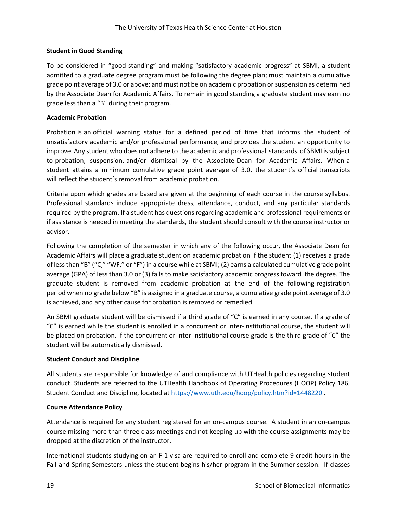#### **Student in Good Standing**

To be considered in "good standing" and making "satisfactory academic progress" at SBMI, a student admitted to a graduate degree program must be following the degree plan; must maintain a cumulative grade point average of 3.0 or above; and must not be on academic probation or suspension as determined by the Associate Dean for Academic Affairs. To remain in good standing a graduate student may earn no grade less than a "B" during their program.

#### **Academic Probation**

Probation is an official warning status for a defined period of time that informs the student of unsatisfactory academic and/or professional performance, and provides the student an opportunity to improve. Any student who does not adhere to the academic and professional standards of SBMI is subject to probation, suspension, and/or dismissal by the Associate Dean for Academic Affairs. When a student attains a minimum cumulative grade point average of 3.0, the student's official transcripts will reflect the student's removal from academic probation.

Criteria upon which grades are based are given at the beginning of each course in the course syllabus. Professional standards include appropriate dress, attendance, conduct, and any particular standards required by the program. If a student has questions regarding academic and professional requirements or if assistance is needed in meeting the standards, the student should consult with the course instructor or advisor.

Following the completion of the semester in which any of the following occur, the Associate Dean for Academic Affairs will place a graduate student on academic probation if the student (1) receives a grade of less than "B" ("C," "WF," or "F") in a course while at SBMI; (2) earns a calculated cumulative grade point average (GPA) of less than 3.0 or (3) fails to make satisfactory academic progress toward the degree. The graduate student is removed from academic probation at the end of the following registration period when no grade below "B" is assigned in a graduate course, a cumulative grade point average of 3.0 is achieved, and any other cause for probation is removed or remedied.

An SBMI graduate student will be dismissed if a third grade of "C" is earned in any course. If a grade of "C" is earned while the student is enrolled in a concurrent or inter-institutional course, the student will be placed on probation. If the concurrent or inter-institutional course grade is the third grade of "C" the student will be automatically dismissed.

# **Student Conduct and Discipline**

All students are responsible for knowledge of and compliance with UTHealth policies regarding student conduct. Students are referred to the UTHealth Handbook of Operating Procedures (HOOP) Policy 186, Student Conduct and Discipline, located at<https://www.uth.edu/hoop/policy.htm?id=1448220> .

# **Course Attendance Policy**

Attendance is required for any student registered for an on-campus course. A student in an on-campus course missing more than three class meetings and not keeping up with the course assignments may be dropped at the discretion of the instructor.

International students studying on an F-1 visa are required to enroll and complete 9 credit hours in the Fall and Spring Semesters unless the student begins his/her program in the Summer session. If classes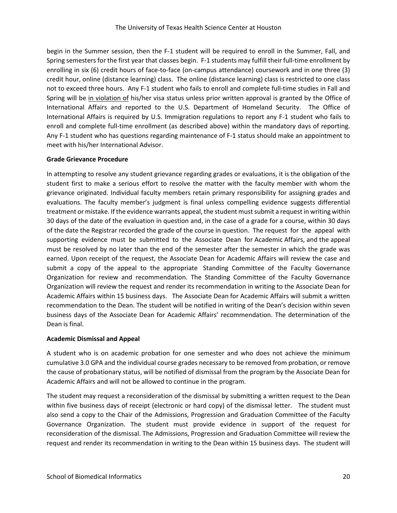begin in the Summer session, then the F-1 student will be required to enroll in the Summer, Fall, and Spring semesters for the first year that classes begin. F-1 students may fulfill their full-time enrollment by enrolling in six (6) credit hours of face-to-face (on-campus attendance) coursework and in one three (3) credit hour, online (distance learning) class. The online (distance learning) class is restricted to one class not to exceed three hours. Any F-1 student who fails to enroll and complete full-time studies in Fall and Spring will be in violation of his/her visa status unless prior written approval is granted by the Office of International Affairs and reported to the U.S. Department of Homeland Security. The Office of International Affairs is required by U.S. Immigration regulations to report any F-1 student who fails to enroll and complete full-time enrollment (as described above) within the mandatory days of reporting. Any F-1 student who has questions regarding maintenance of F-1 status should make an appointment to meet with his/her International Advisor.

#### **Grade Grievance Procedure**

In attempting to resolve any student grievance regarding grades or evaluations, it is the obligation of the student first to make a serious effort to resolve the matter with the faculty member with whom the grievance originated. Individual faculty members retain primary responsibility for assigning grades and evaluations. The faculty member's judgment is final unless compelling evidence suggests differential treatment or mistake. If the evidence warrants appeal, the student must submit a request in writing within 30 days of the date of the evaluation in question and, in the case of a grade for a course, within 30 days of the date the Registrar recorded the grade of the course in question. The request for the appeal with supporting evidence must be submitted to the Associate Dean for Academic Affairs, and the appeal must be resolved by no later than the end of the semester after the semester in which the grade was earned. Upon receipt of the request, the Associate Dean for Academic Affairs will review the case and submit a copy of the appeal to the appropriate Standing Committee of the Faculty Governance Organization for review and recommendation. The Standing Committee of the Faculty Governance Organization will review the request and render its recommendation in writing to the Associate Dean for Academic Affairs within 15 business days. The Associate Dean for Academic Affairs will submit a written recommendation to the Dean. The student will be notified in writing of the Dean's decision within seven business days of the Associate Dean for Academic Affairs' recommendation. The determination of the Dean is final.

#### **Academic Dismissal and Appeal**

A student who is on academic probation for one semester and who does not achieve the minimum cumulative 3.0 GPA and the individual course grades necessary to be removed from probation, or remove the cause of probationary status, will be notified of dismissal from the program by the Associate Dean for Academic Affairs and will not be allowed to continue in the program.

The student may request a reconsideration of the dismissal by submitting a written request to the Dean within five business days of receipt (electronic or hard copy) of the dismissal letter. The student must also send a copy to the Chair of the Admissions, Progression and Graduation Committee of the Faculty Governance Organization. The student must provide evidence in support of the request for reconsideration of the dismissal. The Admissions, Progression and Graduation Committee will review the request and render its recommendation in writing to the Dean within 15 business days. The student will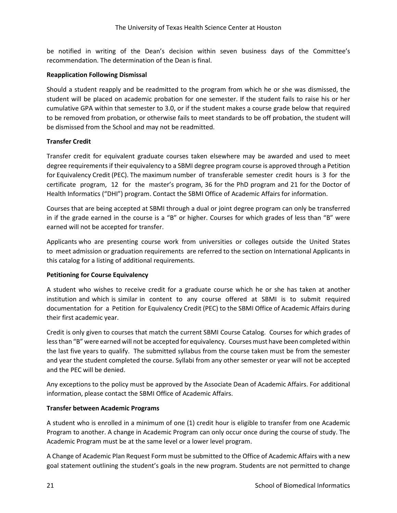be notified in writing of the Dean's decision within seven business days of the Committee's recommendation. The determination of the Dean is final.

#### **Reapplication Following Dismissal**

Should a student reapply and be readmitted to the program from which he or she was dismissed, the student will be placed on academic probation for one semester. If the student fails to raise his or her cumulative GPA within that semester to 3.0, or if the student makes a course grade below that required to be removed from probation, or otherwise fails to meet standards to be off probation, the student will be dismissed from the School and may not be readmitted.

#### **Transfer Credit**

Transfer credit for equivalent graduate courses taken elsewhere may be awarded and used to meet degree requirements if their equivalency to a SBMI degree program course is approved through a Petition for Equivalency Credit (PEC). The maximum number of transferable semester credit hours is 3 for the certificate program, 12 for the master's program, 36 for the PhD program and 21 for the Doctor of Health Informatics ("DHI") program. Contact the SBMI Office of Academic Affairs for information.

Courses that are being accepted at SBMI through a dual or joint degree program can only be transferred in if the grade earned in the course is a "B" or higher. Courses for which grades of less than "B" were earned will not be accepted for transfer.

Applicants who are presenting course work from universities or colleges outside the United States to meet admission or graduation requirements are referred to the section on International Applicants in this catalog for a listing of additional requirements.

# **Petitioning for Course Equivalency**

A student who wishes to receive credit for a graduate course which he or she has taken at another institution and which is similar in content to any course offered at SBMI is to submit required documentation for a Petition for Equivalency Credit (PEC) to the SBMI Office of Academic Affairs during their first academic year.

Credit is only given to courses that match the current SBMI Course Catalog. Courses for which grades of less than "B" were earned will not be accepted for equivalency. Courses must have been completed within the last five years to qualify. The submitted syllabus from the course taken must be from the semester and year the student completed the course. Syllabi from any other semester or year will not be accepted and the PEC will be denied.

Any exceptions to the policy must be approved by the Associate Dean of Academic Affairs. For additional information, please contact the SBMI Office of Academic Affairs.

#### **Transfer between Academic Programs**

A student who is enrolled in a minimum of one (1) credit hour is eligible to transfer from one Academic Program to another. A change in Academic Program can only occur once during the course of study. The Academic Program must be at the same level or a lower level program.

A Change of Academic Plan Request Form must be submitted to the Office of Academic Affairs with a new goal statement outlining the student's goals in the new program. Students are not permitted to change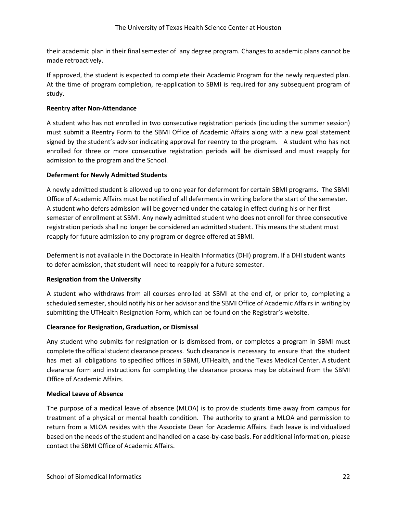their academic plan in their final semester of any degree program. Changes to academic plans cannot be made retroactively.

If approved, the student is expected to complete their Academic Program for the newly requested plan. At the time of program completion, re-application to SBMI is required for any subsequent program of study.

#### **Reentry after Non-Attendance**

A student who has not enrolled in two consecutive registration periods (including the summer session) must submit a Reentry Form to the SBMI Office of Academic Affairs along with a new goal statement signed by the student's advisor indicating approval for reentry to the program. A student who has not enrolled for three or more consecutive registration periods will be dismissed and must reapply for admission to the program and the School.

#### **Deferment for Newly Admitted Students**

A newly admitted student is allowed up to one year for deferment for certain SBMI programs. The SBMI Office of Academic Affairs must be notified of all deferments in writing before the start of the semester. A student who defers admission will be governed under the catalog in effect during his or her first semester of enrollment at SBMI. Any newly admitted student who does not enroll for three consecutive registration periods shall no longer be considered an admitted student. This means the student must reapply for future admission to any program or degree offered at SBMI.

Deferment is not available in the Doctorate in Health Informatics (DHI) program. If a DHI student wants to defer admission, that student will need to reapply for a future semester.

# **Resignation from the University**

A student who withdraws from all courses enrolled at SBMI at the end of, or prior to, completing a scheduled semester, should notify his or her advisor and the SBMI Office of Academic Affairs in writing by submitting the UTHealth Resignation Form, which can be found on the Registrar's website.

#### **Clearance for Resignation, Graduation, or Dismissal**

Any student who submits for resignation or is dismissed from, or completes a program in SBMI must complete the official student clearance process. Such clearance is necessary to ensure that the student has met all obligations to specified offices in SBMI, UTHealth, and the Texas Medical Center. A student clearance form and instructions for completing the clearance process may be obtained from the SBMI Office of Academic Affairs.

#### **Medical Leave of Absence**

The purpose of a medical leave of absence (MLOA) is to provide students time away from campus for treatment of a physical or mental health condition. The authority to grant a MLOA and permission to return from a MLOA resides with the Associate Dean for Academic Affairs. Each leave is individualized based on the needs of the student and handled on a case-by-case basis. For additional information, please contact the SBMI Office of Academic Affairs.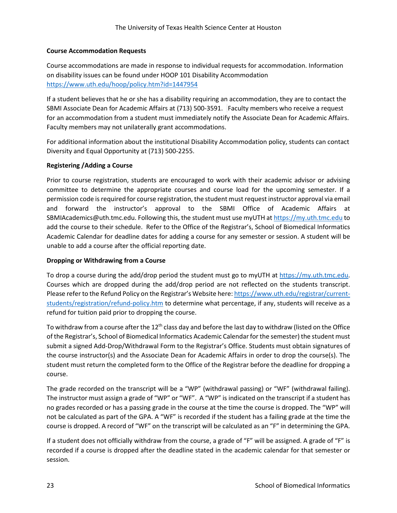#### **Course Accommodation Requests**

Course accommodations are made in response to individual requests for accommodation. Information on disability issues can be found under HOOP 101 Disability Accommodation <https://www.uth.edu/hoop/policy.htm?id=1447954>

If a student believes that he or she has a disability requiring an accommodation, they are to contact the SBMI Associate Dean for Academic Affairs at (713) 500-3591. Faculty members who receive a request for an accommodation from a student must immediately notify the Associate Dean for Academic Affairs. Faculty members may not unilaterally grant accommodations.

For additional information about the institutional Disability Accommodation policy, students can contact Diversity and Equal Opportunity at (713) 500-2255.

#### **Registering /Adding a Course**

Prior to course registration, students are encouraged to work with their academic advisor or advising committee to determine the appropriate courses and course load for the upcoming semester. If a permission code is required for course registration, the student must request instructor approval via email and forward the instructor's approval to the SBMI Office of Academic Affairs at SBMIAcademics@uth.tmc.edu. Following this, the student must use myUTH a[t https://my.uth.tmc.edu](https://my.uth.tmc.edu/) to add the course to their schedule. Refer to the Office of the Registrar's, School of Biomedical Informatics Academic Calendar for deadline dates for adding a course for any semester or session. A student will be unable to add a course after the official reporting date.

#### **Dropping or Withdrawing from a Course**

To drop a course during the add/drop period the student must go to myUTH at [https://my.uth.tmc.edu.](https://my.uth.tmc.edu/) Courses which are dropped during the add/drop period are not reflected on the students transcript. Please refer to the Refund Policy on the Registrar's Website here[: https://www.uth.edu/registrar/current](https://www.uth.edu/registrar/current-students/registration/refund-policy.htm)[students/registration/refund-policy.htm](https://www.uth.edu/registrar/current-students/registration/refund-policy.htm) to determine what percentage, if any, students will receive as a refund for tuition paid prior to dropping the course.

To withdraw from a course after the  $12^{th}$  class day and before the last day to withdraw (listed on the Office of the Registrar's, School of Biomedical Informatics Academic Calendar for the semester) the student must submit a signed Add-Drop/Withdrawal Form to the Registrar's Office. Students must obtain signatures of the course instructor(s) and the Associate Dean for Academic Affairs in order to drop the course(s). The student must return the completed form to the Office of the Registrar before the deadline for dropping a course.

The grade recorded on the transcript will be a "WP" (withdrawal passing) or "WF" (withdrawal failing). The instructor must assign a grade of "WP" or "WF". A "WP" is indicated on the transcript if a student has no grades recorded or has a passing grade in the course at the time the course is dropped. The "WP" will not be calculated as part of the GPA. A "WF" is recorded if the student has a failing grade at the time the course is dropped. A record of "WF" on the transcript will be calculated as an "F" in determining the GPA.

If a student does not officially withdraw from the course, a grade of "F" will be assigned. A grade of "F" is recorded if a course is dropped after the deadline stated in the academic calendar for that semester or session.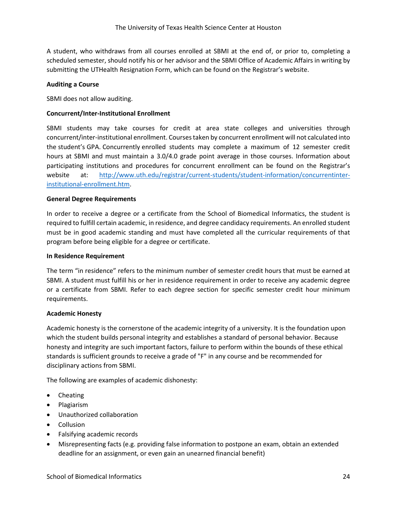A student, who withdraws from all courses enrolled at SBMI at the end of, or prior to, completing a scheduled semester, should notify his or her advisor and the SBMI Office of Academic Affairs in writing by submitting the UTHealth Resignation Form, which can be found on the Registrar's website.

#### **Auditing a Course**

SBMI does not allow auditing.

#### **Concurrent/Inter-Institutional Enrollment**

SBMI students may take courses for credit at area state colleges and universities through concurrent/inter-institutional enrollment. Courses taken by concurrent enrollment will not calculated into the student's GPA. Concurrently enrolled students may complete a maximum of 12 semester credit hours at SBMI and must maintain a 3.0/4.0 grade point average in those courses. Information about participating institutions and procedures for concurrent enrollment can be found on the Registrar's website at: [http://www.uth.edu/registrar/current-students/student-information/concurrentinter](http://www.uth.edu/registrar/current-students/student-information/concurrentinter-institutional-enrollment.htm)[institutional-enrollment.htm.](http://www.uth.edu/registrar/current-students/student-information/concurrentinter-institutional-enrollment.htm)

#### **General Degree Requirements**

In order to receive a degree or a certificate from the School of Biomedical Informatics, the student is required to fulfill certain academic, in residence, and degree candidacy requirements. An enrolled student must be in good academic standing and must have completed all the curricular requirements of that program before being eligible for a degree or certificate.

#### **In Residence Requirement**

The term "in residence" refers to the minimum number of semester credit hours that must be earned at SBMI. A student must fulfill his or her in residence requirement in order to receive any academic degree or a certificate from SBMI. Refer to each degree section for specific semester credit hour minimum requirements.

#### **Academic Honesty**

Academic honesty is the cornerstone of the academic integrity of a university. It is the foundation upon which the student builds personal integrity and establishes a standard of personal behavior. Because honesty and integrity are such important factors, failure to perform within the bounds of these ethical standards is sufficient grounds to receive a grade of "F" in any course and be recommended for disciplinary actions from SBMI.

The following are examples of academic dishonesty:

- Cheating
- Plagiarism
- Unauthorized collaboration
- Collusion
- Falsifying academic records
- Misrepresenting facts (e.g. providing false information to postpone an exam, obtain an extended deadline for an assignment, or even gain an unearned financial benefit)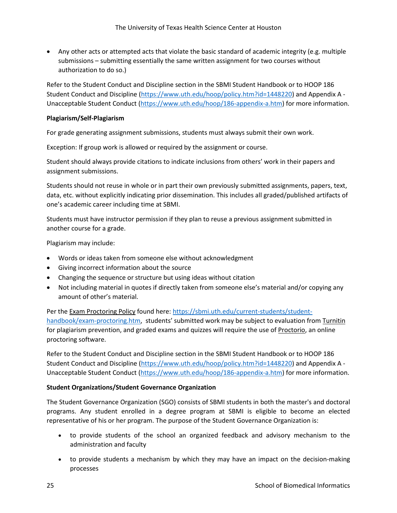• Any other acts or attempted acts that violate the basic standard of academic integrity (e.g. multiple submissions – submitting essentially the same written assignment for two courses without authorization to do so.)

Refer to the [Student Conduct and Discipline](https://www.uth.edu/hoop/policy.htm?id=1448220) section in the SBMI Student Handbook or to [HOOP 186](https://www.uth.edu/hoop/policy.htm?id=1448220)  [Student Conduct and Discipline](https://www.uth.edu/hoop/policy.htm?id=1448220) [\(https://www.uth.edu/hoop/policy.htm?id=1448220\)](https://www.uth.edu/hoop/policy.htm?id=1448220) an[d Appendix A -](https://www.uth.edu/hoop/186-appendix-a.htm)[Unacceptable Student Conduct](https://www.uth.edu/hoop/186-appendix-a.htm) [\(https://www.uth.edu/hoop/186-appendix-a.htm\)](https://www.uth.edu/hoop/186-appendix-a.htm) for more information.

#### **Plagiarism/Self-Plagiarism**

For grade generating assignment submissions, students must always submit their own work.

Exception: If group work is allowed or required by the assignment or course.

Student should always provide citations to indicate inclusions from others' work in their papers and assignment submissions.

Students should not reuse in whole or in part their own previously submitted assignments, papers, text, data, etc. without explicitly indicating prior dissemination. This includes all graded/published artifacts of one's academic career including time at SBMI.

Students must have instructor permission if they plan to reuse a previous assignment submitted in another course for a grade.

Plagiarism may include:

- Words or ideas taken from someone else without acknowledgment
- Giving incorrect information about the source
- Changing the sequence or structure but using ideas without citation
- Not including material in quotes if directly taken from someone else's material and/or copying any amount of other's material.

Per the Exam [Proctoring](https://sbmi.uth.edu/current-students/student-handbook/exam-proctoring.htm) Policy found here: [https://sbmi.uth.edu/current-students/student](https://sbmi.uth.edu/current-students/student-handbook/exam-proctoring.htm)[handbook/exam-proctoring.htm,](https://sbmi.uth.edu/current-students/student-handbook/exam-proctoring.htm) students' submitted work may be subject to evaluation fro[m Turnitin](http://turnitin.com/) for plagiarism prevention, and graded exams and quizzes will require the use of [Proctorio,](https://proctorio.com/) an online proctoring software.

Refer to the Student Conduct and Discipline section in the SBMI Student Handbook or to HOOP 186 Student Conduct and Discipline [\(https://www.uth.edu/hoop/policy.htm?id=1448220\)](https://www.uth.edu/hoop/policy.htm?id=1448220) and Appendix A -Unacceptable Student Conduct [\(https://www.uth.edu/hoop/186-appendix-a.htm\)](https://www.uth.edu/hoop/186-appendix-a.htm) for more information.

#### **Student Organizations/Student Governance Organization**

The Student Governance Organization (SGO) consists of SBMI students in both the master's and doctoral programs. Any student enrolled in a degree program at SBMI is eligible to become an elected representative of his or her program. The purpose of the Student Governance Organization is:

- to provide students of the school an organized feedback and advisory mechanism to the administration and faculty
- to provide students a mechanism by which they may have an impact on the decision-making processes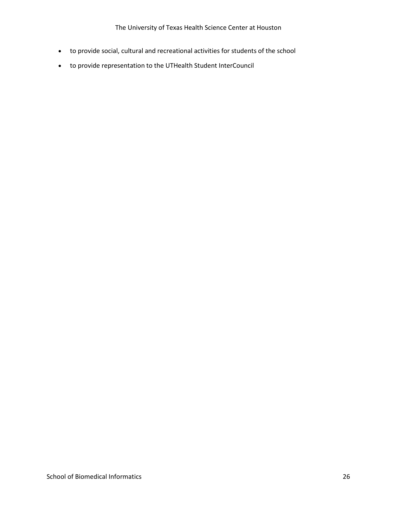- to provide social, cultural and recreational activities for students of the school
- to provide representation to the UTHealth Student InterCouncil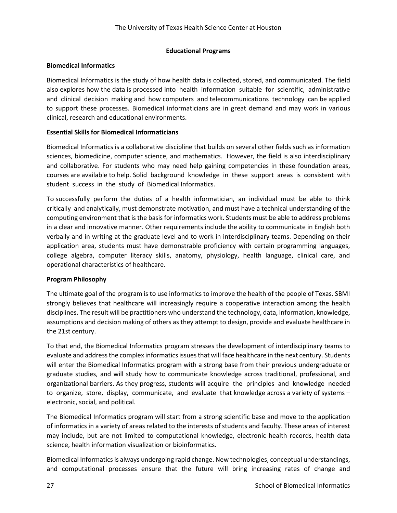#### **Educational Programs**

#### **Biomedical Informatics**

Biomedical Informatics is the study of how health data is collected, stored, and communicated. The field also explores how the data is processed into health information suitable for scientific, administrative and clinical decision making and how computers and telecommunications technology can be applied to support these processes. Biomedical informaticians are in great demand and may work in various clinical, research and educational environments.

#### **Essential Skills for Biomedical Informaticians**

Biomedical Informatics is a collaborative discipline that builds on several other fields such as information sciences, biomedicine, computer science, and mathematics. However, the field is also interdisciplinary and collaborative. For students who may need help gaining competencies in these foundation areas, courses are available to help. Solid background knowledge in these support areas is consistent with student success in the study of Biomedical Informatics.

To successfully perform the duties of a health informatician, an individual must be able to think critically and analytically, must demonstrate motivation, and must have a technical understanding of the computing environment that is the basis for informatics work. Students must be able to address problems in a clear and innovative manner. Other requirements include the ability to communicate in English both verbally and in writing at the graduate level and to work in interdisciplinary teams. Depending on their application area, students must have demonstrable proficiency with certain programming languages, college algebra, computer literacy skills, anatomy, physiology, health language, clinical care, and operational characteristics of healthcare.

#### **Program Philosophy**

The ultimate goal of the program is to use informatics to improve the health of the people of Texas. SBMI strongly believes that healthcare will increasingly require a cooperative interaction among the health disciplines. The result will be practitioners who understand the technology, data, information, knowledge, assumptions and decision making of others as they attempt to design, provide and evaluate healthcare in the 21st century.

To that end, the Biomedical Informatics program stresses the development of interdisciplinary teams to evaluate and address the complex informatics issues that will face healthcare in the next century. Students will enter the Biomedical Informatics program with a strong base from their previous undergraduate or graduate studies, and will study how to communicate knowledge across traditional, professional, and organizational barriers. As they progress, students will acquire the principles and knowledge needed to organize, store, display, communicate, and evaluate that knowledge across a variety of systems – electronic, social, and political.

The Biomedical Informatics program will start from a strong scientific base and move to the application of informatics in a variety of areas related to the interests of students and faculty. These areas of interest may include, but are not limited to computational knowledge, electronic health records, health data science, health information visualization or bioinformatics.

Biomedical Informatics is always undergoing rapid change. New technologies, conceptual understandings, and computational processes ensure that the future will bring increasing rates of change and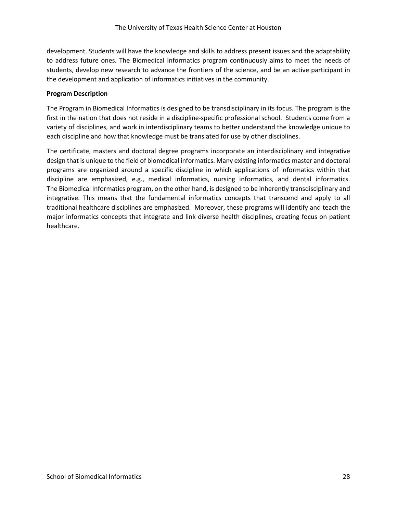development. Students will have the knowledge and skills to address present issues and the adaptability to address future ones. The Biomedical Informatics program continuously aims to meet the needs of students, develop new research to advance the frontiers of the science, and be an active participant in the development and application of informatics initiatives in the community.

#### **Program Description**

The Program in Biomedical Informatics is designed to be transdisciplinary in its focus. The program is the first in the nation that does not reside in a discipline-specific professional school. Students come from a variety of disciplines, and work in interdisciplinary teams to better understand the knowledge unique to each discipline and how that knowledge must be translated for use by other disciplines.

The certificate, masters and doctoral degree programs incorporate an interdisciplinary and integrative design that is unique to the field of biomedical informatics. Many existing informatics master and doctoral programs are organized around a specific discipline in which applications of informatics within that discipline are emphasized, e.g., medical informatics, nursing informatics, and dental informatics. The Biomedical Informatics program, on the other hand, is designed to be inherently transdisciplinary and integrative. This means that the fundamental informatics concepts that transcend and apply to all traditional healthcare disciplines are emphasized. Moreover, these programs will identify and teach the major informatics concepts that integrate and link diverse health disciplines, creating focus on patient healthcare.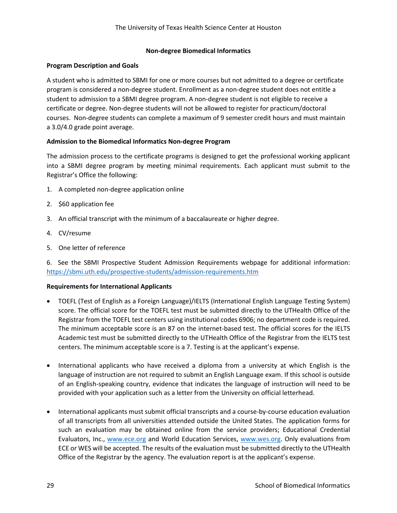### **Non-degree Biomedical Informatics**

## **Program Description and Goals**

A student who is admitted to SBMI for one or more courses but not admitted to a degree or certificate program is considered a non-degree student. Enrollment as a non‐degree student does not entitle a student to admission to a SBMI degree program. A non‐degree student is not eligible to receive a certificate or degree. Non-degree students will not be allowed to register for practicum/doctoral courses. Non‐degree students can complete a maximum of 9 semester credit hours and must maintain a 3.0/4.0 grade point average.

## **Admission to the Biomedical Informatics Non-degree Program**

The admission process to the certificate programs is designed to get the professional working applicant into a SBMI degree program by meeting minimal requirements. Each applicant must submit to the Registrar's Office the following:

- 1. A completed non-degree application online
- 2. \$60 application fee
- 3. An official transcript with the minimum of a baccalaureate or higher degree.
- 4. CV/resume
- 5. One letter of reference

6. See the SBMI Prospective Student Admission Requirements webpage for additional information: <https://sbmi.uth.edu/prospective-students/admission-requirements.htm>

### **Requirements for International Applicants**

- TOEFL (Test of English as a Foreign Language)/IELTS (International English Language Testing System) score. The official score for the TOEFL test must be submitted directly to the UTHealth Office of the Registrar from the TOEFL test centers using institutional codes 6906; no department code is required. The minimum acceptable score is an 87 on the internet-based test. The official scores for the IELTS Academic test must be submitted directly to the UTHealth Office of the Registrar from the IELTS test centers. The minimum acceptable score is a 7. Testing is at the applicant's expense.
- International applicants who have received a diploma from a university at which English is the language of instruction are not required to submit an English Language exam. If this school is outside of an English-speaking country, evidence that indicates the language of instruction will need to be provided with your application such as a letter from the University on official letterhead.
- International applicants must submit official transcripts and a course‐by‐course education evaluation of all transcripts from all universities attended outside the United States. The application forms for such an evaluation may be obtained online from the service providers; Educational Credential Evaluators, Inc., [www.ece.org](http://www.ece.org/) and World Education Services, [www.wes.org.](http://www.wes.org/) Only evaluations from ECE or WES will be accepted. The results of the evaluation must be submitted directly to the UTHealth Office of the Registrar by the agency. The evaluation report is at the applicant's expense.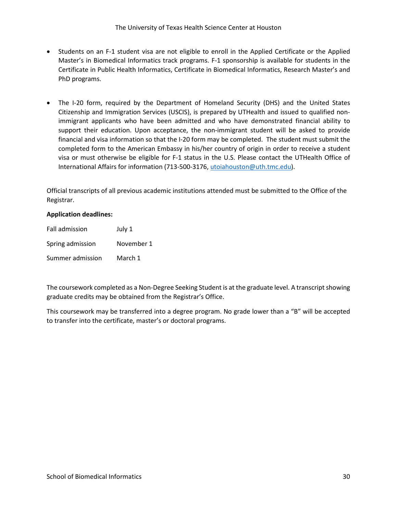- Students on an F-1 student visa are not eligible to enroll in the Applied Certificate or the Applied Master's in Biomedical Informatics track programs. F-1 sponsorship is available for students in the Certificate in Public Health Informatics, Certificate in Biomedical Informatics, Research Master's and PhD programs.
- The I-20 form, required by the Department of Homeland Security (DHS) and the United States Citizenship and Immigration Services (USCIS), is prepared by UTHealth and issued to qualified nonimmigrant applicants who have been admitted and who have demonstrated financial ability to support their education. Upon acceptance, the non-immigrant student will be asked to provide financial and visa information so that the I‐20 form may be completed. The student must submit the completed form to the American Embassy in his/her country of origin in order to receive a student visa or must otherwise be eligible for F‐1 status in the U.S. Please contact the UTHealth Office of International Affairs for information (713-500-3176, [utoiahouston@uth.tmc.edu\)](mailto:utoiahouston@uth.tmc.edu).

Official transcripts of all previous academic institutions attended must be submitted to the Office of the Registrar.

## **Application deadlines:**

| Fall admission   | July 1     |
|------------------|------------|
| Spring admission | November 1 |
| Summer admission | March 1    |

The coursework completed as a Non-Degree Seeking Student is at the graduate level. A transcript showing graduate credits may be obtained from the Registrar's Office.

This coursework may be transferred into a degree program. No grade lower than a "B" will be accepted to transfer into the certificate, master's or doctoral programs.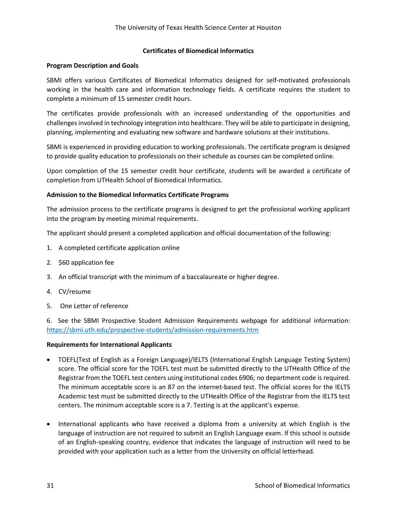### **Certificates of Biomedical Informatics**

#### **Program Description and Goals**

SBMI offers various Certificates of Biomedical Informatics designed for self-motivated professionals working in the health care and information technology fields. A certificate requires the student to complete a minimum of 15 semester credit hours.

The certificates provide professionals with an increased understanding of the opportunities and challenges involved in technology integration into healthcare. They will be able to participate in designing, planning, implementing and evaluating new software and hardware solutions at their institutions.

SBMI is experienced in providing education to working professionals. The certificate program is designed to provide quality education to professionals on their schedule as courses can be completed online.

Upon completion of the 15 semester credit hour certificate, students will be awarded a certificate of completion from UTHealth School of Biomedical Informatics.

#### **Admission to the Biomedical Informatics Certificate Programs**

The admission process to the certificate programs is designed to get the professional working applicant into the program by meeting minimal requirements.

The applicant should present a completed application and official documentation of the following:

- 1. A completed certificate application online
- 2. \$60 application fee
- 3. An official transcript with the minimum of a baccalaureate or higher degree.
- 4. CV/resume
- 5. One Letter of reference

6. See the SBMI Prospective Student Admission Requirements webpage for additional information: <https://sbmi.uth.edu/prospective-students/admission-requirements.htm>

### **Requirements for International Applicants**

- TOEFL(Test of English as a Foreign Language)/IELTS (International English Language Testing System) score. The official score for the TOEFL test must be submitted directly to the UTHealth Office of the Registrar from the TOEFL test centers using institutional codes 6906; no department code is required. The minimum acceptable score is an 87 on the internet-based test. The official scores for the IELTS Academic test must be submitted directly to the UTHealth Office of the Registrar from the IELTS test centers. The minimum acceptable score is a 7. Testing is at the applicant's expense.
- International applicants who have received a diploma from a university at which English is the language of instruction are not required to submit an English Language exam. If this school is outside of an English-speaking country, evidence that indicates the language of instruction will need to be provided with your application such as a letter from the University on official letterhead.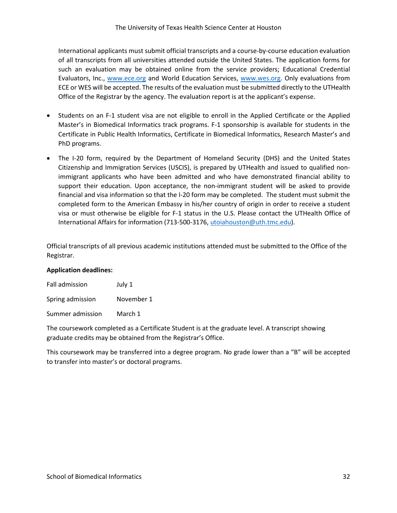International applicants must submit official transcripts and a course‐by‐course education evaluation of all transcripts from all universities attended outside the United States. The application forms for such an evaluation may be obtained online from the service providers; Educational Credential Evaluators, Inc., [www.ece.org](http://www.ece.org/) and World Education Services, [www.wes.org.](http://www.wes.org/) Only evaluations from ECE or WES will be accepted. The results of the evaluation must be submitted directly to the UTHealth Office of the Registrar by the agency. The evaluation report is at the applicant's expense.

- Students on an F-1 student visa are not eligible to enroll in the Applied Certificate or the Applied Master's in Biomedical Informatics track programs. F-1 sponsorship is available for students in the Certificate in Public Health Informatics, Certificate in Biomedical Informatics, Research Master's and PhD programs.
- The I-20 form, required by the Department of Homeland Security (DHS) and the United States Citizenship and Immigration Services (USCIS), is prepared by UTHealth and issued to qualified nonimmigrant applicants who have been admitted and who have demonstrated financial ability to support their education. Upon acceptance, the non-immigrant student will be asked to provide financial and visa information so that the I‐20 form may be completed. The student must submit the completed form to the American Embassy in his/her country of origin in order to receive a student visa or must otherwise be eligible for F‐1 status in the U.S. Please contact the UTHealth Office of International Affairs for information (713-500-3176, [utoiahouston@uth.tmc.edu\)](mailto:utoiahouston@uth.tmc.edu).

Official transcripts of all previous academic institutions attended must be submitted to the Office of the Registrar.

## **Application deadlines:**

| Fall admission   | July 1     |
|------------------|------------|
| Spring admission | November 1 |
| Summer admission | March 1    |

The coursework completed as a Certificate Student is at the graduate level. A transcript showing graduate credits may be obtained from the Registrar's Office.

This coursework may be transferred into a degree program. No grade lower than a "B" will be accepted to transfer into master's or doctoral programs.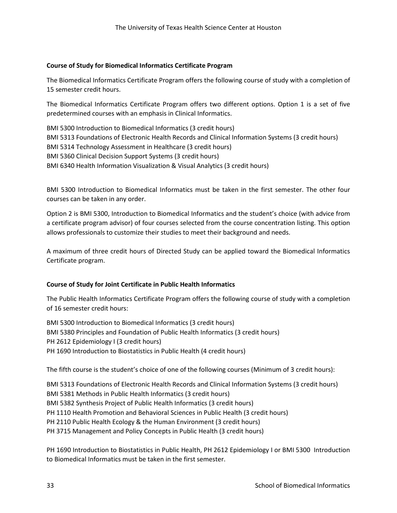## **Course of Study for Biomedical Informatics Certificate Program**

The Biomedical Informatics Certificate Program offers the following course of study with a completion of 15 semester credit hours.

The Biomedical Informatics Certificate Program offers two different options. Option 1 is a set of five predetermined courses with an emphasis in Clinical Informatics.

BMI 5300 Introduction to Biomedical Informatics (3 credit hours) BMI 5313 Foundations of Electronic Health Records and Clinical Information Systems (3 credit hours) BMI 5314 Technology Assessment in Healthcare (3 credit hours) BMI 5360 Clinical Decision Support Systems (3 credit hours) BMI 6340 Health Information Visualization & Visual Analytics (3 credit hours)

BMI 5300 Introduction to Biomedical Informatics must be taken in the first semester. The other four courses can be taken in any order.

Option 2 is BMI 5300, Introduction to Biomedical Informatics and the student's choice (with advice from a certificate program advisor) of four courses selected from the course concentration listing. This option allows professionals to customize their studies to meet their background and needs.

A maximum of three credit hours of Directed Study can be applied toward the Biomedical Informatics Certificate program.

### **Course of Study for Joint Certificate in Public Health Informatics**

The Public Health Informatics Certificate Program offers the following course of study with a completion of 16 semester credit hours:

BMI 5300 Introduction to Biomedical Informatics (3 credit hours) BMI 5380 Principles and Foundation of Public Health Informatics (3 credit hours) PH 2612 Epidemiology I (3 credit hours) PH 1690 Introduction to Biostatistics in Public Health (4 credit hours)

The fifth course is the student's choice of one of the following courses (Minimum of 3 credit hours):

BMI 5313 Foundations of Electronic Health Records and Clinical Information Systems (3 credit hours) BMI 5381 Methods in Public Health Informatics (3 credit hours) BMI 5382 Synthesis Project of Public Health Informatics (3 credit hours) PH 1110 Health Promotion and Behavioral Sciences in Public Health (3 credit hours) PH 2110 Public Health Ecology & the Human Environment (3 credit hours) PH 3715 Management and Policy Concepts in Public Health (3 credit hours)

PH 1690 Introduction to Biostatistics in Public Health, PH 2612 Epidemiology I or BMI 5300 Introduction to Biomedical Informatics must be taken in the first semester.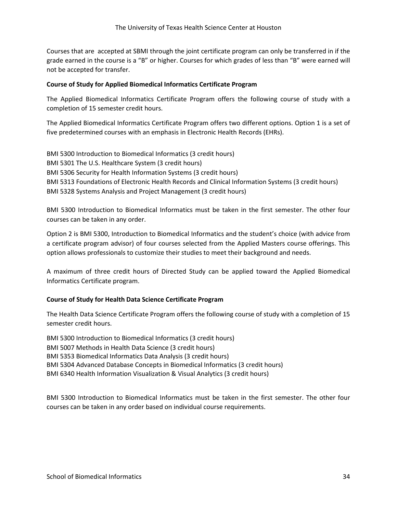Courses that are accepted at SBMI through the joint certificate program can only be transferred in if the grade earned in the course is a "B" or higher. Courses for which grades of less than "B" were earned will not be accepted for transfer.

## **Course of Study for Applied Biomedical Informatics Certificate Program**

The Applied Biomedical Informatics Certificate Program offers the following course of study with a completion of 15 semester credit hours.

The Applied Biomedical Informatics Certificate Program offers two different options. Option 1 is a set of five predetermined courses with an emphasis in Electronic Health Records (EHRs).

BMI 5300 Introduction to Biomedical Informatics (3 credit hours) BMI 5301 The U.S. Healthcare System (3 credit hours) BMI 5306 Security for Health Information Systems (3 credit hours) BMI 5313 Foundations of Electronic Health Records and Clinical Information Systems (3 credit hours) BMI 5328 Systems Analysis and Project Management (3 credit hours)

BMI 5300 Introduction to Biomedical Informatics must be taken in the first semester. The other four courses can be taken in any order.

Option 2 is BMI 5300, Introduction to Biomedical Informatics and the student's choice (with advice from a certificate program advisor) of four courses selected from the Applied Masters course offerings. This option allows professionals to customize their studies to meet their background and needs.

A maximum of three credit hours of Directed Study can be applied toward the Applied Biomedical Informatics Certificate program.

### **Course of Study for Health Data Science Certificate Program**

The Health Data Science Certificate Program offers the following course of study with a completion of 15 semester credit hours.

BMI 5300 Introduction to Biomedical Informatics (3 credit hours) BMI 5007 Methods in Health Data Science (3 credit hours) BMI 5353 Biomedical Informatics Data Analysis (3 credit hours) BMI 5304 Advanced Database Concepts in Biomedical Informatics (3 credit hours) BMI 6340 Health Information Visualization & Visual Analytics (3 credit hours)

BMI 5300 Introduction to Biomedical Informatics must be taken in the first semester. The other four courses can be taken in any order based on individual course requirements.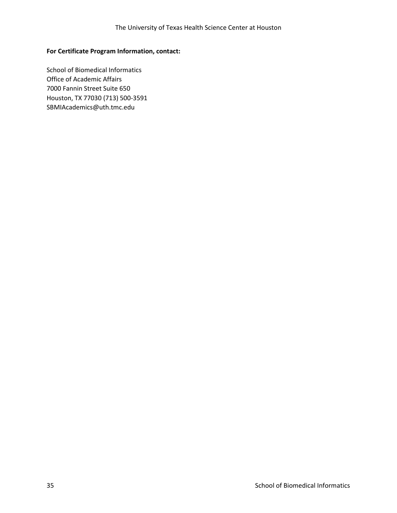# **For Certificate Program Information, contact:**

School of Biomedical Informatics Office of Academic Affairs 7000 Fannin Street Suite 650 Houston, TX 77030 (713) 500‐3591 SBMIAcademics@uth.tmc.edu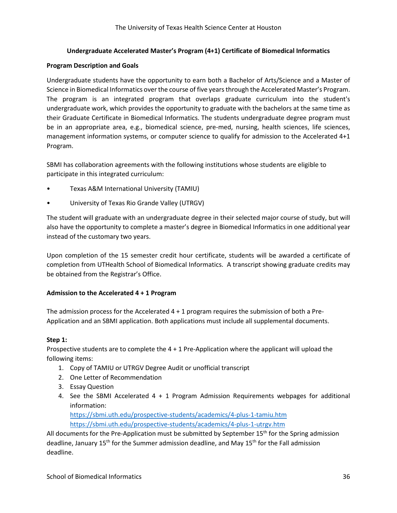## **Undergraduate Accelerated Master's Program (4+1) Certificate of Biomedical Informatics**

### **Program Description and Goals**

Undergraduate students have the opportunity to earn both a Bachelor of Arts/Science and a Master of Science in Biomedical Informatics over the course of five years through the Accelerated Master's Program. The program is an integrated program that overlaps graduate curriculum into the student's undergraduate work, which provides the opportunity to graduate with the bachelors at the same time as their Graduate Certificate in Biomedical Informatics. The students undergraduate degree program must be in an appropriate area, e.g., biomedical science, pre-med, nursing, health sciences, life sciences, management information systems, or computer science to qualify for admission to the Accelerated 4+1 Program.

SBMI has collaboration agreements with the following institutions whose students are eligible to participate in this integrated curriculum:

- Texas A&M International University (TAMIU)
- University of Texas Rio Grande Valley (UTRGV)

The student will graduate with an undergraduate degree in their selected major course of study, but will also have the opportunity to complete a master's degree in Biomedical Informatics in one additional year instead of the customary two years.

Upon completion of the 15 semester credit hour certificate, students will be awarded a certificate of completion from UTHealth School of Biomedical Informatics. A transcript showing graduate credits may be obtained from the Registrar's Office.

### **Admission to the Accelerated 4 + 1 Program**

The admission process for the Accelerated  $4 + 1$  program requires the submission of both a Pre-Application and an SBMI application. Both applications must include all supplemental documents.

### **Step 1:**

Prospective students are to complete the  $4 + 1$  Pre-Application where the applicant will upload the following items:

- 1. Copy of TAMIU or UTRGV Degree Audit or unofficial transcript
- 2. One Letter of Recommendation
- 3. Essay Question
- 4. See the SBMI Accelerated 4 + 1 Program Admission Requirements webpages for additional information:

<https://sbmi.uth.edu/prospective-students/academics/4-plus-1-tamiu.htm> <https://sbmi.uth.edu/prospective-students/academics/4-plus-1-utrgv.htm>

All documents for the Pre-Application must be submitted by September  $15<sup>th</sup>$  for the Spring admission deadline, January 15<sup>th</sup> for the Summer admission deadline, and May 15<sup>th</sup> for the Fall admission deadline.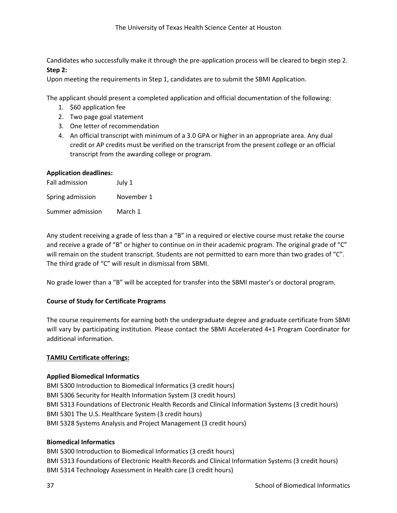Candidates who successfully make it through the pre-application process will be cleared to begin step 2. **Step 2:**

Upon meeting the requirements in Step 1, candidates are to submit the SBMI Application.

The applicant should present a completed application and official documentation of the following:

- 1. \$60 application fee
- 2. Two page goal statement
- 3. One letter of recommendation
- 4. An official transcript with minimum of a 3.0 GPA or higher in an appropriate area. Any dual credit or AP credits must be verified on the transcript from the present college or an official transcript from the awarding college or program.

#### **Application deadlines:**

| Fall admission   | July 1     |
|------------------|------------|
| Spring admission | November 1 |
| Summer admission | March 1    |

Any student receiving a grade of less than a "B" in a required or elective course must retake the course and receive a grade of "B" or higher to continue on in their academic program. The original grade of "C" will remain on the student transcript. Students are not permitted to earn more than two grades of "C". The third grade of "C" will result in dismissal from SBMI.

No grade lower than a "B" will be accepted for transfer into the SBMI master's or doctoral program.

### **Course of Study for Certificate Programs**

The course requirements for earning both the undergraduate degree and graduate certificate from SBMI will vary by participating institution. Please contact the SBMI Accelerated 4+1 Program Coordinator for additional information.

### **TAMIU Certificate offerings:**

### **Applied Biomedical Informatics**

BMI 5300 Introduction to Biomedical Informatics (3 credit hours) BMI 5306 Security for Health Information System (3 credit hours) BMI 5313 Foundations of Electronic Health Records and Clinical Information Systems (3 credit hours) BMI 5301 The U.S. Healthcare System (3 credit hours) BMI 5328 Systems Analysis and Project Management (3 credit hours)

## **Biomedical Informatics**

BMI 5300 Introduction to Biomedical Informatics (3 credit hours) BMI 5313 Foundations of Electronic Health Records and Clinical Information Systems (3 credit hours) BMI 5314 Technology Assessment in Health care (3 credit hours)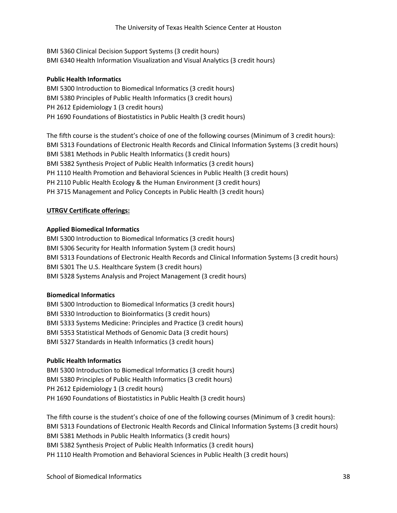BMI 5360 Clinical Decision Support Systems (3 credit hours) BMI 6340 Health Information Visualization and Visual Analytics (3 credit hours)

### **Public Health Informatics**

BMI 5300 Introduction to Biomedical Informatics (3 credit hours) BMI 5380 Principles of Public Health Informatics (3 credit hours) PH 2612 Epidemiology 1 (3 credit hours) PH 1690 Foundations of Biostatistics in Public Health (3 credit hours)

The fifth course is the student's choice of one of the following courses (Minimum of 3 credit hours): BMI 5313 Foundations of Electronic Health Records and Clinical Information Systems (3 credit hours) BMI 5381 Methods in Public Health Informatics (3 credit hours) BMI 5382 Synthesis Project of Public Health Informatics (3 credit hours) PH 1110 Health Promotion and Behavioral Sciences in Public Health (3 credit hours) PH 2110 Public Health Ecology & the Human Environment (3 credit hours) PH 3715 Management and Policy Concepts in Public Health (3 credit hours)

### **UTRGV Certificate offerings:**

### **Applied Biomedical Informatics**

BMI 5300 Introduction to Biomedical Informatics (3 credit hours) BMI 5306 Security for Health Information System (3 credit hours) BMI 5313 Foundations of Electronic Health Records and Clinical Information Systems (3 credit hours) BMI 5301 The U.S. Healthcare System (3 credit hours) BMI 5328 Systems Analysis and Project Management (3 credit hours)

#### **Biomedical Informatics**

BMI 5300 Introduction to Biomedical Informatics (3 credit hours) BMI 5330 Introduction to Bioinformatics (3 credit hours) BMI 5333 Systems Medicine: Principles and Practice (3 credit hours) BMI 5353 Statistical Methods of Genomic Data (3 credit hours) BMI 5327 Standards in Health Informatics (3 credit hours)

### **Public Health Informatics**

BMI 5300 Introduction to Biomedical Informatics (3 credit hours) BMI 5380 Principles of Public Health Informatics (3 credit hours) PH 2612 Epidemiology 1 (3 credit hours) PH 1690 Foundations of Biostatistics in Public Health (3 credit hours)

The fifth course is the student's choice of one of the following courses (Minimum of 3 credit hours): BMI 5313 Foundations of Electronic Health Records and Clinical Information Systems (3 credit hours) BMI 5381 Methods in Public Health Informatics (3 credit hours) BMI 5382 Synthesis Project of Public Health Informatics (3 credit hours) PH 1110 Health Promotion and Behavioral Sciences in Public Health (3 credit hours)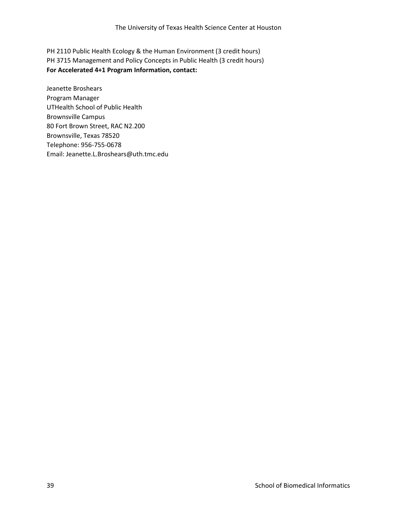PH 2110 Public Health Ecology & the Human Environment (3 credit hours) PH 3715 Management and Policy Concepts in Public Health (3 credit hours) **For Accelerated 4+1 Program Information, contact:**

Jeanette Broshears Program Manager UTHealth School of Public Health Brownsville Campus 80 Fort Brown Street, RAC N2.200 Brownsville, Texas 78520 Telephone: 956-755-0678 Email: Jeanette.L.Broshears@uth.tmc.edu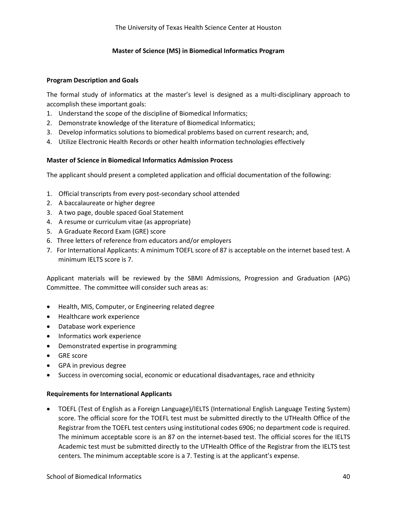## **Master of Science (MS) in Biomedical Informatics Program**

### **Program Description and Goals**

The formal study of informatics at the master's level is designed as a multi‐disciplinary approach to accomplish these important goals:

- 1. Understand the scope of the discipline of Biomedical Informatics;
- 2. Demonstrate knowledge of the literature of Biomedical Informatics;
- 3. Develop informatics solutions to biomedical problems based on current research; and,
- 4. Utilize Electronic Health Records or other health information technologies effectively

### **Master of Science in Biomedical Informatics Admission Process**

The applicant should present a completed application and official documentation of the following:

- 1. Official transcripts from every post-secondary school attended
- 2. A baccalaureate or higher degree
- 3. A two page, double spaced Goal Statement
- 4. A resume or curriculum vitae (as appropriate)
- 5. A Graduate Record Exam (GRE) score
- 6. Three letters of reference from educators and/or employers
- 7. For International Applicants: A minimum TOEFL score of 87 is acceptable on the internet based test. A minimum IELTS score is 7.

Applicant materials will be reviewed by the SBMI Admissions, Progression and Graduation (APG) Committee. The committee will consider such areas as:

- Health, MIS, Computer, or Engineering related degree
- Healthcare work experience
- Database work experience
- Informatics work experience
- Demonstrated expertise in programming
- GRE score
- GPA in previous degree
- Success in overcoming social, economic or educational disadvantages, race and ethnicity

### **Requirements for International Applicants**

• TOEFL (Test of English as a Foreign Language)/IELTS (International English Language Testing System) score. The official score for the TOEFL test must be submitted directly to the UTHealth Office of the Registrar from the TOEFL test centers using institutional codes 6906; no department code is required. The minimum acceptable score is an 87 on the internet-based test. The official scores for the IELTS Academic test must be submitted directly to the UTHealth Office of the Registrar from the IELTS test centers. The minimum acceptable score is a 7. Testing is at the applicant's expense.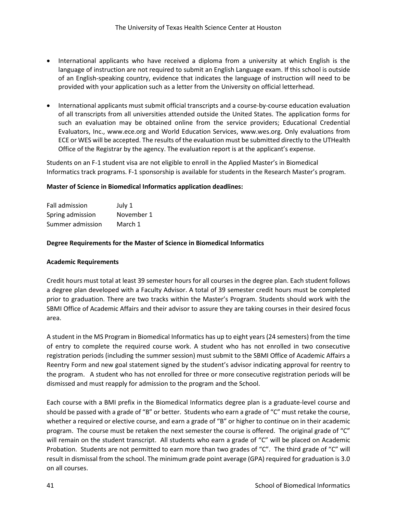- International applicants who have received a diploma from a university at which English is the language of instruction are not required to submit an English Language exam. If this school is outside of an English-speaking country, evidence that indicates the language of instruction will need to be provided with your application such as a letter from the University on official letterhead.
- International applicants must submit official transcripts and a course-by-course education evaluation of all transcripts from all universities attended outside the United States. The application forms for such an evaluation may be obtained online from the service providers; Educational Credential Evaluators, Inc., www.ece.org and World Education Services, www.wes.org. Only evaluations from ECE or WES will be accepted. The results of the evaluation must be submitted directly to the UTHealth Office of the Registrar by the agency. The evaluation report is at the applicant's expense.

Students on an F-1 student visa are not eligible to enroll in the Applied Master's in Biomedical Informatics track programs. F-1 sponsorship is available for students in the Research Master's program.

## **Master of Science in Biomedical Informatics application deadlines:**

| <b>Fall admission</b> | July 1     |
|-----------------------|------------|
| Spring admission      | November 1 |
| Summer admission      | March 1    |

### **Degree Requirements for the Master of Science in Biomedical Informatics**

### **Academic Requirements**

Credit hours must total at least 39 semester hours for all courses in the degree plan. Each student follows a degree plan developed with a Faculty Advisor. A total of 39 semester credit hours must be completed prior to graduation. There are two tracks within the Master's Program. Students should work with the SBMI Office of Academic Affairs and their advisor to assure they are taking courses in their desired focus area.

A student in the MS Program in Biomedical Informatics has up to eight years (24 semesters) from the time of entry to complete the required course work. A student who has not enrolled in two consecutive registration periods (including the summer session) must submit to the SBMI Office of Academic Affairs a Reentry Form and new goal statement signed by the student's advisor indicating approval for reentry to the program. A student who has not enrolled for three or more consecutive registration periods will be dismissed and must reapply for admission to the program and the School.

Each course with a BMI prefix in the Biomedical Informatics degree plan is a graduate-level course and should be passed with a grade of "B" or better. Students who earn a grade of "C" must retake the course, whether a required or elective course, and earn a grade of "B" or higher to continue on in their academic program. The course must be retaken the next semester the course is offered. The original grade of "C" will remain on the student transcript. All students who earn a grade of "C" will be placed on Academic Probation. Students are not permitted to earn more than two grades of "C". The third grade of "C" will result in dismissal from the school. The minimum grade point average (GPA) required for graduation is 3.0 on all courses.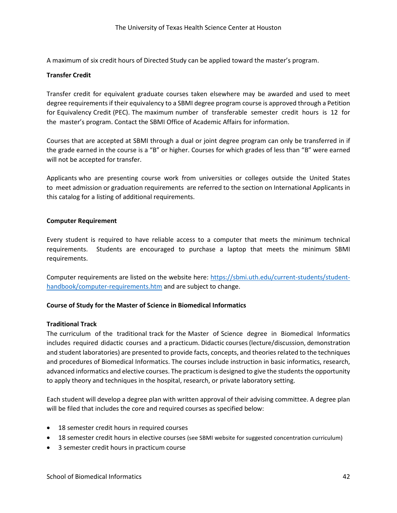A maximum of six credit hours of Directed Study can be applied toward the master's program.

## **Transfer Credit**

Transfer credit for equivalent graduate courses taken elsewhere may be awarded and used to meet degree requirements if their equivalency to a SBMI degree program course is approved through a Petition for Equivalency Credit (PEC). The maximum number of transferable semester credit hours is 12 for the master's program. Contact the SBMI Office of Academic Affairs for information.

Courses that are accepted at SBMI through a dual or joint degree program can only be transferred in if the grade earned in the course is a "B" or higher. Courses for which grades of less than "B" were earned will not be accepted for transfer.

Applicants who are presenting course work from universities or colleges outside the United States to meet admission or graduation requirements are referred to the section on International Applicants in this catalog for a listing of additional requirements.

### **Computer Requirement**

Every student is required to have reliable access to a computer that meets the minimum technical requirements. Students are encouraged to purchase a laptop that meets the minimum SBMI requirements.

Computer requirements are listed on the website here: [https://sbmi.uth.edu/current-students/student](https://sbmi.uth.edu/current-students/student-handbook/computer-requirements.htm)[handbook/computer-requirements.htm](https://sbmi.uth.edu/current-students/student-handbook/computer-requirements.htm) and are subject to change.

### **Course of Study for the Master of Science in Biomedical Informatics**

### **Traditional Track**

The curriculum of the traditional track for the Master of Science degree in Biomedical Informatics includes required didactic courses and a practicum. Didactic courses (lecture/discussion, demonstration and student laboratories) are presented to provide facts, concepts, and theories related to the techniques and procedures of Biomedical Informatics. The courses include instruction in basic informatics, research, advanced informatics and elective courses. The practicum is designed to give the students the opportunity to apply theory and techniques in the hospital, research, or private laboratory setting.

Each student will develop a degree plan with written approval of their advising committee. A degree plan will be filed that includes the core and required courses as specified below:

- 18 semester credit hours in required courses
- 18 semester credit hours in elective courses (see SBMI website for suggested concentration curriculum)
- 3 semester credit hours in practicum course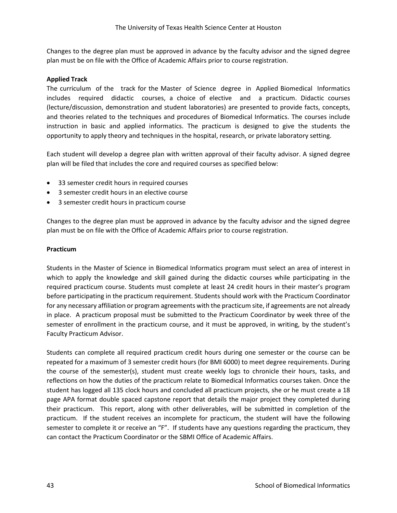Changes to the degree plan must be approved in advance by the faculty advisor and the signed degree plan must be on file with the Office of Academic Affairs prior to course registration.

## **Applied Track**

The curriculum of the track for the Master of Science degree in Applied Biomedical Informatics includes required didactic courses, a choice of elective and a practicum. Didactic courses (lecture/discussion, demonstration and student laboratories) are presented to provide facts, concepts, and theories related to the techniques and procedures of Biomedical Informatics. The courses include instruction in basic and applied informatics. The practicum is designed to give the students the opportunity to apply theory and techniques in the hospital, research, or private laboratory setting.

Each student will develop a degree plan with written approval of their faculty advisor. A signed degree plan will be filed that includes the core and required courses as specified below:

- 33 semester credit hours in required courses
- 3 semester credit hours in an elective course
- 3 semester credit hours in practicum course

Changes to the degree plan must be approved in advance by the faculty advisor and the signed degree plan must be on file with the Office of Academic Affairs prior to course registration.

### **Practicum**

Students in the Master of Science in Biomedical Informatics program must select an area of interest in which to apply the knowledge and skill gained during the didactic courses while participating in the required practicum course. Students must complete at least 24 credit hours in their master's program before participating in the practicum requirement. Students should work with the Practicum Coordinator for any necessary affiliation or program agreements with the practicum site, if agreements are not already in place. A practicum proposal must be submitted to the Practicum Coordinator by week three of the semester of enrollment in the practicum course, and it must be approved, in writing, by the student's Faculty Practicum Advisor.

Students can complete all required practicum credit hours during one semester or the course can be repeated for a maximum of 3 semester credit hours (for BMI 6000) to meet degree requirements. During the course of the semester(s), student must create weekly logs to chronicle their hours, tasks, and reflections on how the duties of the practicum relate to Biomedical Informatics courses taken. Once the student has logged all 135 clock hours and concluded all practicum projects, she or he must create a 18 page APA format double spaced capstone report that details the major project they completed during their practicum. This report, along with other deliverables, will be submitted in completion of the practicum. If the student receives an incomplete for practicum, the student will have the following semester to complete it or receive an "F". If students have any questions regarding the practicum, they can contact the Practicum Coordinator or the SBMI Office of Academic Affairs.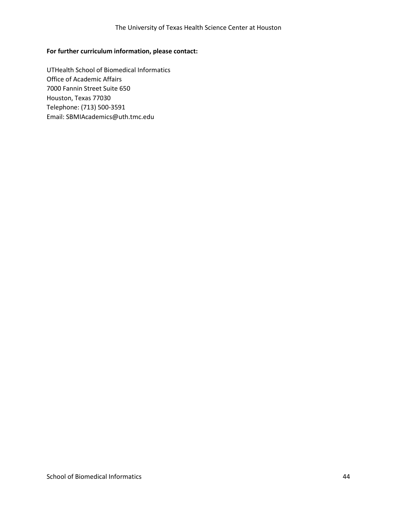# **For further curriculum information, please contact:**

UTHealth School of Biomedical Informatics Office of Academic Affairs 7000 Fannin Street Suite 650 Houston, Texas 77030 Telephone: (713) 500‐3591 Email: SBMIAcademics@uth.tmc.edu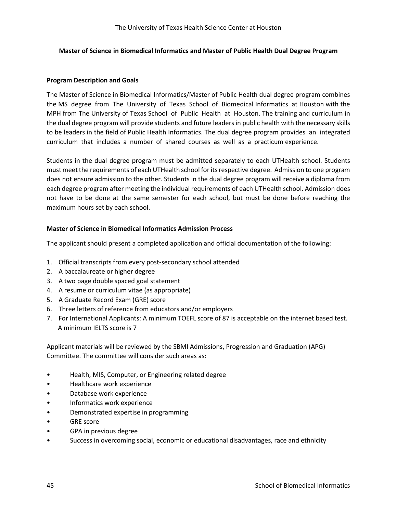#### **Master of Science in Biomedical Informatics and Master of Public Health Dual Degree Program**

#### **Program Description and Goals**

The Master of Science in Biomedical Informatics/Master of Public Health dual degree program combines the MS degree from The University of Texas School of Biomedical Informatics at Houston with the MPH from The University of Texas School of Public Health at Houston. The training and curriculum in the dual degree program will provide students and future leaders in public health with the necessary skills to be leaders in the field of Public Health Informatics. The dual degree program provides an integrated curriculum that includes a number of shared courses as well as a practicum experience.

Students in the dual degree program must be admitted separately to each UTHealth school. Students must meet the requirements of each UTHealth school for its respective degree. Admission to one program does not ensure admission to the other. Students in the dual degree program will receive a diploma from each degree program after meeting the individual requirements of each UTHealth school. Admission does not have to be done at the same semester for each school, but must be done before reaching the maximum hours set by each school.

### **Master of Science in Biomedical Informatics Admission Process**

The applicant should present a completed application and official documentation of the following:

- 1. Official transcripts from every post-secondary school attended
- 2. A baccalaureate or higher degree
- 3. A two page double spaced goal statement
- 4. A resume or curriculum vitae (as appropriate)
- 5. A Graduate Record Exam (GRE) score
- 6. Three letters of reference from educators and/or employers
- 7. For International Applicants: A minimum TOEFL score of 87 is acceptable on the internet based test. A minimum IELTS score is 7

Applicant materials will be reviewed by the SBMI Admissions, Progression and Graduation (APG) Committee. The committee will consider such areas as:

- Health, MIS, Computer, or Engineering related degree
- Healthcare work experience
- Database work experience
- Informatics work experience
- Demonstrated expertise in programming
- GRE score
- GPA in previous degree
- Success in overcoming social, economic or educational disadvantages, race and ethnicity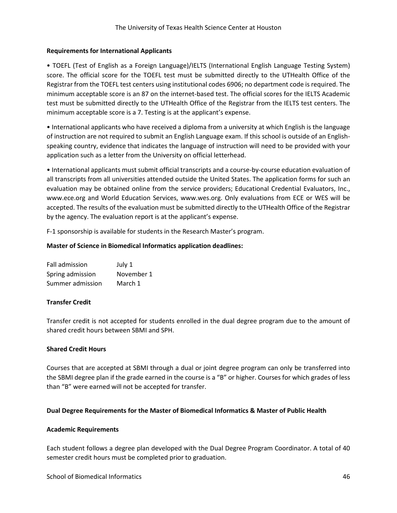### **Requirements for International Applicants**

• TOEFL (Test of English as a Foreign Language)/IELTS (International English Language Testing System) score. The official score for the TOEFL test must be submitted directly to the UTHealth Office of the Registrar from the TOEFL test centers using institutional codes 6906; no department code is required. The minimum acceptable score is an 87 on the internet-based test. The official scores for the IELTS Academic test must be submitted directly to the UTHealth Office of the Registrar from the IELTS test centers. The minimum acceptable score is a 7. Testing is at the applicant's expense.

• International applicants who have received a diploma from a university at which English is the language of instruction are not required to submit an English Language exam. If this school is outside of an Englishspeaking country, evidence that indicates the language of instruction will need to be provided with your application such as a letter from the University on official letterhead.

• International applicants must submit official transcripts and a course-by-course education evaluation of all transcripts from all universities attended outside the United States. The application forms for such an evaluation may be obtained online from the service providers; Educational Credential Evaluators, Inc., www.ece.org and World Education Services, www.wes.org. Only evaluations from ECE or WES will be accepted. The results of the evaluation must be submitted directly to the UTHealth Office of the Registrar by the agency. The evaluation report is at the applicant's expense.

F-1 sponsorship is available for students in the Research Master's program.

## **Master of Science in Biomedical Informatics application deadlines:**

| Fall admission   | July 1     |
|------------------|------------|
| Spring admission | November 1 |
| Summer admission | March 1    |

### **Transfer Credit**

Transfer credit is not accepted for students enrolled in the dual degree program due to the amount of shared credit hours between SBMI and SPH.

### **Shared Credit Hours**

Courses that are accepted at SBMI through a dual or joint degree program can only be transferred into the SBMI degree plan if the grade earned in the course is a "B" or higher. Courses for which grades of less than "B" were earned will not be accepted for transfer.

### **Dual Degree Requirements for the Master of Biomedical Informatics & Master of Public Health**

### **Academic Requirements**

Each student follows a degree plan developed with the Dual Degree Program Coordinator. A total of 40 semester credit hours must be completed prior to graduation.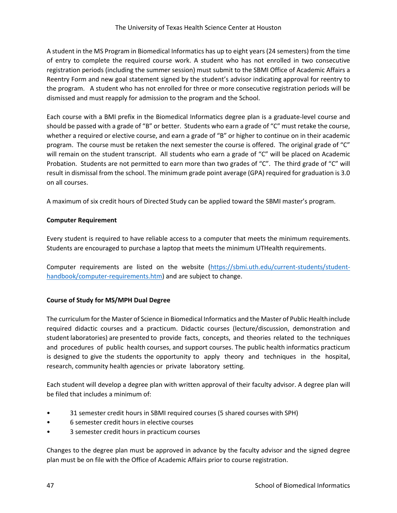A student in the MS Program in Biomedical Informatics has up to eight years (24 semesters) from the time of entry to complete the required course work. A student who has not enrolled in two consecutive registration periods (including the summer session) must submit to the SBMI Office of Academic Affairs a Reentry Form and new goal statement signed by the student's advisor indicating approval for reentry to the program. A student who has not enrolled for three or more consecutive registration periods will be dismissed and must reapply for admission to the program and the School.

Each course with a BMI prefix in the Biomedical Informatics degree plan is a graduate-level course and should be passed with a grade of "B" or better. Students who earn a grade of "C" must retake the course, whether a required or elective course, and earn a grade of "B" or higher to continue on in their academic program. The course must be retaken the next semester the course is offered. The original grade of "C" will remain on the student transcript. All students who earn a grade of "C" will be placed on Academic Probation. Students are not permitted to earn more than two grades of "C". The third grade of "C" will result in dismissal from the school. The minimum grade point average (GPA) required for graduation is 3.0 on all courses.

A maximum of six credit hours of Directed Study can be applied toward the SBMI master's program.

## **Computer Requirement**

Every student is required to have reliable access to a computer that meets the minimum requirements. Students are encouraged to purchase a laptop that meets the minimum UTHealth requirements.

Computer requirements are listed on the website [\(https://sbmi.uth.edu/current-students/student](https://sbmi.uth.edu/current-students/student-handbook/computer-requirements.htm)[handbook/computer-requirements.htm\)](https://sbmi.uth.edu/current-students/student-handbook/computer-requirements.htm) and are subject to change.

## **Course of Study for MS/MPH Dual Degree**

The curriculum for the Master of Science in Biomedical Informatics and the Master of Public Health include required didactic courses and a practicum. Didactic courses (lecture/discussion, demonstration and student laboratories) are presented to provide facts, concepts, and theories related to the techniques and procedures of public health courses, and support courses. The public health informatics practicum is designed to give the students the opportunity to apply theory and techniques in the hospital, research, community health agencies or private laboratory setting.

Each student will develop a degree plan with written approval of their faculty advisor. A degree plan will be filed that includes a minimum of:

- 31 semester credit hours in SBMI required courses (5 shared courses with SPH)
- 6 semester credit hours in elective courses
- 3 semester credit hours in practicum courses

Changes to the degree plan must be approved in advance by the faculty advisor and the signed degree plan must be on file with the Office of Academic Affairs prior to course registration.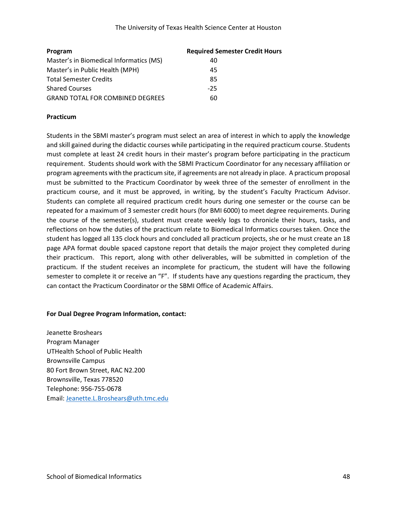#### The University of Texas Health Science Center at Houston

| Program                                 | <b>Required Semester Credit Hours</b> |
|-----------------------------------------|---------------------------------------|
| Master's in Biomedical Informatics (MS) | 40                                    |
| Master's in Public Health (MPH)         | 45                                    |
| <b>Total Semester Credits</b>           | 85                                    |
| <b>Shared Courses</b>                   | $-25$                                 |
| <b>GRAND TOTAL FOR COMBINED DEGREES</b> | 60                                    |

### **Practicum**

Students in the SBMI master's program must select an area of interest in which to apply the knowledge and skill gained during the didactic courses while participating in the required practicum course. Students must complete at least 24 credit hours in their master's program before participating in the practicum requirement. Students should work with the SBMI Practicum Coordinator for any necessary affiliation or program agreements with the practicum site, if agreements are not already in place. A practicum proposal must be submitted to the Practicum Coordinator by week three of the semester of enrollment in the practicum course, and it must be approved, in writing, by the student's Faculty Practicum Advisor. Students can complete all required practicum credit hours during one semester or the course can be repeated for a maximum of 3 semester credit hours (for BMI 6000) to meet degree requirements. During the course of the semester(s), student must create weekly logs to chronicle their hours, tasks, and reflections on how the duties of the practicum relate to Biomedical Informatics courses taken. Once the student has logged all 135 clock hours and concluded all practicum projects, she or he must create an 18 page APA format double spaced capstone report that details the major project they completed during their practicum. This report, along with other deliverables, will be submitted in completion of the practicum. If the student receives an incomplete for practicum, the student will have the following semester to complete it or receive an "F". If students have any questions regarding the practicum, they can contact the Practicum Coordinator or the SBMI Office of Academic Affairs.

### **For Dual Degree Program Information, contact:**

Jeanette Broshears Program Manager UTHealth School of Public Health Brownsville Campus 80 Fort Brown Street, RAC N2.200 Brownsville, Texas 778520 Telephone: 956-755-0678 Email: [Jeanette.L.Broshears@uth.tmc.edu](mailto:Jeanette.L.Broshears@uth.tmc.edu)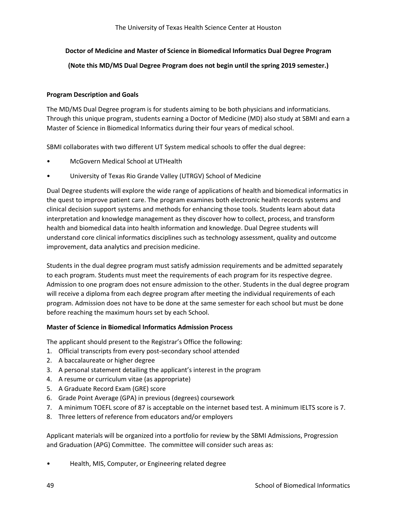## **Doctor of Medicine and Master of Science in Biomedical Informatics Dual Degree Program**

**(Note this MD/MS Dual Degree Program does not begin until the spring 2019 semester.)**

### **Program Description and Goals**

The MD/MS Dual Degree program is for students aiming to be both physicians and informaticians. Through this unique program, students earning a Doctor of Medicine (MD) also study at SBMI and earn a Master of Science in Biomedical Informatics during their four years of medical school.

SBMI collaborates with two different UT System medical schools to offer the dual degree:

- McGovern Medical School at UTHealth
- University of Texas Rio Grande Valley (UTRGV) School of Medicine

Dual Degree students will explore the wide range of applications of health and biomedical informatics in the quest to improve patient care. The program examines both electronic health records systems and clinical decision support systems and methods for enhancing those tools. Students learn about data interpretation and knowledge management as they discover how to collect, process, and transform health and biomedical data into health information and knowledge. Dual Degree students will understand core clinical informatics disciplines such as technology assessment, quality and outcome improvement, data analytics and precision medicine.

Students in the dual degree program must satisfy admission requirements and be admitted separately to each program. Students must meet the requirements of each program for its respective degree. Admission to one program does not ensure admission to the other. Students in the dual degree program will receive a diploma from each degree program after meeting the individual requirements of each program. Admission does not have to be done at the same semester for each school but must be done before reaching the maximum hours set by each School.

### **Master of Science in Biomedical Informatics Admission Process**

The applicant should present to the Registrar's Office the following:

- 1. Official transcripts from every post-secondary school attended
- 2. A baccalaureate or higher degree
- 3. A personal statement detailing the applicant's interest in the program
- 4. A resume or curriculum vitae (as appropriate)
- 5. A Graduate Record Exam (GRE) score
- 6. Grade Point Average (GPA) in previous (degrees) coursework
- 7. A minimum TOEFL score of 87 is acceptable on the internet based test. A minimum IELTS score is 7.
- 8. Three letters of reference from educators and/or employers

Applicant materials will be organized into a portfolio for review by the SBMI Admissions, Progression and Graduation (APG) Committee. The committee will consider such areas as:

• Health, MIS, Computer, or Engineering related degree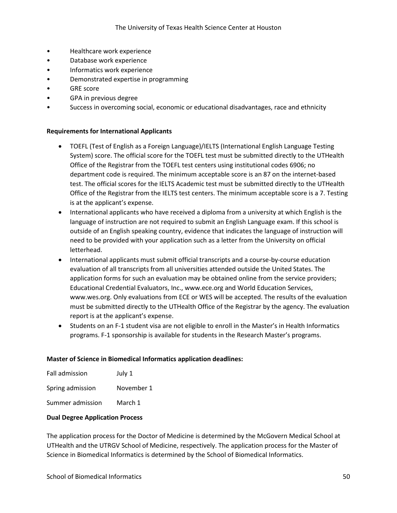- Healthcare work experience
- Database work experience
- Informatics work experience
- Demonstrated expertise in programming
- GRE score
- GPA in previous degree
- Success in overcoming social, economic or educational disadvantages, race and ethnicity

#### **Requirements for International Applicants**

- TOEFL (Test of English as a Foreign Language)/IELTS (International English Language Testing System) score. The official score for the TOEFL test must be submitted directly to the UTHealth Office of the Registrar from the TOEFL test centers using institutional codes 6906; no department code is required. The minimum acceptable score is an 87 on the internet-based test. The official scores for the IELTS Academic test must be submitted directly to the UTHealth Office of the Registrar from the IELTS test centers. The minimum acceptable score is a 7. Testing is at the applicant's expense.
- International applicants who have received a diploma from a university at which English is the language of instruction are not required to submit an English Language exam. If this school is outside of an English speaking country, evidence that indicates the language of instruction will need to be provided with your application such as a letter from the University on official letterhead.
- International applicants must submit official transcripts and a course-by-course education evaluation of all transcripts from all universities attended outside the United States. The application forms for such an evaluation may be obtained online from the service providers; Educational Credential Evaluators, Inc., www.ece.org and World Education Services, www.wes.org. Only evaluations from ECE or WES will be accepted. The results of the evaluation must be submitted directly to the UTHealth Office of the Registrar by the agency. The evaluation report is at the applicant's expense.
- Students on an F-1 student visa are not eligible to enroll in the Master's in Health Informatics programs. F-1 sponsorship is available for students in the Research Master's programs.

#### **Master of Science in Biomedical Informatics application deadlines:**

| Fall admission | July 1 |
|----------------|--------|
|----------------|--------|

Spring admission November 1

Summer admission March 1

### **Dual Degree Application Process**

The application process for the Doctor of Medicine is determined by the McGovern Medical School at UTHealth and the UTRGV School of Medicine, respectively. The application process for the Master of Science in Biomedical Informatics is determined by the School of Biomedical Informatics.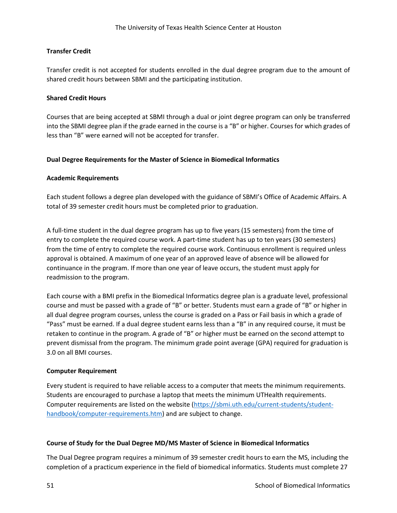## **Transfer Credit**

Transfer credit is not accepted for students enrolled in the dual degree program due to the amount of shared credit hours between SBMI and the participating institution.

## **Shared Credit Hours**

Courses that are being accepted at SBMI through a dual or joint degree program can only be transferred into the SBMI degree plan if the grade earned in the course is a "B" or higher. Courses for which grades of less than "B" were earned will not be accepted for transfer.

## **Dual Degree Requirements for the Master of Science in Biomedical Informatics**

## **Academic Requirements**

Each student follows a degree plan developed with the guidance of SBMI's Office of Academic Affairs. A total of 39 semester credit hours must be completed prior to graduation.

A full‐time student in the dual degree program has up to five years (15 semesters) from the time of entry to complete the required course work. A part-time student has up to ten years (30 semesters) from the time of entry to complete the required course work. Continuous enrollment is required unless approval is obtained. A maximum of one year of an approved leave of absence will be allowed for continuance in the program. If more than one year of leave occurs, the student must apply for readmission to the program.

Each course with a BMI prefix in the Biomedical Informatics degree plan is a graduate level, professional course and must be passed with a grade of "B" or better. Students must earn a grade of "B" or higher in all dual degree program courses, unless the course is graded on a Pass or Fail basis in which a grade of "Pass" must be earned. If a dual degree student earns less than a "B" in any required course, it must be retaken to continue in the program. A grade of "B" or higher must be earned on the second attempt to prevent dismissal from the program. The minimum grade point average (GPA) required for graduation is 3.0 on all BMI courses.

### **Computer Requirement**

Every student is required to have reliable access to a computer that meets the minimum requirements. Students are encouraged to purchase a laptop that meets the minimum UTHealth requirements. Computer requirements are listed on the website [\(https://sbmi.uth.edu/current-students/student](https://sbmi.uth.edu/current-students/student-handbook/computer-requirements.htm)[handbook/computer-requirements.htm\)](https://sbmi.uth.edu/current-students/student-handbook/computer-requirements.htm) and are subject to change.

## **Course of Study for the Dual Degree MD/MS Master of Science in Biomedical Informatics**

The Dual Degree program requires a minimum of 39 semester credit hours to earn the MS, including the completion of a practicum experience in the field of biomedical informatics. Students must complete 27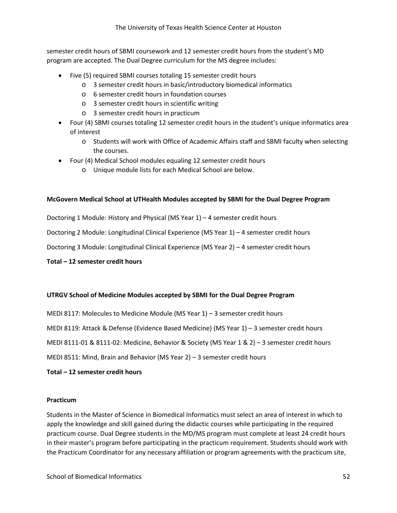semester credit hours of SBMI coursework and 12 semester credit hours from the student's MD program are accepted. The Dual Degree curriculum for the MS degree includes:

- Five (5) required SBMI courses totaling 15 semester credit hours
	- o 3 semester credit hours in basic/introductory biomedical informatics
	- o 6 semester credit hours in foundation courses
	- o 3 semester credit hours in scientific writing
	- o 3 semester credit hours in practicum
- Four (4) SBMI courses totaling 12 semester credit hours in the student's unique informatics area of interest
	- o Students will work with Office of Academic Affairs staff and SBMI faculty when selecting the courses.
- Four (4) Medical School modules equaling 12 semester credit hours
	- o Unique module lists for each Medical School are below.

### **McGovern Medical School at UTHealth Modules accepted by SBMI for the Dual Degree Program**

Doctoring 1 Module: History and Physical (MS Year 1) – 4 semester credit hours

Doctoring 2 Module: Longitudinal Clinical Experience (MS Year 1) – 4 semester credit hours

Doctoring 3 Module: Longitudinal Clinical Experience (MS Year 2) – 4 semester credit hours

### **Total – 12 semester credit hours**

### **UTRGV School of Medicine Modules accepted by SBMI for the Dual Degree Program**

MEDI 8117: Molecules to Medicine Module (MS Year 1) – 3 semester credit hours

MEDI 8119: Attack & Defense (Evidence Based Medicine) (MS Year 1) – 3 semester credit hours

MEDI 8111-01 & 8111-02: Medicine, Behavior & Society (MS Year 1 & 2) – 3 semester credit hours

MEDI 8511: Mind, Brain and Behavior (MS Year 2) – 3 semester credit hours

### **Total – 12 semester credit hours**

#### **Practicum**

Students in the Master of Science in Biomedical Informatics must select an area of interest in which to apply the knowledge and skill gained during the didactic courses while participating in the required practicum course. Dual Degree students in the MD/MS program must complete at least 24 credit hours in their master's program before participating in the practicum requirement. Students should work with the Practicum Coordinator for any necessary affiliation or program agreements with the practicum site,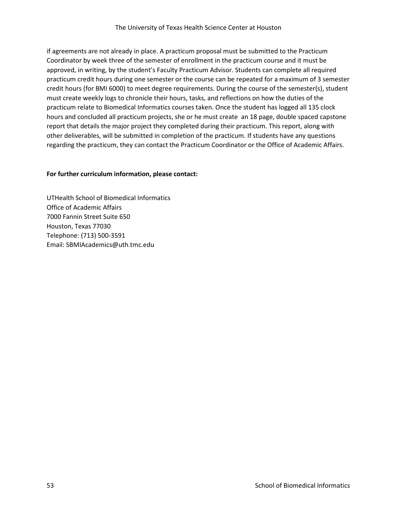if agreements are not already in place. A practicum proposal must be submitted to the Practicum Coordinator by week three of the semester of enrollment in the practicum course and it must be approved, in writing, by the student's Faculty Practicum Advisor. Students can complete all required practicum credit hours during one semester or the course can be repeated for a maximum of 3 semester credit hours (for BMI 6000) to meet degree requirements. During the course of the semester(s), student must create weekly logs to chronicle their hours, tasks, and reflections on how the duties of the practicum relate to Biomedical Informatics courses taken. Once the student has logged all 135 clock hours and concluded all practicum projects, she or he must create an 18 page, double spaced capstone report that details the major project they completed during their practicum. This report, along with other deliverables, will be submitted in completion of the practicum. If students have any questions regarding the practicum, they can contact the Practicum Coordinator or the Office of Academic Affairs.

### **For further curriculum information, please contact:**

UTHealth School of Biomedical Informatics Office of Academic Affairs 7000 Fannin Street Suite 650 Houston, Texas 77030 Telephone: (713) 500‐3591 Email: SBMIAcademics@uth.tmc.edu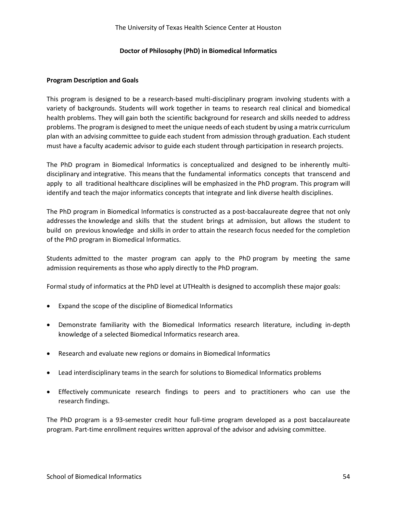### **Doctor of Philosophy (PhD) in Biomedical Informatics**

#### **Program Description and Goals**

This program is designed to be a research-based multi‐disciplinary program involving students with a variety of backgrounds. Students will work together in teams to research real clinical and biomedical health problems. They will gain both the scientific background for research and skills needed to address problems. The program is designed to meet the unique needs of each student by using a matrix curriculum plan with an advising committee to guide each student from admission through graduation. Each student must have a faculty academic advisor to guide each student through participation in research projects.

The PhD program in Biomedical Informatics is conceptualized and designed to be inherently multi‐ disciplinary and integrative. This means that the fundamental informatics concepts that transcend and apply to all traditional healthcare disciplines will be emphasized in the PhD program. This program will identify and teach the major informatics concepts that integrate and link diverse health disciplines.

The PhD program in Biomedical Informatics is constructed as a post‐baccalaureate degree that not only addresses the knowledge and skills that the student brings at admission, but allows the student to build on previous knowledge and skills in order to attain the research focus needed for the completion of the PhD program in Biomedical Informatics.

Students admitted to the master program can apply to the PhD program by meeting the same admission requirements as those who apply directly to the PhD program.

Formal study of informatics at the PhD level at UTHealth is designed to accomplish these major goals:

- Expand the scope of the discipline of Biomedical Informatics
- Demonstrate familiarity with the Biomedical Informatics research literature, including in-depth knowledge of a selected Biomedical Informatics research area.
- Research and evaluate new regions or domains in Biomedical Informatics
- Lead interdisciplinary teams in the search for solutions to Biomedical Informatics problems
- Effectively communicate research findings to peers and to practitioners who can use the research findings.

The PhD program is a 93‐semester credit hour full‐time program developed as a post baccalaureate program. Part-time enrollment requires written approval of the advisor and advising committee.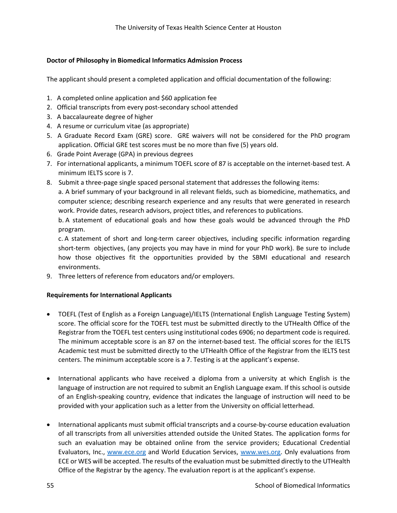## **Doctor of Philosophy in Biomedical Informatics Admission Process**

The applicant should present a completed application and official documentation of the following:

- 1. A completed online application and \$60 application fee
- 2. Official transcripts from every post‐secondary school attended
- 3. A baccalaureate degree of higher
- 4. A resume or curriculum vitae (as appropriate)
- 5. A Graduate Record Exam (GRE) score. GRE waivers will not be considered for the PhD program application. Official GRE test scores must be no more than five (5) years old.
- 6. Grade Point Average (GPA) in previous degrees
- 7. For international applicants, a minimum TOEFL score of 87 is acceptable on the internet-based test. A minimum IELTS score is 7.
- 8. Submit a three-page single spaced personal statement that addresses the following items:

a. A brief summary of your background in all relevant fields, such as biomedicine, mathematics, and computer science; describing research experience and any results that were generated in research work. Provide dates, research advisors, project titles, and references to publications.

b. A statement of educational goals and how these goals would be advanced through the PhD program.

c. A statement of short and long‐term career objectives, including specific information regarding short-term objectives, (any projects you may have in mind for your PhD work). Be sure to include how those objectives fit the opportunities provided by the SBMI educational and research environments.

9. Three letters of reference from educators and/or employers.

### **Requirements for International Applicants**

- TOEFL (Test of English as a Foreign Language)/IELTS (International English Language Testing System) score. The official score for the TOEFL test must be submitted directly to the UTHealth Office of the Registrar from the TOEFL test centers using institutional codes 6906; no department code is required. The minimum acceptable score is an 87 on the internet-based test. The official scores for the IELTS Academic test must be submitted directly to the UTHealth Office of the Registrar from the IELTS test centers. The minimum acceptable score is a 7. Testing is at the applicant's expense.
- International applicants who have received a diploma from a university at which English is the language of instruction are not required to submit an English Language exam. If this school is outside of an English-speaking country, evidence that indicates the language of instruction will need to be provided with your application such as a letter from the University on official letterhead.
- International applicants must submit official transcripts and a course-by-course education evaluation of all transcripts from all universities attended outside the United States. The application forms for such an evaluation may be obtained online from the service providers; Educational Credential Evaluators, Inc., [www.ece.org](http://www.ece.org/) and World Education Services, [www.wes.org.](http://www.wes.org/) Only evaluations from ECE or WES will be accepted. The results of the evaluation must be submitted directly to the UTHealth Office of the Registrar by the agency. The evaluation report is at the applicant's expense.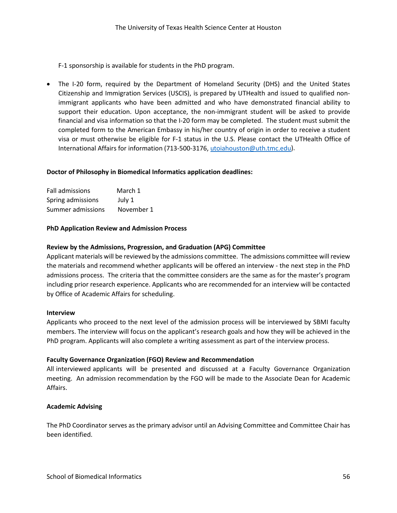F-1 sponsorship is available for students in the PhD program.

• The I-20 form, required by the Department of Homeland Security (DHS) and the United States Citizenship and Immigration Services (USCIS), is prepared by UTHealth and issued to qualified nonimmigrant applicants who have been admitted and who have demonstrated financial ability to support their education. Upon acceptance, the non-immigrant student will be asked to provide financial and visa information so that the I‐20 form may be completed. The student must submit the completed form to the American Embassy in his/her country of origin in order to receive a student visa or must otherwise be eligible for F‐1 status in the U.S. Please contact the UTHealth Office of International Affairs for information (713-500-3176, [utoiahouston@uth.tmc.edu\)](mailto:utoiahouston@uth.tmc.edu).

### **Doctor of Philosophy in Biomedical Informatics application deadlines:**

| <b>Fall admissions</b> | March 1    |
|------------------------|------------|
| Spring admissions      | July 1     |
| Summer admissions      | November 1 |

#### **PhD Application Review and Admission Process**

#### **Review by the Admissions, Progression, and Graduation (APG) Committee**

Applicant materials will be reviewed by the admissions committee. The admissions committee will review the materials and recommend whether applicants will be offered an interview - the next step in the PhD admissions process. The criteria that the committee considers are the same as for the master's program including prior research experience. Applicants who are recommended for an interview will be contacted by Office of Academic Affairs for scheduling.

#### **Interview**

Applicants who proceed to the next level of the admission process will be interviewed by SBMI faculty members. The interview will focus on the applicant's research goals and how they will be achieved in the PhD program. Applicants will also complete a writing assessment as part of the interview process.

### **Faculty Governance Organization (FGO) Review and Recommendation**

All interviewed applicants will be presented and discussed at a Faculty Governance Organization meeting. An admission recommendation by the FGO will be made to the Associate Dean for Academic Affairs.

### **Academic Advising**

The PhD Coordinator serves as the primary advisor until an Advising Committee and Committee Chair has been identified.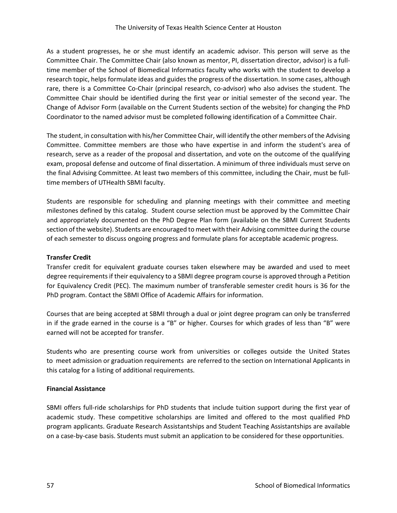As a student progresses, he or she must identify an academic advisor. This person will serve as the Committee Chair. The Committee Chair (also known as mentor, PI, dissertation director, advisor) is a fulltime member of the School of Biomedical Informatics faculty who works with the student to develop a research topic, helps formulate ideas and guides the progress of the dissertation. In some cases, although rare, there is a Committee Co-Chair (principal research, co-advisor) who also advises the student. The Committee Chair should be identified during the first year or initial semester of the second year. The Change of Advisor Form (available on the Current Students section of the website) for changing the PhD Coordinator to the named advisor must be completed following identification of a Committee Chair.

The student, in consultation with his/her Committee Chair, will identify the other members of the Advising Committee. Committee members are those who have expertise in and inform the student's area of research, serve as a reader of the proposal and dissertation, and vote on the outcome of the qualifying exam, proposal defense and outcome of final dissertation. A minimum of three individuals must serve on the final Advising Committee. At least two members of this committee, including the Chair, must be fulltime members of UTHealth SBMI faculty.

Students are responsible for scheduling and planning meetings with their committee and meeting milestones defined by this catalog. Student course selection must be approved by the Committee Chair and appropriately documented on the PhD Degree Plan form (available on the SBMI Current Students section of the website). Students are encouraged to meet with their Advising committee during the course of each semester to discuss ongoing progress and formulate plans for acceptable academic progress.

## **Transfer Credit**

Transfer credit for equivalent graduate courses taken elsewhere may be awarded and used to meet degree requirements if their equivalency to a SBMI degree program course is approved through a Petition for Equivalency Credit (PEC). The maximum number of transferable semester credit hours is 36 for the PhD program. Contact the SBMI Office of Academic Affairs for information.

Courses that are being accepted at SBMI through a dual or joint degree program can only be transferred in if the grade earned in the course is a "B" or higher. Courses for which grades of less than "B" were earned will not be accepted for transfer.

Students who are presenting course work from universities or colleges outside the United States to meet admission or graduation requirements are referred to the section on International Applicants in this catalog for a listing of additional requirements.

### **Financial Assistance**

SBMI offers full-ride scholarships for PhD students that include tuition support during the first year of academic study. These competitive scholarships are limited and offered to the most qualified PhD program applicants. Graduate Research Assistantships and Student Teaching Assistantships are available on a case-by-case basis. Students must submit an application to be considered for these opportunities.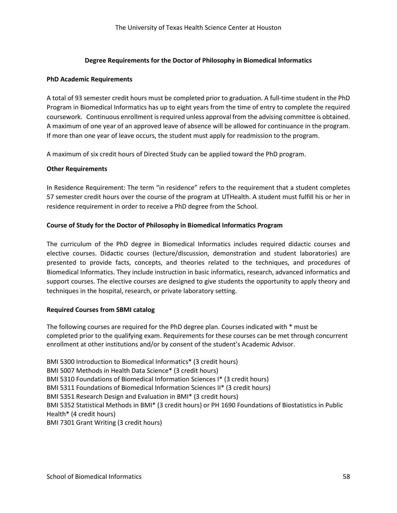### **Degree Requirements for the Doctor of Philosophy in Biomedical Informatics**

#### **PhD Academic Requirements**

A total of 93 semester credit hours must be completed prior to graduation. A full‐time student in the PhD Program in Biomedical Informatics has up to eight years from the time of entry to complete the required coursework. Continuous enrollment is required unless approval from the advising committee is obtained. A maximum of one year of an approved leave of absence will be allowed for continuance in the program. If more than one year of leave occurs, the student must apply for readmission to the program.

A maximum of six credit hours of Directed Study can be applied toward the PhD program.

#### **Other Requirements**

In Residence Requirement: The term "in residence" refers to the requirement that a student completes 57 semester credit hours over the course of the program at UTHealth. A student must fulfill his or her in residence requirement in order to receive a PhD degree from the School.

### **Course of Study for the Doctor of Philosophy in Biomedical Informatics Program**

The curriculum of the PhD degree in Biomedical Informatics includes required didactic courses and elective courses. Didactic courses (lecture/discussion, demonstration and student laboratories) are presented to provide facts, concepts, and theories related to the techniques, and procedures of Biomedical Informatics. They include instruction in basic informatics, research, advanced informatics and support courses. The elective courses are designed to give students the opportunity to apply theory and techniques in the hospital, research, or private laboratory setting.

### **Required Courses from SBMI catalog**

The following courses are required for the PhD degree plan. Courses indicated with \* must be completed prior to the qualifying exam. Requirements for these courses can be met through concurrent enrollment at other institutions and/or by consent of the student's Academic Advisor.

BMI 5300 Introduction to Biomedical Informatics\* (3 credit hours) BMI 5007 Methods in Health Data Science\* (3 credit hours) BMI 5310 Foundations of Biomedical Information Sciences I\* (3 credit hours) BMI 5311 Foundations of Biomedical Information Sciences II\* (3 credit hours) BMI 5351 Research Design and Evaluation in BMI\* (3 credit hours) BMI 5352 Statistical Methods in BMI\* (3 credit hours) or PH 1690 Foundations of Biostatistics in Public Health\* (4 credit hours) BMI 7301 Grant Writing (3 credit hours)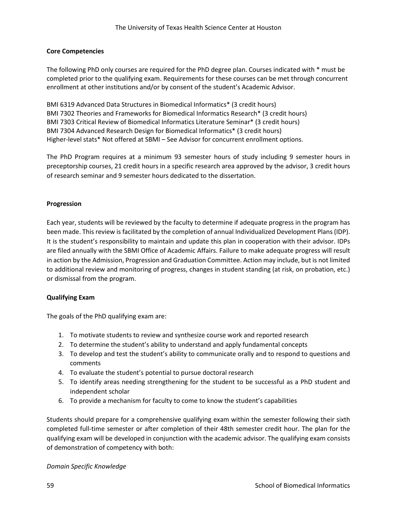## **Core Competencies**

The following PhD only courses are required for the PhD degree plan. Courses indicated with \* must be completed prior to the qualifying exam. Requirements for these courses can be met through concurrent enrollment at other institutions and/or by consent of the student's Academic Advisor.

BMI 6319 Advanced Data Structures in Biomedical Informatics\* (3 credit hours) BMI 7302 Theories and Frameworks for Biomedical Informatics Research\* (3 credit hours) BMI 7303 Critical Review of Biomedical Informatics Literature Seminar\* (3 credit hours) BMI 7304 Advanced Research Design for Biomedical Informatics\* (3 credit hours) Higher-level stats\* Not offered at SBMI – See Advisor for concurrent enrollment options.

The PhD Program requires at a minimum 93 semester hours of study including 9 semester hours in preceptorship courses, 21 credit hours in a specific research area approved by the advisor, 3 credit hours of research seminar and 9 semester hours dedicated to the dissertation.

### **Progression**

Each year, students will be reviewed by the faculty to determine if adequate progress in the program has been made. This review is facilitated by the completion of annual Individualized Development Plans (IDP). It is the student's responsibility to maintain and update this plan in cooperation with their advisor. IDPs are filed annually with the SBMI Office of Academic Affairs. Failure to make adequate progress will result in action by the Admission, Progression and Graduation Committee. Action may include, but is not limited to additional review and monitoring of progress, changes in student standing (at risk, on probation, etc.) or dismissal from the program.

### **Qualifying Exam**

The goals of the PhD qualifying exam are:

- 1. To motivate students to review and synthesize course work and reported research
- 2. To determine the student's ability to understand and apply fundamental concepts
- 3. To develop and test the student's ability to communicate orally and to respond to questions and comments
- 4. To evaluate the student's potential to pursue doctoral research
- 5. To identify areas needing strengthening for the student to be successful as a PhD student and independent scholar
- 6. To provide a mechanism for faculty to come to know the student's capabilities

Students should prepare for a comprehensive qualifying exam within the semester following their sixth completed full-time semester or after completion of their 48th semester credit hour. The plan for the qualifying exam will be developed in conjunction with the academic advisor. The qualifying exam consists of demonstration of competency with both:

### *Domain Specific Knowledge*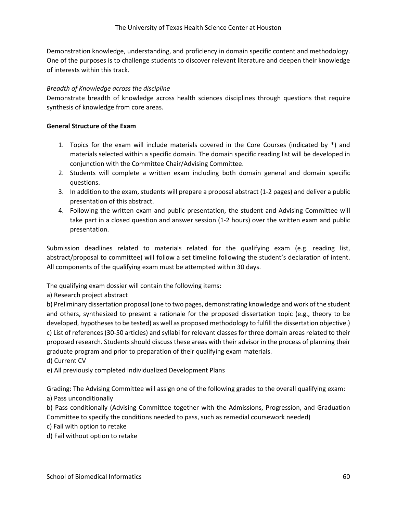Demonstration knowledge, understanding, and proficiency in domain specific content and methodology. One of the purposes is to challenge students to discover relevant literature and deepen their knowledge of interests within this track.

## *Breadth of Knowledge across the discipline*

Demonstrate breadth of knowledge across health sciences disciplines through questions that require synthesis of knowledge from core areas.

## **General Structure of the Exam**

- 1. Topics for the exam will include materials covered in the Core Courses (indicated by \*) and materials selected within a specific domain. The domain specific reading list will be developed in conjunction with the Committee Chair/Advising Committee.
- 2. Students will complete a written exam including both domain general and domain specific questions.
- 3. In addition to the exam, students will prepare a proposal abstract (1-2 pages) and deliver a public presentation of this abstract.
- 4. Following the written exam and public presentation, the student and Advising Committee will take part in a closed question and answer session (1-2 hours) over the written exam and public presentation.

Submission deadlines related to materials related for the qualifying exam (e.g. reading list, abstract/proposal to committee) will follow a set timeline following the student's declaration of intent. All components of the qualifying exam must be attempted within 30 days.

The qualifying exam dossier will contain the following items:

a) Research project abstract

b) Preliminary dissertation proposal (one to two pages, demonstrating knowledge and work of the student and others, synthesized to present a rationale for the proposed dissertation topic (e.g., theory to be developed, hypotheses to be tested) as well as proposed methodology to fulfill the dissertation objective.) c) List of references (30-50 articles) and syllabi for relevant classes for three domain areas related to their proposed research. Students should discuss these areas with their advisor in the process of planning their graduate program and prior to preparation of their qualifying exam materials.

d) Current CV

e) All previously completed Individualized Development Plans

Grading: The Advising Committee will assign one of the following grades to the overall qualifying exam:

a) Pass unconditionally

b) Pass conditionally (Advising Committee together with the Admissions, Progression, and Graduation Committee to specify the conditions needed to pass, such as remedial coursework needed)

c) Fail with option to retake

d) Fail without option to retake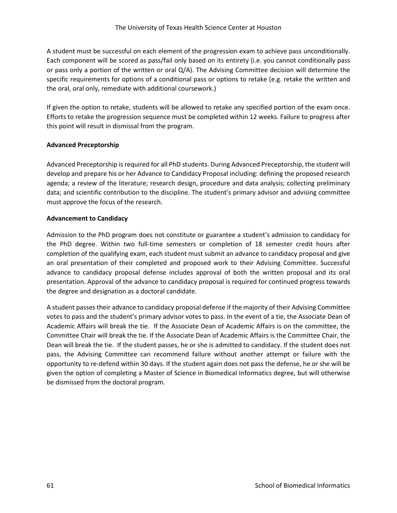A student must be successful on each element of the progression exam to achieve pass unconditionally. Each component will be scored as pass/fail only based on its entirety (i.e. you cannot conditionally pass or pass only a portion of the written or oral Q/A). The Advising Committee decision will determine the specific requirements for options of a conditional pass or options to retake (e.g. retake the written and the oral, oral only, remediate with additional coursework.)

If given the option to retake, students will be allowed to retake any specified portion of the exam once. Efforts to retake the progression sequence must be completed within 12 weeks. Failure to progress after this point will result in dismissal from the program.

## **Advanced Preceptorship**

Advanced Preceptorship is required for all PhD students. During Advanced Preceptorship, the student will develop and prepare his or her Advance to Candidacy Proposal including: defining the proposed research agenda; a review of the literature; research design, procedure and data analysis; collecting preliminary data; and scientific contribution to the discipline. The student's primary advisor and advising committee must approve the focus of the research.

### **Advancement to Candidacy**

Admission to the PhD program does not constitute or guarantee a student's admission to candidacy for the PhD degree. Within two full-time semesters or completion of 18 semester credit hours after completion of the qualifying exam, each student must submit an advance to candidacy proposal and give an oral presentation of their completed and proposed work to their Advising Committee. Successful advance to candidacy proposal defense includes approval of both the written proposal and its oral presentation. Approval of the advance to candidacy proposal is required for continued progress towards the degree and designation as a doctoral candidate.

A student passes their advance to candidacy proposal defense if the majority of their Advising Committee votes to pass and the student's primary advisor votes to pass. In the event of a tie, the Associate Dean of Academic Affairs will break the tie. If the Associate Dean of Academic Affairs is on the committee, the Committee Chair will break the tie. If the Associate Dean of Academic Affairs is the Committee Chair, the Dean will break the tie. If the student passes, he or she is admitted to candidacy. If the student does not pass, the Advising Committee can recommend failure without another attempt or failure with the opportunity to re‐defend within 30 days. If the student again does not pass the defense, he or she will be given the option of completing a Master of Science in Biomedical Informatics degree, but will otherwise be dismissed from the doctoral program.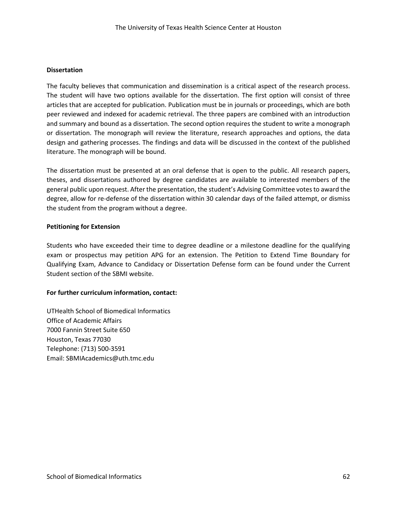#### **Dissertation**

The faculty believes that communication and dissemination is a critical aspect of the research process. The student will have two options available for the dissertation. The first option will consist of three articles that are accepted for publication. Publication must be in journals or proceedings, which are both peer reviewed and indexed for academic retrieval. The three papers are combined with an introduction and summary and bound as a dissertation. The second option requires the student to write a monograph or dissertation. The monograph will review the literature, research approaches and options, the data design and gathering processes. The findings and data will be discussed in the context of the published literature. The monograph will be bound.

The dissertation must be presented at an oral defense that is open to the public. All research papers, theses, and dissertations authored by degree candidates are available to interested members of the general public upon request. After the presentation, the student's Advising Committee votes to award the degree, allow for re-defense of the dissertation within 30 calendar days of the failed attempt, or dismiss the student from the program without a degree.

#### **Petitioning for Extension**

Students who have exceeded their time to degree deadline or a milestone deadline for the qualifying exam or prospectus may petition APG for an extension. The Petition to Extend Time Boundary for Qualifying Exam, Advance to Candidacy or Dissertation Defense form can be found under the Current Student section of the SBMI website.

### **For further curriculum information, contact:**

UTHealth School of Biomedical Informatics Office of Academic Affairs 7000 Fannin Street Suite 650 Houston, Texas 77030 Telephone: (713) 500‐3591 Email: SBMIAcademics@uth.tmc.edu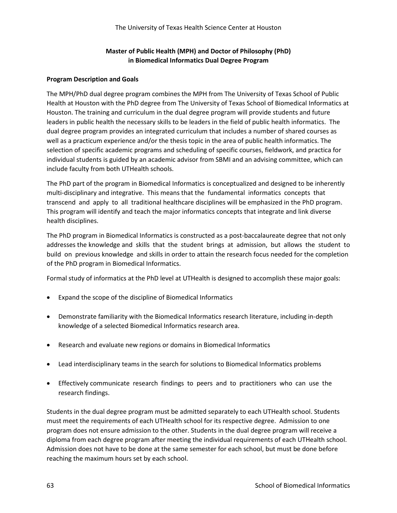# **Master of Public Health (MPH) and Doctor of Philosophy (PhD) in Biomedical Informatics Dual Degree Program**

## **Program Description and Goals**

The MPH/PhD dual degree program combines the MPH from The University of Texas School of Public Health at Houston with the PhD degree from The University of Texas School of Biomedical Informatics at Houston. The training and curriculum in the dual degree program will provide students and future leaders in public health the necessary skills to be leaders in the field of public health informatics. The dual degree program provides an integrated curriculum that includes a number of shared courses as well as a practicum experience and/or the thesis topic in the area of public health informatics. The selection of specific academic programs and scheduling of specific courses, fieldwork, and practica for individual students is guided by an academic advisor from SBMI and an advising committee, which can include faculty from both UTHealth schools.

The PhD part of the program in Biomedical Informatics is conceptualized and designed to be inherently multi-disciplinary and integrative. This means that the fundamental informatics concepts that transcend and apply to all traditional healthcare disciplines will be emphasized in the PhD program. This program will identify and teach the major informatics concepts that integrate and link diverse health disciplines.

The PhD program in Biomedical Informatics is constructed as a post-baccalaureate degree that not only addresses the knowledge and skills that the student brings at admission, but allows the student to build on previous knowledge and skills in order to attain the research focus needed for the completion of the PhD program in Biomedical Informatics.

Formal study of informatics at the PhD level at UTHealth is designed to accomplish these major goals:

- Expand the scope of the discipline of Biomedical Informatics
- Demonstrate familiarity with the Biomedical Informatics research literature, including in-depth knowledge of a selected Biomedical Informatics research area.
- Research and evaluate new regions or domains in Biomedical Informatics
- Lead interdisciplinary teams in the search for solutions to Biomedical Informatics problems
- Effectively communicate research findings to peers and to practitioners who can use the research findings.

Students in the dual degree program must be admitted separately to each UTHealth school. Students must meet the requirements of each UTHealth school for its respective degree. Admission to one program does not ensure admission to the other. Students in the dual degree program will receive a diploma from each degree program after meeting the individual requirements of each UTHealth school. Admission does not have to be done at the same semester for each school, but must be done before reaching the maximum hours set by each school.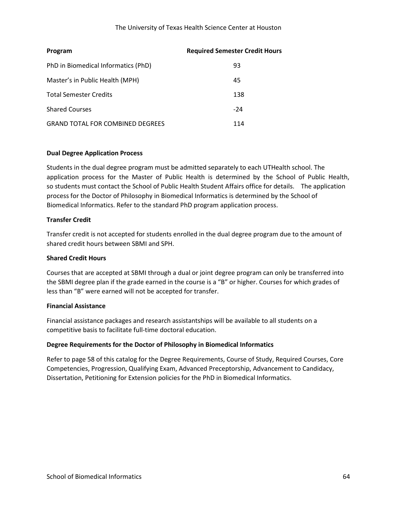### The University of Texas Health Science Center at Houston

| Program                                 | <b>Required Semester Credit Hours</b> |
|-----------------------------------------|---------------------------------------|
| PhD in Biomedical Informatics (PhD)     | 93                                    |
| Master's in Public Health (MPH)         | 45                                    |
| <b>Total Semester Credits</b>           | 138                                   |
| <b>Shared Courses</b>                   | $-24$                                 |
| <b>GRAND TOTAL FOR COMBINED DEGREES</b> | 114                                   |

#### **Dual Degree Application Process**

Students in the dual degree program must be admitted separately to each UTHealth school. The application process for the Master of Public Health is determined by the School of Public Health, so students must contact the School of Public Health Student Affairs office for details. The application process for the Doctor of Philosophy in Biomedical Informatics is determined by the School of Biomedical Informatics. Refer to the standard PhD program application process.

#### **Transfer Credit**

Transfer credit is not accepted for students enrolled in the dual degree program due to the amount of shared credit hours between SBMI and SPH.

#### **Shared Credit Hours**

Courses that are accepted at SBMI through a dual or joint degree program can only be transferred into the SBMI degree plan if the grade earned in the course is a "B" or higher. Courses for which grades of less than "B" were earned will not be accepted for transfer.

#### **Financial Assistance**

Financial assistance packages and research assistantships will be available to all students on a competitive basis to facilitate full-time doctoral education.

### **Degree Requirements for the Doctor of Philosophy in Biomedical Informatics**

Refer to page 58 of this catalog for the Degree Requirements, Course of Study, Required Courses, Core Competencies, Progression, Qualifying Exam, Advanced Preceptorship, Advancement to Candidacy, Dissertation, Petitioning for Extension policies for the PhD in Biomedical Informatics.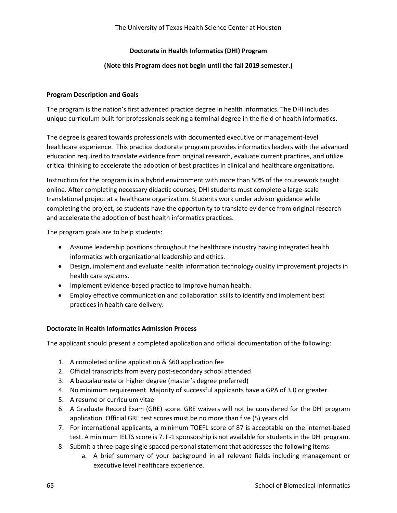# **Doctorate in Health Informatics (DHI) Program**

# **(Note this Program does not begin until the fall 2019 semester.)**

# **Program Description and Goals**

The program is the nation's first advanced practice degree in health informatics. The DHI includes unique curriculum built for professionals seeking a terminal degree in the field of health informatics.

The degree is geared towards professionals with documented executive or management-level healthcare experience. This practice doctorate program provides informatics leaders with the advanced education required to translate evidence from original research, evaluate current practices, and utilize critical thinking to accelerate the adoption of best practices in clinical and healthcare organizations.

Instruction for the program is in a hybrid environment with more than 50% of the coursework taught online. After completing necessary didactic courses, DHI students must complete a large-scale translational project at a healthcare organization. Students work under advisor guidance while completing the project, so students have the opportunity to translate evidence from original research and accelerate the adoption of best health informatics practices.

The program goals are to help students:

- Assume leadership positions throughout the healthcare industry having integrated health informatics with organizational leadership and ethics.
- Design, implement and evaluate health information technology quality improvement projects in health care systems.
- Implement evidence-based practice to improve human health.
- Employ effective communication and collaboration skills to identify and implement best practices in health care delivery.

## **Doctorate in Health Informatics Admission Process**

The applicant should present a completed application and official documentation of the following:

- 1. A completed online application & \$60 application fee
- 2. Official transcripts from every post-secondary school attended
- 3. A baccalaureate or higher degree (master's degree preferred)
- 4. No minimum requirement. Majority of successful applicants have a GPA of 3.0 or greater.
- 5. A resume or curriculum vitae
- 6. A Graduate Record Exam (GRE) score. GRE waivers will not be considered for the DHI program application. Official GRE test scores must be no more than five (5) years old.
- 7. For international applicants, a minimum TOEFL score of 87 is acceptable on the internet-based test. A minimum IELTS score is 7. F-1 sponsorship is not available for students in the DHI program.
- 8. Submit a three-page single spaced personal statement that addresses the following items:
	- a. A brief summary of your background in all relevant fields including management or executive level healthcare experience.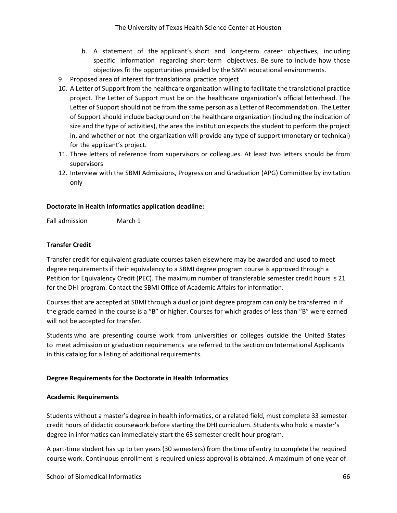- b. A statement of the applicant's short and long‐term career objectives, including specific information regarding short-term objectives. Be sure to include how those objectives fit the opportunities provided by the SBMI educational environments.
- 9. Proposed area of interest for translational practice project
- 10. A Letter of Support from the healthcare organization willing to facilitate the translational practice project. The Letter of Support must be on the healthcare organization's official letterhead. The Letter of Support should not be from the same person as a Letter of Recommendation. The Letter of Support should include background on the healthcare organization (including the indication of size and the type of activities), the area the institution expects the student to perform the project in, and whether or not the organization will provide any type of support (monetary or technical) for the applicant's project.
- 11. Three letters of reference from supervisors or colleagues. At least two letters should be from supervisors
- 12. Interview with the SBMI Admissions, Progression and Graduation (APG) Committee by invitation only

# **Doctorate in Health Informatics application deadline:**

Fall admission March 1

## **Transfer Credit**

Transfer credit for equivalent graduate courses taken elsewhere may be awarded and used to meet degree requirements if their equivalency to a SBMI degree program course is approved through a Petition for Equivalency Credit (PEC). The maximum number of transferable semester credit hours is 21 for the DHI program. Contact the SBMI Office of Academic Affairs for information.

Courses that are accepted at SBMI through a dual or joint degree program can only be transferred in if the grade earned in the course is a "B" or higher. Courses for which grades of less than "B" were earned will not be accepted for transfer.

Students who are presenting course work from universities or colleges outside the United States to meet admission or graduation requirements are referred to the section on International Applicants in this catalog for a listing of additional requirements.

## **Degree Requirements for the Doctorate in Health Informatics**

## **Academic Requirements**

Students without a master's degree in health informatics, or a related field, must complete 33 semester credit hours of didactic coursework before starting the DHI curriculum. Students who hold a master's degree in informatics can immediately start the 63 semester credit hour program.

A part‐time student has up to ten years (30 semesters) from the time of entry to complete the required course work. Continuous enrollment is required unless approval is obtained. A maximum of one year of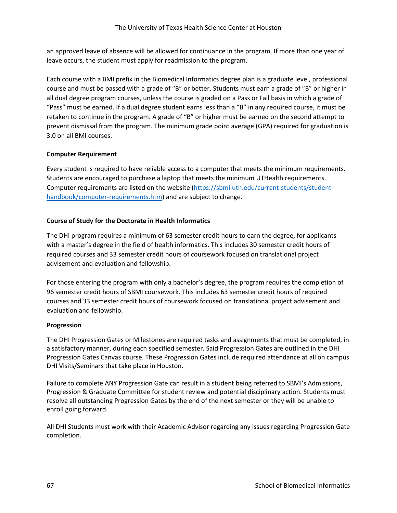an approved leave of absence will be allowed for continuance in the program. If more than one year of leave occurs, the student must apply for readmission to the program.

Each course with a BMI prefix in the Biomedical Informatics degree plan is a graduate level, professional course and must be passed with a grade of "B" or better. Students must earn a grade of "B" or higher in all dual degree program courses, unless the course is graded on a Pass or Fail basis in which a grade of "Pass" must be earned. If a dual degree student earns less than a "B" in any required course, it must be retaken to continue in the program. A grade of "B" or higher must be earned on the second attempt to prevent dismissal from the program. The minimum grade point average (GPA) required for graduation is 3.0 on all BMI courses.

# **Computer Requirement**

Every student is required to have reliable access to a computer that meets the minimum requirements. Students are encouraged to purchase a laptop that meets the minimum UTHealth requirements. Computer requirements are listed on the website [\(https://sbmi.uth.edu/current-students/student](https://sbmi.uth.edu/current-students/student-handbook/computer-requirements.htm)[handbook/computer-requirements.htm\)](https://sbmi.uth.edu/current-students/student-handbook/computer-requirements.htm) and are subject to change.

# **Course of Study for the Doctorate in Health Informatics**

The DHI program requires a minimum of 63 semester credit hours to earn the degree, for applicants with a master's degree in the field of health informatics. This includes 30 semester credit hours of required courses and 33 semester credit hours of coursework focused on translational project advisement and evaluation and fellowship.

For those entering the program with only a bachelor's degree, the program requires the completion of 96 semester credit hours of SBMI coursework. This includes 63 semester credit hours of required courses and 33 semester credit hours of coursework focused on translational project advisement and evaluation and fellowship.

## **Progression**

The DHI Progression Gates or Milestones are required tasks and assignments that must be completed, in a satisfactory manner, during each specified semester. Said Progression Gates are outlined in the DHI Progression Gates Canvas course. These Progression Gates include required attendance at all on campus DHI Visits/Seminars that take place in Houston.

Failure to complete ANY Progression Gate can result in a student being referred to SBMI's Admissions, Progression & Graduate Committee for student review and potential disciplinary action. Students must resolve all outstanding Progression Gates by the end of the next semester or they will be unable to enroll going forward.

All DHI Students must work with their Academic Advisor regarding any issues regarding Progression Gate completion.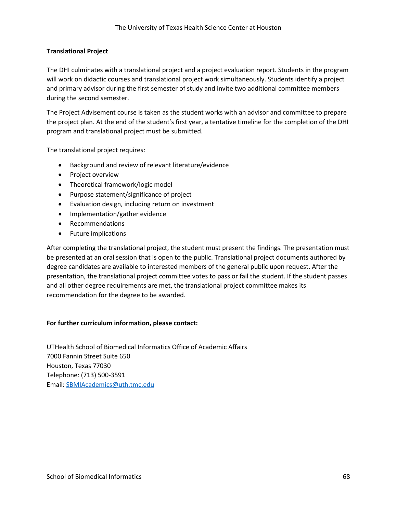# **Translational Project**

The DHI culminates with a translational project and a project evaluation report. Students in the program will work on didactic courses and translational project work simultaneously. Students identify a project and primary advisor during the first semester of study and invite two additional committee members during the second semester.

The Project Advisement course is taken as the student works with an advisor and committee to prepare the project plan. At the end of the student's first year, a tentative timeline for the completion of the DHI program and translational project must be submitted.

The translational project requires:

- Background and review of relevant literature/evidence
- Project overview
- Theoretical framework/logic model
- Purpose statement/significance of project
- Evaluation design, including return on investment
- Implementation/gather evidence
- Recommendations
- Future implications

After completing the translational project, the student must present the findings. The presentation must be presented at an oral session that is open to the public. Translational project documents authored by degree candidates are available to interested members of the general public upon request. After the presentation, the translational project committee votes to pass or fail the student. If the student passes and all other degree requirements are met, the translational project committee makes its recommendation for the degree to be awarded.

## **For further curriculum information, please contact:**

UTHealth School of Biomedical Informatics Office of Academic Affairs 7000 Fannin Street Suite 650 Houston, Texas 77030 Telephone: (713) 500‐3591 Email: [SBMIAcademics@uth.tmc.edu](mailto:SBMIAcademics@uth.tmc.edu)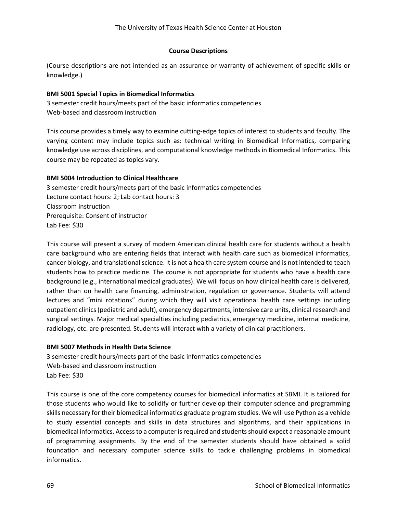# **Course Descriptions**

(Course descriptions are not intended as an assurance or warranty of achievement of specific skills or knowledge.)

# **BMI 5001 Special Topics in Biomedical Informatics**

3 semester credit hours/meets part of the basic informatics competencies Web-based and classroom instruction

This course provides a timely way to examine cutting-edge topics of interest to students and faculty. The varying content may include topics such as: technical writing in Biomedical Informatics, comparing knowledge use across disciplines, and computational knowledge methods in Biomedical Informatics. This course may be repeated as topics vary.

# **BMI 5004 Introduction to Clinical Healthcare**

3 semester credit hours/meets part of the basic informatics competencies Lecture contact hours: 2; Lab contact hours: 3 Classroom instruction Prerequisite: Consent of instructor Lab Fee: \$30

This course will present a survey of modern American clinical health care for students without a health care background who are entering fields that interact with health care such as biomedical informatics, cancer biology, and translational science. It is not a health care system course and is not intended to teach students how to practice medicine. The course is not appropriate for students who have a health care background (e.g., international medical graduates). We will focus on how clinical health care is delivered, rather than on health care financing, administration, regulation or governance. Students will attend lectures and "mini rotations" during which they will visit operational health care settings including outpatient clinics (pediatric and adult), emergency departments, intensive care units, clinical research and surgical settings. Major medical specialties including pediatrics, emergency medicine, internal medicine, radiology, etc. are presented. Students will interact with a variety of clinical practitioners.

## **BMI 5007 Methods in Health Data Science**

3 semester credit hours/meets part of the basic informatics competencies Web-based and classroom instruction Lab Fee: \$30

This course is one of the core competency courses for biomedical informatics at SBMI. It is tailored for those students who would like to solidify or further develop their computer science and programming skills necessary for their biomedical informatics graduate program studies. We will use Python as a vehicle to study essential concepts and skills in data structures and algorithms, and their applications in biomedical informatics. Access to a computer is required and students should expect a reasonable amount of programming assignments. By the end of the semester students should have obtained a solid foundation and necessary computer science skills to tackle challenging problems in biomedical informatics.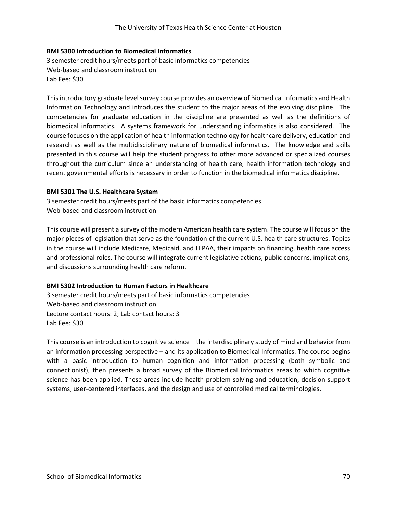### **BMI 5300 Introduction to Biomedical Informatics**

3 semester credit hours/meets part of basic informatics competencies Web-based and classroom instruction Lab Fee: \$30

This introductory graduate level survey course provides an overview of Biomedical Informatics and Health Information Technology and introduces the student to the major areas of the evolving discipline. The competencies for graduate education in the discipline are presented as well as the definitions of biomedical informatics. A systems framework for understanding informatics is also considered. The course focuses on the application of health information technology for healthcare delivery, education and research as well as the multidisciplinary nature of biomedical informatics. The knowledge and skills presented in this course will help the student progress to other more advanced or specialized courses throughout the curriculum since an understanding of health care, health information technology and recent governmental efforts is necessary in order to function in the biomedical informatics discipline.

#### **BMI 5301 The U.S. Healthcare System**

3 semester credit hours/meets part of the basic informatics competencies Web-based and classroom instruction

This course will present a survey of the modern American health care system. The course will focus on the major pieces of legislation that serve as the foundation of the current U.S. health care structures. Topics in the course will include Medicare, Medicaid, and HIPAA, their impacts on financing, health care access and professional roles. The course will integrate current legislative actions, public concerns, implications, and discussions surrounding health care reform.

## **BMI 5302 Introduction to Human Factors in Healthcare**

3 semester credit hours/meets part of basic informatics competencies Web-based and classroom instruction Lecture contact hours: 2; Lab contact hours: 3 Lab Fee: \$30

This course is an introduction to cognitive science – the interdisciplinary study of mind and behavior from an information processing perspective – and its application to Biomedical Informatics. The course begins with a basic introduction to human cognition and information processing (both symbolic and connectionist), then presents a broad survey of the Biomedical Informatics areas to which cognitive science has been applied. These areas include health problem solving and education, decision support systems, user-centered interfaces, and the design and use of controlled medical terminologies.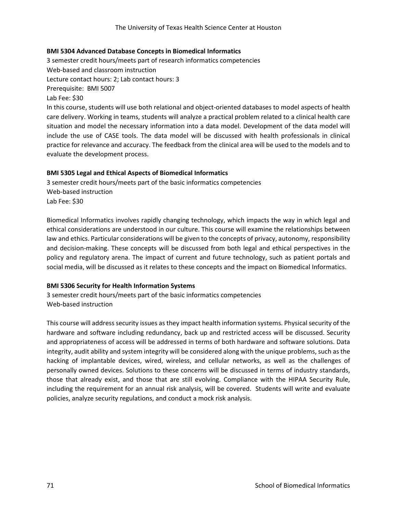# **BMI 5304 Advanced Database Concepts in Biomedical Informatics**

3 semester credit hours/meets part of research informatics competencies Web-based and classroom instruction Lecture contact hours: 2; Lab contact hours: 3 Prerequisite: BMI 5007 Lab Fee: \$30 In this course, students will use both relational and object-oriented databases to model aspects of health care delivery. Working in teams, students will analyze a practical problem related to a clinical health care situation and model the necessary information into a data model. Development of the data model will include the use of CASE tools. The data model will be discussed with health professionals in clinical practice for relevance and accuracy. The feedback from the clinical area will be used to the models and to evaluate the development process.

# **BMI 5305 Legal and Ethical Aspects of Biomedical Informatics**

3 semester credit hours/meets part of the basic informatics competencies Web-based instruction Lab Fee: \$30

Biomedical Informatics involves rapidly changing technology, which impacts the way in which legal and ethical considerations are understood in our culture. This course will examine the relationships between law and ethics. Particular considerations will be given to the concepts of privacy, autonomy, responsibility and decision-making. These concepts will be discussed from both legal and ethical perspectives in the policy and regulatory arena. The impact of current and future technology, such as patient portals and social media, will be discussed as it relates to these concepts and the impact on Biomedical Informatics.

## **BMI 5306 Security for Health Information Systems**

3 semester credit hours/meets part of the basic informatics competencies Web-based instruction

This course will address security issues as they impact health information systems. Physical security of the hardware and software including redundancy, back up and restricted access will be discussed. Security and appropriateness of access will be addressed in terms of both hardware and software solutions. Data integrity, audit ability and system integrity will be considered along with the unique problems, such as the hacking of implantable devices, wired, wireless, and cellular networks, as well as the challenges of personally owned devices. Solutions to these concerns will be discussed in terms of industry standards, those that already exist, and those that are still evolving. Compliance with the HIPAA Security Rule, including the requirement for an annual risk analysis, will be covered. Students will write and evaluate policies, analyze security regulations, and conduct a mock risk analysis.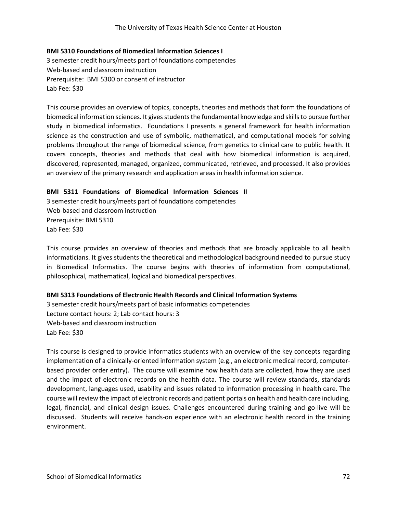### **BMI 5310 Foundations of Biomedical Information Sciences I**

3 semester credit hours/meets part of foundations competencies Web-based and classroom instruction Prerequisite: BMI 5300 or consent of instructor Lab Fee: \$30

This course provides an overview of topics, concepts, theories and methods that form the foundations of biomedical information sciences. It gives students the fundamental knowledge and skills to pursue further study in biomedical informatics. Foundations I presents a general framework for health information science as the construction and use of symbolic, mathematical, and computational models for solving problems throughout the range of biomedical science, from genetics to clinical care to public health. It covers concepts, theories and methods that deal with how biomedical information is acquired, discovered, represented, managed, organized, communicated, retrieved, and processed. It also provides an overview of the primary research and application areas in health information science.

### **BMI 5311 Foundations of Biomedical Information Sciences II**

3 semester credit hours/meets part of foundations competencies Web-based and classroom instruction Prerequisite: BMI 5310 Lab Fee: \$30

This course provides an overview of theories and methods that are broadly applicable to all health informaticians. It gives students the theoretical and methodological background needed to pursue study in Biomedical Informatics. The course begins with theories of information from computational, philosophical, mathematical, logical and biomedical perspectives.

## **BMI 5313 Foundations of Electronic Health Records and Clinical Information Systems**

3 semester credit hours/meets part of basic informatics competencies Lecture contact hours: 2; Lab contact hours: 3 Web-based and classroom instruction Lab Fee: \$30

This course is designed to provide informatics students with an overview of the key concepts regarding implementation of a clinically-oriented information system (e.g., an electronic medical record, computerbased provider order entry). The course will examine how health data are collected, how they are used and the impact of electronic records on the health data. The course will review standards, standards development, languages used, usability and issues related to information processing in health care. The course will review the impact of electronic records and patient portals on health and health care including, legal, financial, and clinical design issues. Challenges encountered during training and go-live will be discussed. Students will receive hands-on experience with an electronic health record in the training environment.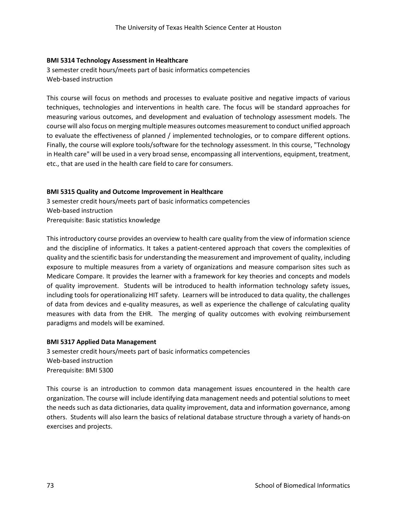### **BMI 5314 Technology Assessment in Healthcare**

3 semester credit hours/meets part of basic informatics competencies Web-based instruction

This course will focus on methods and processes to evaluate positive and negative impacts of various techniques, technologies and interventions in health care. The focus will be standard approaches for measuring various outcomes, and development and evaluation of technology assessment models. The course will also focus on merging multiple measures outcomes measurement to conduct unified approach to evaluate the effectiveness of planned / implemented technologies, or to compare different options. Finally, the course will explore tools/software for the technology assessment. In this course, "Technology in Health care" will be used in a very broad sense, encompassing all interventions, equipment, treatment, etc., that are used in the health care field to care for consumers.

#### **BMI 5315 Quality and Outcome Improvement in Healthcare**

3 semester credit hours/meets part of basic informatics competencies Web-based instruction Prerequisite: Basic statistics knowledge

This introductory course provides an overview to health care quality from the view of information science and the discipline of informatics. It takes a patient-centered approach that covers the complexities of quality and the scientific basis for understanding the measurement and improvement of quality, including exposure to multiple measures from a variety of organizations and measure comparison sites such as Medicare Compare. It provides the learner with a framework for key theories and concepts and models of quality improvement. Students will be introduced to health information technology safety issues, including tools for operationalizing HIT safety. Learners will be introduced to data quality, the challenges of data from devices and e-quality measures, as well as experience the challenge of calculating quality measures with data from the EHR. The merging of quality outcomes with evolving reimbursement paradigms and models will be examined.

#### **BMI 5317 Applied Data Management**

3 semester credit hours/meets part of basic informatics competencies Web-based instruction Prerequisite: BMI 5300

This course is an introduction to common data management issues encountered in the health care organization. The course will include identifying data management needs and potential solutions to meet the needs such as data dictionaries, data quality improvement, data and information governance, among others. Students will also learn the basics of relational database structure through a variety of hands-on exercises and projects.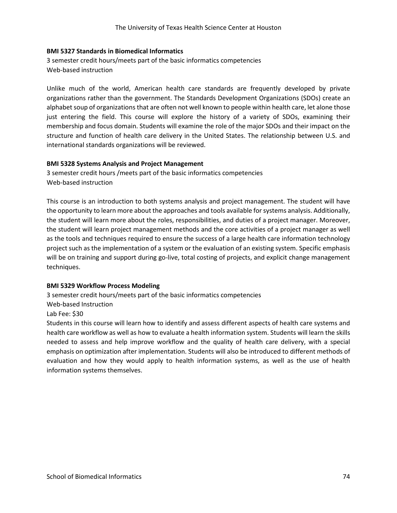## **BMI 5327 Standards in Biomedical Informatics**

3 semester credit hours/meets part of the basic informatics competencies Web-based instruction

Unlike much of the world, American health care standards are frequently developed by private organizations rather than the government. The Standards Development Organizations (SDOs) create an alphabet soup of organizations that are often not well known to people within health care, let alone those just entering the field. This course will explore the history of a variety of SDOs, examining their membership and focus domain. Students will examine the role of the major SDOs and their impact on the structure and function of health care delivery in the United States. The relationship between U.S. and international standards organizations will be reviewed.

### **BMI 5328 Systems Analysis and Project Management**

3 semester credit hours /meets part of the basic informatics competencies Web-based instruction

This course is an introduction to both systems analysis and project management. The student will have the opportunity to learn more about the approaches and tools available for systems analysis. Additionally, the student will learn more about the roles, responsibilities, and duties of a project manager. Moreover, the student will learn project management methods and the core activities of a project manager as well as the tools and techniques required to ensure the success of a large health care information technology project such as the implementation of a system or the evaluation of an existing system. Specific emphasis will be on training and support during go-live, total costing of projects, and explicit change management techniques.

## **BMI 5329 Workflow Process Modeling**

3 semester credit hours/meets part of the basic informatics competencies

Web-based Instruction

Lab Fee: \$30

Students in this course will learn how to identify and assess different aspects of health care systems and health care workflow as well as how to evaluate a health information system. Students will learn the skills needed to assess and help improve workflow and the quality of health care delivery, with a special emphasis on optimization after implementation. Students will also be introduced to different methods of evaluation and how they would apply to health information systems, as well as the use of health information systems themselves.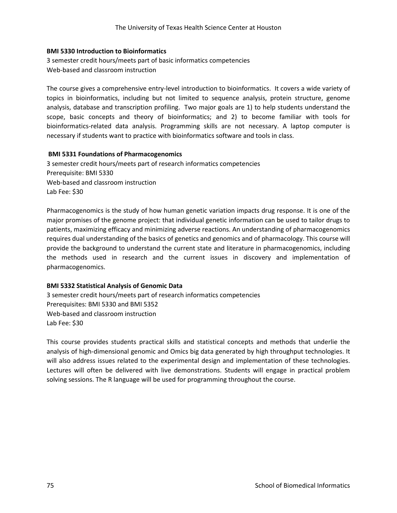### **BMI 5330 Introduction to Bioinformatics**

3 semester credit hours/meets part of basic informatics competencies Web-based and classroom instruction

The course gives a comprehensive entry-level introduction to bioinformatics. It covers a wide variety of topics in bioinformatics, including but not limited to sequence analysis, protein structure, genome analysis, database and transcription profiling. Two major goals are 1) to help students understand the scope, basic concepts and theory of bioinformatics; and 2) to become familiar with tools for bioinformatics-related data analysis. Programming skills are not necessary. A laptop computer is necessary if students want to practice with bioinformatics software and tools in class.

### **BMI 5331 Foundations of Pharmacogenomics**

3 semester credit hours/meets part of research informatics competencies Prerequisite: BMI 5330 Web-based and classroom instruction Lab Fee: \$30

Pharmacogenomics is the study of how human genetic variation impacts drug response. It is one of the major promises of the genome project: that individual genetic information can be used to tailor drugs to patients, maximizing efficacy and minimizing adverse reactions. An understanding of pharmacogenomics requires dual understanding of the basics of genetics and genomics and of pharmacology. This course will provide the background to understand the current state and literature in pharmacogenomics, including the methods used in research and the current issues in discovery and implementation of pharmacogenomics.

## **BMI 5332 Statistical Analysis of Genomic Data**

3 semester credit hours/meets part of research informatics competencies Prerequisites: BMI 5330 and BMI 5352 Web-based and classroom instruction Lab Fee: \$30

This course provides students practical skills and statistical concepts and methods that underlie the analysis of high-dimensional genomic and Omics big data generated by high throughput technologies. It will also address issues related to the experimental design and implementation of these technologies. Lectures will often be delivered with live demonstrations. Students will engage in practical problem solving sessions. The R language will be used for programming throughout the course.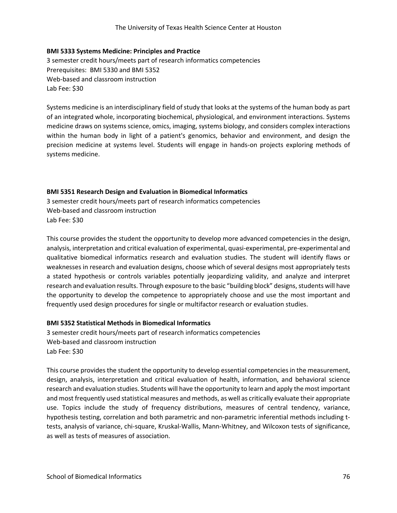### **BMI 5333 Systems Medicine: Principles and Practice**

3 semester credit hours/meets part of research informatics competencies Prerequisites: BMI 5330 and BMI 5352 Web-based and classroom instruction Lab Fee: \$30

Systems medicine is an interdisciplinary field of study that looks at the systems of the human body as part of an integrated whole, incorporating biochemical, physiological, and environment interactions. Systems medicine draws on systems science, omics, imaging, systems biology, and considers complex interactions within the human body in light of a patient's genomics, behavior and environment, and design the precision medicine at systems level. Students will engage in hands-on projects exploring methods of systems medicine.

### **BMI 5351 Research Design and Evaluation in Biomedical Informatics**

3 semester credit hours/meets part of research informatics competencies Web-based and classroom instruction Lab Fee: \$30

This course provides the student the opportunity to develop more advanced competencies in the design, analysis, interpretation and critical evaluation of experimental, quasi-experimental, pre-experimental and qualitative biomedical informatics research and evaluation studies. The student will identify flaws or weaknesses in research and evaluation designs, choose which of several designs most appropriately tests a stated hypothesis or controls variables potentially jeopardizing validity, and analyze and interpret research and evaluation results. Through exposure to the basic "building block" designs, students will have the opportunity to develop the competence to appropriately choose and use the most important and frequently used design procedures for single or multifactor research or evaluation studies.

#### **BMI 5352 Statistical Methods in Biomedical Informatics**

3 semester credit hours/meets part of research informatics competencies Web-based and classroom instruction Lab Fee: \$30

This course provides the student the opportunity to develop essential competencies in the measurement, design, analysis, interpretation and critical evaluation of health, information, and behavioral science research and evaluation studies. Students will have the opportunity to learn and apply the most important and most frequently used statistical measures and methods, as well as critically evaluate their appropriate use. Topics include the study of frequency distributions, measures of central tendency, variance, hypothesis testing, correlation and both parametric and non-parametric inferential methods including ttests, analysis of variance, chi-square, Kruskal-Wallis, Mann-Whitney, and Wilcoxon tests of significance, as well as tests of measures of association.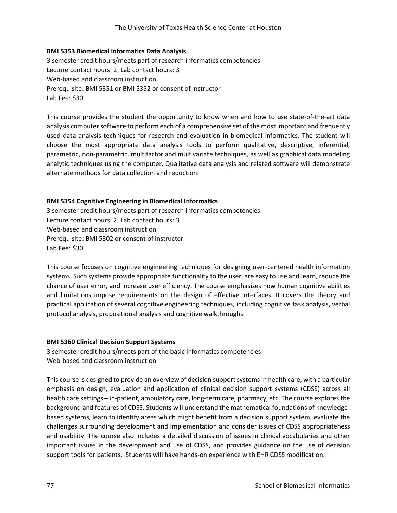# **BMI 5353 Biomedical Informatics Data Analysis**

3 semester credit hours/meets part of research informatics competencies Lecture contact hours: 2; Lab contact hours: 3 Web-based and classroom instruction Prerequisite: BMI 5351 or BMI 5352 or consent of instructor Lab Fee: \$30

This course provides the student the opportunity to know when and how to use state-of-the-art data analysis computer software to perform each of a comprehensive set of the most important and frequently used data analysis techniques for research and evaluation in biomedical informatics. The student will choose the most appropriate data analysis tools to perform qualitative, descriptive, inferential, parametric, non-parametric, multifactor and multivariate techniques, as well as graphical data modeling analytic techniques using the computer. Qualitative data analysis and related software will demonstrate alternate methods for data collection and reduction.

# **BMI 5354 Cognitive Engineering in Biomedical Informatics**

3 semester credit hours/meets part of research informatics competencies Lecture contact hours: 2; Lab contact hours: 3 Web-based and classroom instruction Prerequisite: BMI 5302 or consent of instructor Lab Fee: \$30

This course focuses on cognitive engineering techniques for designing user-centered health information systems. Such systems provide appropriate functionality to the user, are easy to use and learn, reduce the chance of user error, and increase user efficiency. The course emphasizes how human cognitive abilities and limitations impose requirements on the design of effective interfaces. It covers the theory and practical application of several cognitive engineering techniques, including cognitive task analysis, verbal protocol analysis, propositional analysis and cognitive walkthroughs.

## **BMI 5360 Clinical Decision Support Systems**

3 semester credit hours/meets part of the basic informatics competencies Web-based and classroom instruction

This course is designed to provide an overview of decision support systems in health care, with a particular emphasis on design, evaluation and application of clinical decision support systems (CDSS) across all health care settings – in-patient, ambulatory care, long-term care, pharmacy, etc. The course explores the background and features of CDSS. Students will understand the mathematical foundations of knowledgebased systems, learn to identify areas which might benefit from a decision support system, evaluate the challenges surrounding development and implementation and consider issues of CDSS appropriateness and usability. The course also includes a detailed discussion of issues in clinical vocabularies and other important issues in the development and use of CDSS, and provides guidance on the use of decision support tools for patients. Students will have hands-on experience with EHR CDSS modification.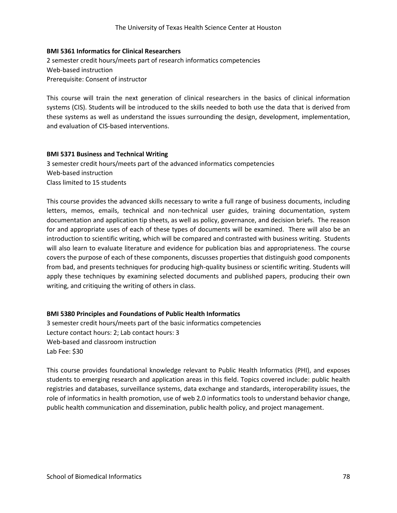### **BMI 5361 Informatics for Clinical Researchers**

2 semester credit hours/meets part of research informatics competencies Web-based instruction Prerequisite: Consent of instructor

This course will train the next generation of clinical researchers in the basics of clinical information systems (CIS). Students will be introduced to the skills needed to both use the data that is derived from these systems as well as understand the issues surrounding the design, development, implementation, and evaluation of CIS-based interventions.

## **BMI 5371 Business and Technical Writing**

3 semester credit hours/meets part of the advanced informatics competencies Web-based instruction Class limited to 15 students

This course provides the advanced skills necessary to write a full range of business documents, including letters, memos, emails, technical and non-technical user guides, training documentation, system documentation and application tip sheets, as well as policy, governance, and decision briefs. The reason for and appropriate uses of each of these types of documents will be examined. There will also be an introduction to scientific writing, which will be compared and contrasted with business writing. Students will also learn to evaluate literature and evidence for publication bias and appropriateness. The course covers the purpose of each of these components, discusses properties that distinguish good components from bad, and presents techniques for producing high-quality business or scientific writing. Students will apply these techniques by examining selected documents and published papers, producing their own writing, and critiquing the writing of others in class.

## **BMI 5380 Principles and Foundations of Public Health Informatics**

3 semester credit hours/meets part of the basic informatics competencies Lecture contact hours: 2; Lab contact hours: 3 Web-based and classroom instruction Lab Fee: \$30

This course provides foundational knowledge relevant to Public Health Informatics (PHI), and exposes students to emerging research and application areas in this field. Topics covered include: public health registries and databases, surveillance systems, data exchange and standards, interoperability issues, the role of informatics in health promotion, use of web 2.0 informatics tools to understand behavior change, public health communication and dissemination, public health policy, and project management.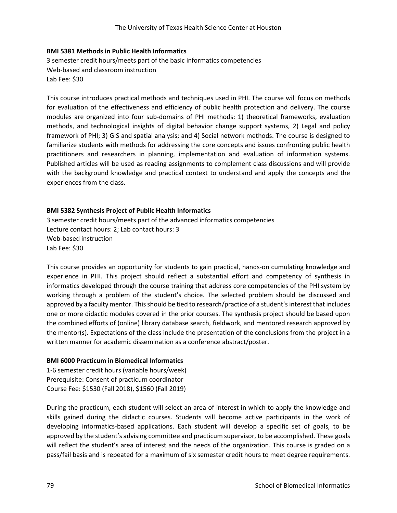### **BMI 5381 Methods in Public Health Informatics**

3 semester credit hours/meets part of the basic informatics competencies Web-based and classroom instruction Lab Fee: \$30

This course introduces practical methods and techniques used in PHI. The course will focus on methods for evaluation of the effectiveness and efficiency of public health protection and delivery. The course modules are organized into four sub-domains of PHI methods: 1) theoretical frameworks, evaluation methods, and technological insights of digital behavior change support systems, 2) Legal and policy framework of PHI; 3) GIS and spatial analysis; and 4) Social network methods. The course is designed to familiarize students with methods for addressing the core concepts and issues confronting public health practitioners and researchers in planning, implementation and evaluation of information systems. Published articles will be used as reading assignments to complement class discussions and will provide with the background knowledge and practical context to understand and apply the concepts and the experiences from the class.

## **BMI 5382 Synthesis Project of Public Health Informatics**

3 semester credit hours/meets part of the advanced informatics competencies Lecture contact hours: 2; Lab contact hours: 3 Web-based instruction Lab Fee: \$30

This course provides an opportunity for students to gain practical, hands-on cumulating knowledge and experience in PHI. This project should reflect a substantial effort and competency of synthesis in informatics developed through the course training that address core competencies of the PHI system by working through a problem of the student's choice. The selected problem should be discussed and approved by a faculty mentor. This should be tied to research/practice of a student's interest that includes one or more didactic modules covered in the prior courses. The synthesis project should be based upon the combined efforts of (online) library database search, fieldwork, and mentored research approved by the mentor(s). Expectations of the class include the presentation of the conclusions from the project in a written manner for academic dissemination as a conference abstract/poster.

#### **BMI 6000 Practicum in Biomedical Informatics**

1-6 semester credit hours (variable hours/week) Prerequisite: Consent of practicum coordinator Course Fee: \$1530 (Fall 2018), \$1560 (Fall 2019)

During the practicum, each student will select an area of interest in which to apply the knowledge and skills gained during the didactic courses. Students will become active participants in the work of developing informatics-based applications. Each student will develop a specific set of goals, to be approved by the student's advising committee and practicum supervisor, to be accomplished. These goals will reflect the student's area of interest and the needs of the organization. This course is graded on a pass/fail basis and is repeated for a maximum of six semester credit hours to meet degree requirements.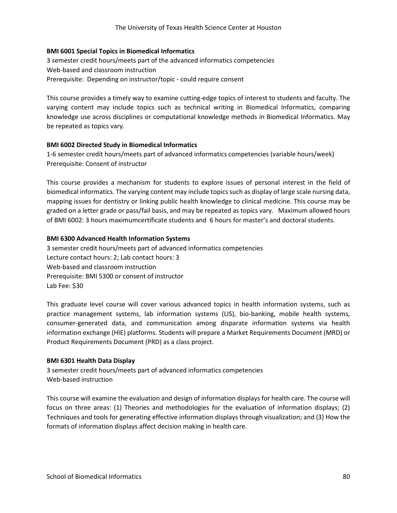## **BMI 6001 Special Topics in Biomedical Informatics**

3 semester credit hours/meets part of the advanced informatics competencies Web-based and classroom instruction Prerequisite: Depending on instructor/topic - could require consent

This course provides a timely way to examine cutting-edge topics of interest to students and faculty. The varying content may include topics such as technical writing in Biomedical Informatics, comparing knowledge use across disciplines or computational knowledge methods in Biomedical Informatics. May be repeated as topics vary.

### **BMI 6002 Directed Study in Biomedical Informatics**

1-6 semester credit hours/meets part of advanced informatics competencies (variable hours/week) Prerequisite: Consent of instructor

This course provides a mechanism for students to explore issues of personal interest in the field of biomedical informatics. The varying content may include topics such as display of large scale nursing data, mapping issues for dentistry or linking public health knowledge to clinical medicine. This course may be graded on a letter grade or pass/fail basis, and may be repeated as topics vary. Maximum allowed hours of BMI 6002: 3 hours maximumcertificate students and 6 hours for master's and doctoral students.

### **BMI 6300 Advanced Health Information Systems**

3 semester credit hours/meets part of advanced informatics competencies Lecture contact hours: 2; Lab contact hours: 3 Web-based and classroom instruction Prerequisite: BMI 5300 or consent of instructor Lab Fee: \$30

This graduate level course will cover various advanced topics in health information systems, such as practice management systems, lab information systems (LIS), bio-banking, mobile health systems, consumer-generated data, and communication among disparate information systems via health information exchange (HIE) platforms. Students will prepare a Market Requirements Document (MRD) or Product Requirements Document (PRD) as a class project.

#### **BMI 6301 Health Data Display**

3 semester credit hours/meets part of advanced informatics competencies Web-based instruction

This course will examine the evaluation and design of information displays for health care. The course will focus on three areas: (1) Theories and methodologies for the evaluation of information displays; (2) Techniques and tools for generating effective information displays through visualization; and (3) How the formats of information displays affect decision making in health care.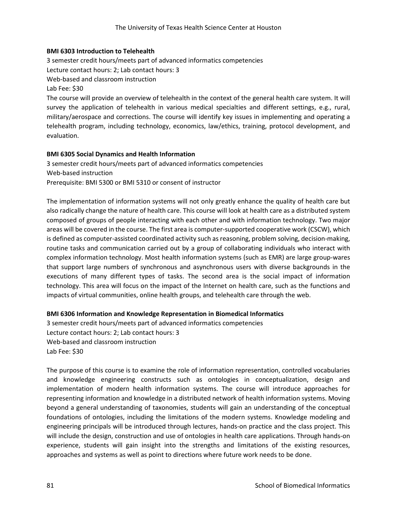## **BMI 6303 Introduction to Telehealth**

3 semester credit hours/meets part of advanced informatics competencies Lecture contact hours: 2; Lab contact hours: 3 Web-based and classroom instruction Lab Fee: \$30

The course will provide an overview of telehealth in the context of the general health care system. It will survey the application of telehealth in various medical specialties and different settings, e.g., rural, military/aerospace and corrections. The course will identify key issues in implementing and operating a telehealth program, including technology, economics, law/ethics, training, protocol development, and evaluation.

# **BMI 6305 Social Dynamics and Health Information**

3 semester credit hours/meets part of advanced informatics competencies Web-based instruction Prerequisite: BMI 5300 or BMI 5310 or consent of instructor

The implementation of information systems will not only greatly enhance the quality of health care but also radically change the nature of health care. This course will look at health care as a distributed system composed of groups of people interacting with each other and with information technology. Two major areas will be covered in the course. The first area is computer-supported cooperative work (CSCW), which is defined as computer‐assisted coordinated activity such as reasoning, problem solving, decision-making, routine tasks and communication carried out by a group of collaborating individuals who interact with complex information technology. Most health information systems (such as EMR) are large group-wares that support large numbers of synchronous and asynchronous users with diverse backgrounds in the executions of many different types of tasks. The second area is the social impact of information technology. This area will focus on the impact of the Internet on health care, such as the functions and impacts of virtual communities, online health groups, and telehealth care through the web.

# **BMI 6306 Information and Knowledge Representation in Biomedical Informatics**

3 semester credit hours/meets part of advanced informatics competencies Lecture contact hours: 2; Lab contact hours: 3 Web-based and classroom instruction Lab Fee: \$30

The purpose of this course is to examine the role of information representation, controlled vocabularies and knowledge engineering constructs such as ontologies in conceptualization, design and implementation of modern health information systems. The course will introduce approaches for representing information and knowledge in a distributed network of health information systems. Moving beyond a general understanding of taxonomies, students will gain an understanding of the conceptual foundations of ontologies, including the limitations of the modern systems. Knowledge modeling and engineering principals will be introduced through lectures, hands-on practice and the class project. This will include the design, construction and use of ontologies in health care applications. Through hands-on experience, students will gain insight into the strengths and limitations of the existing resources, approaches and systems as well as point to directions where future work needs to be done.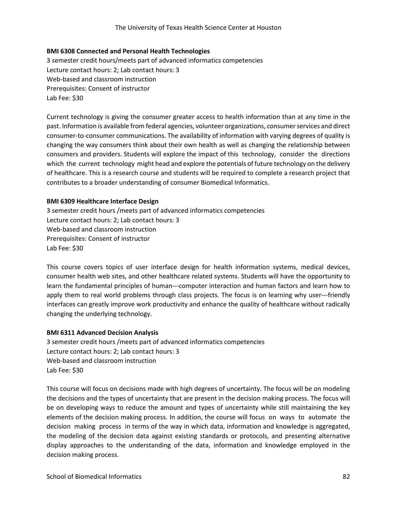# **BMI 6308 Connected and Personal Health Technologies**

3 semester credit hours/meets part of advanced informatics competencies Lecture contact hours: 2; Lab contact hours: 3 Web-based and classroom instruction Prerequisites: Consent of instructor Lab Fee: \$30

Current technology is giving the consumer greater access to health information than at any time in the past. Information is available from federal agencies, volunteer organizations, consumer services and direct consumer‐to‐consumer communications. The availability of information with varying degrees of quality is changing the way consumers think about their own health as well as changing the relationship between consumers and providers. Students will explore the impact of this technology, consider the directions which the current technology might head and explore the potentials of future technology on the delivery of healthcare. This is a research course and students will be required to complete a research project that contributes to a broader understanding of consumer Biomedical Informatics.

## **BMI 6309 Healthcare Interface Design**

3 semester credit hours /meets part of advanced informatics competencies Lecture contact hours: 2; Lab contact hours: 3 Web-based and classroom instruction Prerequisites: Consent of instructor Lab Fee: \$30

This course covers topics of user interface design for health information systems, medical devices, consumer health web sites, and other healthcare related systems. Students will have the opportunity to learn the fundamental principles of human-‐‐computer interaction and human factors and learn how to apply them to real world problems through class projects. The focus is on learning why user---friendly interfaces can greatly improve work productivity and enhance the quality of healthcare without radically changing the underlying technology.

## **BMI 6311 Advanced Decision Analysis**

3 semester credit hours /meets part of advanced informatics competencies Lecture contact hours: 2; Lab contact hours: 3 Web-based and classroom instruction Lab Fee: \$30

This course will focus on decisions made with high degrees of uncertainty. The focus will be on modeling the decisions and the types of uncertainty that are present in the decision making process. The focus will be on developing ways to reduce the amount and types of uncertainty while still maintaining the key elements of the decision making process. In addition, the course will focus on ways to automate the decision making process in terms of the way in which data, information and knowledge is aggregated, the modeling of the decision data against existing standards or protocols, and presenting alternative display approaches to the understanding of the data, information and knowledge employed in the decision making process.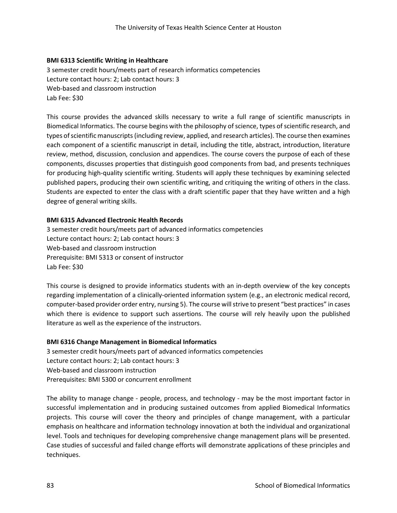### **BMI 6313 Scientific Writing in Healthcare**

3 semester credit hours/meets part of research informatics competencies Lecture contact hours: 2; Lab contact hours: 3 Web-based and classroom instruction Lab Fee: \$30

This course provides the advanced skills necessary to write a full range of scientific manuscripts in Biomedical Informatics. The course begins with the philosophy of science, types of scientific research, and types of scientific manuscripts (including review, applied, and research articles). The course then examines each component of a scientific manuscript in detail, including the title, abstract, introduction, literature review, method, discussion, conclusion and appendices. The course covers the purpose of each of these components, discusses properties that distinguish good components from bad, and presents techniques for producing high-quality scientific writing. Students will apply these techniques by examining selected published papers, producing their own scientific writing, and critiquing the writing of others in the class. Students are expected to enter the class with a draft scientific paper that they have written and a high degree of general writing skills.

### **BMI 6315 Advanced Electronic Health Records**

3 semester credit hours/meets part of advanced informatics competencies Lecture contact hours: 2; Lab contact hours: 3 Web-based and classroom instruction Prerequisite: BMI 5313 or consent of instructor Lab Fee: \$30

This course is designed to provide informatics students with an in-depth overview of the key concepts regarding implementation of a clinically-oriented information system (e.g., an electronic medical record, computer-based provider order entry, nursing 5). The course will strive to present "best practices" in cases which there is evidence to support such assertions. The course will rely heavily upon the published literature as well as the experience of the instructors.

## **BMI 6316 Change Management in Biomedical Informatics**

3 semester credit hours/meets part of advanced informatics competencies Lecture contact hours: 2; Lab contact hours: 3 Web-based and classroom instruction Prerequisites: BMI 5300 or concurrent enrollment

The ability to manage change - people, process, and technology - may be the most important factor in successful implementation and in producing sustained outcomes from applied Biomedical Informatics projects. This course will cover the theory and principles of change management, with a particular emphasis on healthcare and information technology innovation at both the individual and organizational level. Tools and techniques for developing comprehensive change management plans will be presented. Case studies of successful and failed change efforts will demonstrate applications of these principles and techniques.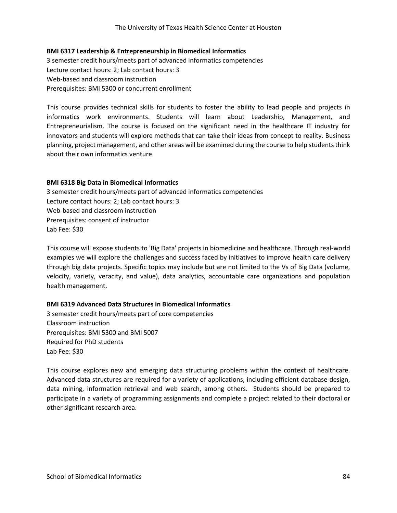# **BMI 6317 Leadership & Entrepreneurship in Biomedical Informatics**

3 semester credit hours/meets part of advanced informatics competencies Lecture contact hours: 2; Lab contact hours: 3 Web-based and classroom instruction Prerequisites: BMI 5300 or concurrent enrollment

This course provides technical skills for students to foster the ability to lead people and projects in informatics work environments. Students will learn about Leadership, Management, and Entrepreneurialism. The course is focused on the significant need in the healthcare IT industry for innovators and students will explore methods that can take their ideas from concept to reality. Business planning, project management, and other areas will be examined during the course to help students think about their own informatics venture.

## **BMI 6318 Big Data in Biomedical Informatics**

3 semester credit hours/meets part of advanced informatics competencies Lecture contact hours: 2; Lab contact hours: 3 Web-based and classroom instruction Prerequisites: consent of instructor Lab Fee: \$30

This course will expose students to 'Big Data' projects in biomedicine and healthcare. Through real-world examples we will explore the challenges and success faced by initiatives to improve health care delivery through big data projects. Specific topics may include but are not limited to the Vs of Big Data (volume, velocity, variety, veracity, and value), data analytics, accountable care organizations and population health management.

## **BMI 6319 Advanced Data Structures in Biomedical Informatics**

3 semester credit hours/meets part of core competencies Classroom instruction Prerequisites: BMI 5300 and BMI 5007 Required for PhD students Lab Fee: \$30

This course explores new and emerging data structuring problems within the context of healthcare. Advanced data structures are required for a variety of applications, including efficient database design, data mining, information retrieval and web search, among others. Students should be prepared to participate in a variety of programming assignments and complete a project related to their doctoral or other significant research area.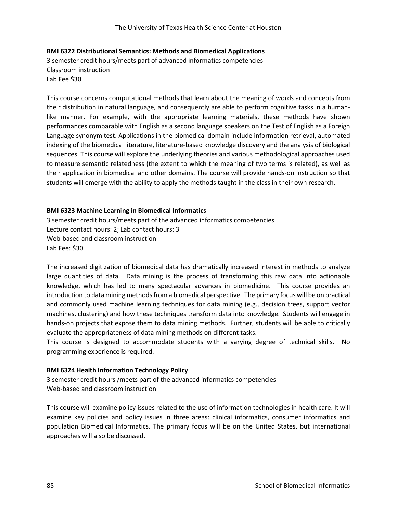## **BMI 6322 Distributional Semantics: Methods and Biomedical Applications**

3 semester credit hours/meets part of advanced informatics competencies Classroom instruction Lab Fee \$30

This course concerns computational methods that learn about the meaning of words and concepts from their distribution in natural language, and consequently are able to perform cognitive tasks in a humanlike manner. For example, with the appropriate learning materials, these methods have shown performances comparable with English as a second language speakers on the Test of English as a Foreign Language synonym test. Applications in the biomedical domain include information retrieval, automated indexing of the biomedical literature, literature-based knowledge discovery and the analysis of biological sequences. This course will explore the underlying theories and various methodological approaches used to measure semantic relatedness (the extent to which the meaning of two terms is related), as well as their application in biomedical and other domains. The course will provide hands-on instruction so that students will emerge with the ability to apply the methods taught in the class in their own research.

#### **BMI 6323 Machine Learning in Biomedical Informatics**

3 semester credit hours/meets part of the advanced informatics competencies Lecture contact hours: 2; Lab contact hours: 3 Web-based and classroom instruction Lab Fee: \$30

The increased digitization of biomedical data has dramatically increased interest in methods to analyze large quantities of data. Data mining is the process of transforming this raw data into actionable knowledge, which has led to many spectacular advances in biomedicine. This course provides an introduction to data mining methods from a biomedical perspective. The primary focus will be on practical and commonly used machine learning techniques for data mining (e.g., decision trees, support vector machines, clustering) and how these techniques transform data into knowledge. Students will engage in hands-on projects that expose them to data mining methods. Further, students will be able to critically evaluate the appropriateness of data mining methods on different tasks.

This course is designed to accommodate students with a varying degree of technical skills. No programming experience is required.

## **BMI 6324 Health Information Technology Policy**

3 semester credit hours /meets part of the advanced informatics competencies Web-based and classroom instruction

This course will examine policy issues related to the use of information technologies in health care. It will examine key policies and policy issues in three areas: clinical informatics, consumer informatics and population Biomedical Informatics. The primary focus will be on the United States, but international approaches will also be discussed.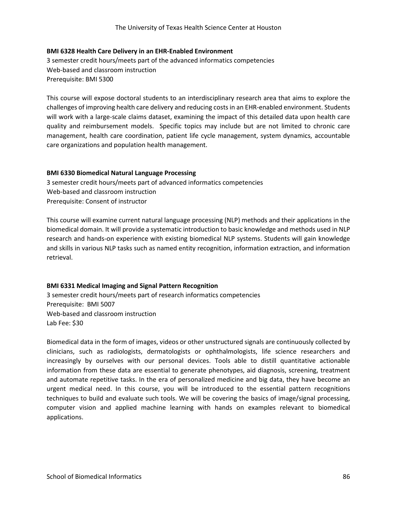#### **BMI 6328 Health Care Delivery in an EHR-Enabled Environment**

3 semester credit hours/meets part of the advanced informatics competencies Web-based and classroom instruction Prerequisite: BMI 5300

This course will expose doctoral students to an interdisciplinary research area that aims to explore the challenges of improving health care delivery and reducing costs in an EHR-enabled environment. Students will work with a large-scale claims dataset, examining the impact of this detailed data upon health care quality and reimbursement models. Specific topics may include but are not limited to chronic care management, health care coordination, patient life cycle management, system dynamics, accountable care organizations and population health management.

### **BMI 6330 Biomedical Natural Language Processing**

3 semester credit hours/meets part of advanced informatics competencies Web-based and classroom instruction Prerequisite: Consent of instructor

This course will examine current natural language processing (NLP) methods and their applications in the biomedical domain. It will provide a systematic introduction to basic knowledge and methods used in NLP research and hands-on experience with existing biomedical NLP systems. Students will gain knowledge and skills in various NLP tasks such as named entity recognition, information extraction, and information retrieval.

## **BMI 6331 Medical Imaging and Signal Pattern Recognition**

3 semester credit hours/meets part of research informatics competencies Prerequisite: BMI 5007 Web-based and classroom instruction Lab Fee: \$30

Biomedical data in the form of images, videos or other unstructured signals are continuously collected by clinicians, such as radiologists, dermatologists or ophthalmologists, life science researchers and increasingly by ourselves with our personal devices. Tools able to distill quantitative actionable information from these data are essential to generate phenotypes, aid diagnosis, screening, treatment and automate repetitive tasks. In the era of personalized medicine and big data, they have become an urgent medical need. In this course, you will be introduced to the essential pattern recognitions techniques to build and evaluate such tools. We will be covering the basics of image/signal processing, computer vision and applied machine learning with hands on examples relevant to biomedical applications.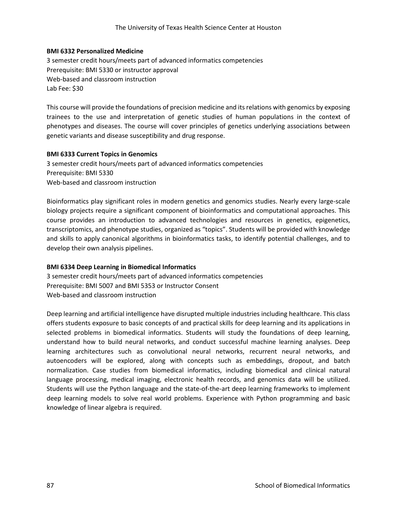### **BMI 6332 Personalized Medicine**

3 semester credit hours/meets part of advanced informatics competencies Prerequisite: BMI 5330 or instructor approval Web-based and classroom instruction Lab Fee: \$30

This course will provide the foundations of precision medicine and its relations with genomics by exposing trainees to the use and interpretation of genetic studies of human populations in the context of phenotypes and diseases. The course will cover principles of genetics underlying associations between genetic variants and disease susceptibility and drug response.

### **BMI 6333 Current Topics in Genomics**

3 semester credit hours/meets part of advanced informatics competencies Prerequisite: BMI 5330 Web-based and classroom instruction

Bioinformatics play significant roles in modern genetics and genomics studies. Nearly every large-scale biology projects require a significant component of bioinformatics and computational approaches. This course provides an introduction to advanced technologies and resources in genetics, epigenetics, transcriptomics, and phenotype studies, organized as "topics". Students will be provided with knowledge and skills to apply canonical algorithms in bioinformatics tasks, to identify potential challenges, and to develop their own analysis pipelines.

## **BMI 6334 Deep Learning in Biomedical Informatics**

3 semester credit hours/meets part of advanced informatics competencies Prerequisite: BMI 5007 and BMI 5353 or Instructor Consent Web-based and classroom instruction

Deep learning and artificial intelligence have disrupted multiple industries including healthcare. This class offers students exposure to basic concepts of and practical skills for deep learning and its applications in selected problems in biomedical informatics. Students will study the foundations of deep learning, understand how to build neural networks, and conduct successful machine learning analyses. Deep learning architectures such as convolutional neural networks, recurrent neural networks, and autoencoders will be explored, along with concepts such as embeddings, dropout, and batch normalization. Case studies from biomedical informatics, including biomedical and clinical natural language processing, medical imaging, electronic health records, and genomics data will be utilized. Students will use the Python language and the state-of-the-art deep learning frameworks to implement deep learning models to solve real world problems. Experience with Python programming and basic knowledge of linear algebra is required.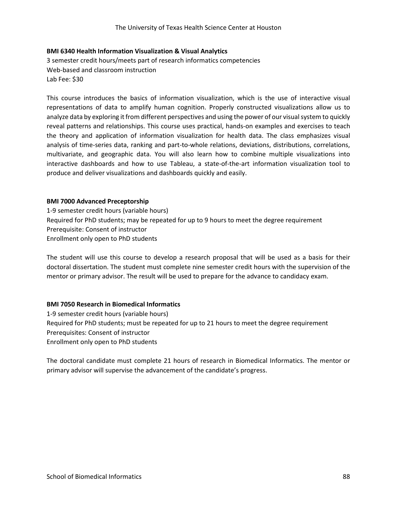### **BMI 6340 Health Information Visualization & Visual Analytics**

3 semester credit hours/meets part of research informatics competencies Web-based and classroom instruction Lab Fee: \$30

This course introduces the basics of information visualization, which is the use of interactive visual representations of data to amplify human cognition. Properly constructed visualizations allow us to analyze data by exploring it from different perspectives and using the power of our visual system to quickly reveal patterns and relationships. This course uses practical, hands-on examples and exercises to teach the theory and application of information visualization for health data. The class emphasizes visual analysis of time-series data, ranking and part-to-whole relations, deviations, distributions, correlations, multivariate, and geographic data. You will also learn how to combine multiple visualizations into interactive dashboards and how to use Tableau, a state-of-the-art information visualization tool to produce and deliver visualizations and dashboards quickly and easily.

#### **BMI 7000 Advanced Preceptorship**

1-9 semester credit hours (variable hours) Required for PhD students; may be repeated for up to 9 hours to meet the degree requirement Prerequisite: Consent of instructor Enrollment only open to PhD students

The student will use this course to develop a research proposal that will be used as a basis for their doctoral dissertation. The student must complete nine semester credit hours with the supervision of the mentor or primary advisor. The result will be used to prepare for the advance to candidacy exam.

## **BMI 7050 Research in Biomedical Informatics**

1-9 semester credit hours (variable hours) Required for PhD students; must be repeated for up to 21 hours to meet the degree requirement Prerequisites: Consent of instructor Enrollment only open to PhD students

The doctoral candidate must complete 21 hours of research in Biomedical Informatics. The mentor or primary advisor will supervise the advancement of the candidate's progress.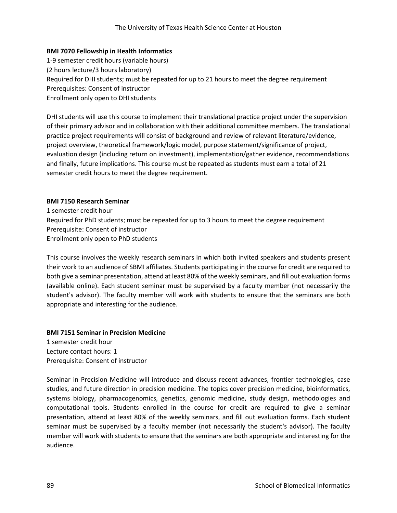# **BMI 7070 Fellowship in Health Informatics**

1-9 semester credit hours (variable hours) (2 hours lecture/3 hours laboratory) Required for DHI students; must be repeated for up to 21 hours to meet the degree requirement Prerequisites: Consent of instructor Enrollment only open to DHI students

DHI students will use this course to implement their translational practice project under the supervision of their primary advisor and in collaboration with their additional committee members. The translational practice project requirements will consist of background and review of relevant literature/evidence, project overview, theoretical framework/logic model, purpose statement/significance of project, evaluation design (including return on investment), implementation/gather evidence, recommendations and finally, future implications. This course must be repeated as students must earn a total of 21 semester credit hours to meet the degree requirement.

## **BMI 7150 Research Seminar**

1 semester credit hour Required for PhD students; must be repeated for up to 3 hours to meet the degree requirement Prerequisite: Consent of instructor Enrollment only open to PhD students

This course involves the weekly research seminars in which both invited speakers and students present their work to an audience of SBMI affiliates. Students participating in the course for credit are required to both give a seminar presentation, attend at least 80% of the weekly seminars, and fill out evaluation forms (available online). Each student seminar must be supervised by a faculty member (not necessarily the student's advisor). The faculty member will work with students to ensure that the seminars are both appropriate and interesting for the audience.

## **BMI 7151 Seminar in Precision Medicine**

1 semester credit hour Lecture contact hours: 1 Prerequisite: Consent of instructor

Seminar in Precision Medicine will introduce and discuss recent advances, frontier technologies, case studies, and future direction in precision medicine. The topics cover precision medicine, bioinformatics, systems biology, pharmacogenomics, genetics, genomic medicine, study design, methodologies and computational tools. Students enrolled in the course for credit are required to give a seminar presentation, attend at least 80% of the weekly seminars, and fill out evaluation forms. Each student seminar must be supervised by a faculty member (not necessarily the student's advisor). The faculty member will work with students to ensure that the seminars are both appropriate and interesting for the audience.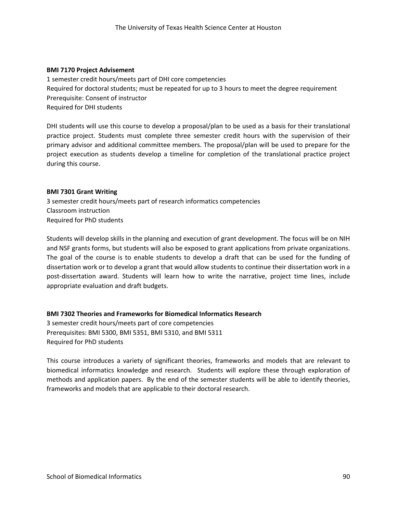### **BMI 7170 Project Advisement**

1 semester credit hours/meets part of DHI core competencies Required for doctoral students; must be repeated for up to 3 hours to meet the degree requirement Prerequisite: Consent of instructor Required for DHI students

DHI students will use this course to develop a proposal/plan to be used as a basis for their translational practice project. Students must complete three semester credit hours with the supervision of their primary advisor and additional committee members. The proposal/plan will be used to prepare for the project execution as students develop a timeline for completion of the translational practice project during this course.

### **BMI 7301 Grant Writing**

3 semester credit hours/meets part of research informatics competencies Classroom instruction Required for PhD students

Students will develop skills in the planning and execution of grant development. The focus will be on NIH and NSF grants forms, but students will also be exposed to grant applications from private organizations. The goal of the course is to enable students to develop a draft that can be used for the funding of dissertation work or to develop a grant that would allow students to continue their dissertation work in a post-dissertation award. Students will learn how to write the narrative, project time lines, include appropriate evaluation and draft budgets.

#### **BMI 7302 Theories and Frameworks for Biomedical Informatics Research**

3 semester credit hours/meets part of core competencies Prerequisites: BMI 5300, BMI 5351, BMI 5310, and BMI 5311 Required for PhD students

This course introduces a variety of significant theories, frameworks and models that are relevant to biomedical informatics knowledge and research. Students will explore these through exploration of methods and application papers. By the end of the semester students will be able to identify theories, frameworks and models that are applicable to their doctoral research.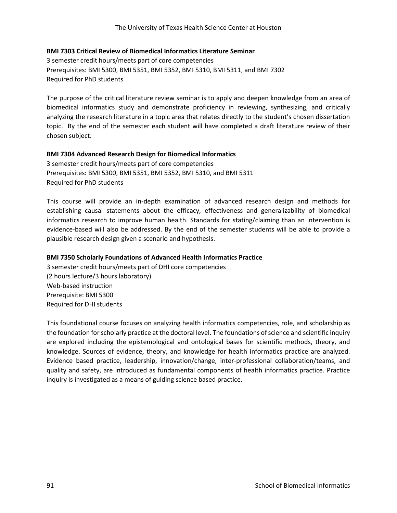### **BMI 7303 Critical Review of Biomedical Informatics Literature Seminar**

3 semester credit hours/meets part of core competencies Prerequisites: BMI 5300, BMI 5351, BMI 5352, BMI 5310, BMI 5311, and BMI 7302 Required for PhD students

The purpose of the critical literature review seminar is to apply and deepen knowledge from an area of biomedical informatics study and demonstrate proficiency in reviewing, synthesizing, and critically analyzing the research literature in a topic area that relates directly to the student's chosen dissertation topic. By the end of the semester each student will have completed a draft literature review of their chosen subject.

#### **BMI 7304 Advanced Research Design for Biomedical Informatics**

3 semester credit hours/meets part of core competencies Prerequisites: BMI 5300, BMI 5351, BMI 5352, BMI 5310, and BMI 5311 Required for PhD students

This course will provide an in-depth examination of advanced research design and methods for establishing causal statements about the efficacy, effectiveness and generalizability of biomedical informatics research to improve human health. Standards for stating/claiming than an intervention is evidence-based will also be addressed. By the end of the semester students will be able to provide a plausible research design given a scenario and hypothesis.

### **BMI 7350 Scholarly Foundations of Advanced Health Informatics Practice**

3 semester credit hours/meets part of DHI core competencies (2 hours lecture/3 hours laboratory) Web-based instruction Prerequisite: BMI 5300 Required for DHI students

This foundational course focuses on analyzing health informatics competencies, role, and scholarship as the foundation for scholarly practice at the doctoral level. The foundations of science and scientific inquiry are explored including the epistemological and ontological bases for scientific methods, theory, and knowledge. Sources of evidence, theory, and knowledge for health informatics practice are analyzed. Evidence based practice, leadership, innovation/change, inter-professional collaboration/teams, and quality and safety, are introduced as fundamental components of health informatics practice. Practice inquiry is investigated as a means of guiding science based practice.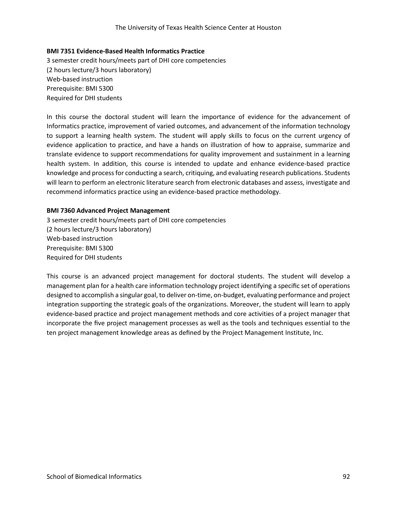### **BMI 7351 Evidence-Based Health Informatics Practice**

3 semester credit hours/meets part of DHI core competencies (2 hours lecture/3 hours laboratory) Web-based instruction Prerequisite: BMI 5300 Required for DHI students

In this course the doctoral student will learn the importance of evidence for the advancement of Informatics practice, improvement of varied outcomes, and advancement of the information technology to support a learning health system. The student will apply skills to focus on the current urgency of evidence application to practice, and have a hands on illustration of how to appraise, summarize and translate evidence to support recommendations for quality improvement and sustainment in a learning health system. In addition, this course is intended to update and enhance evidence-based practice knowledge and process for conducting a search, critiquing, and evaluating research publications. Students will learn to perform an electronic literature search from electronic databases and assess, investigate and recommend informatics practice using an evidence‐based practice methodology.

#### **BMI 7360 Advanced Project Management**

3 semester credit hours/meets part of DHI core competencies (2 hours lecture/3 hours laboratory) Web-based instruction Prerequisite: BMI 5300 Required for DHI students

This course is an advanced project management for doctoral students. The student will develop a management plan for a health care information technology project identifying a specific set of operations designed to accomplish a singular goal, to deliver on‐time, on‐budget, evaluating performance and project integration supporting the strategic goals of the organizations. Moreover, the student will learn to apply evidence-based practice and project management methods and core activities of a project manager that incorporate the five project management processes as well as the tools and techniques essential to the ten project management knowledge areas as defined by the Project Management Institute, Inc.